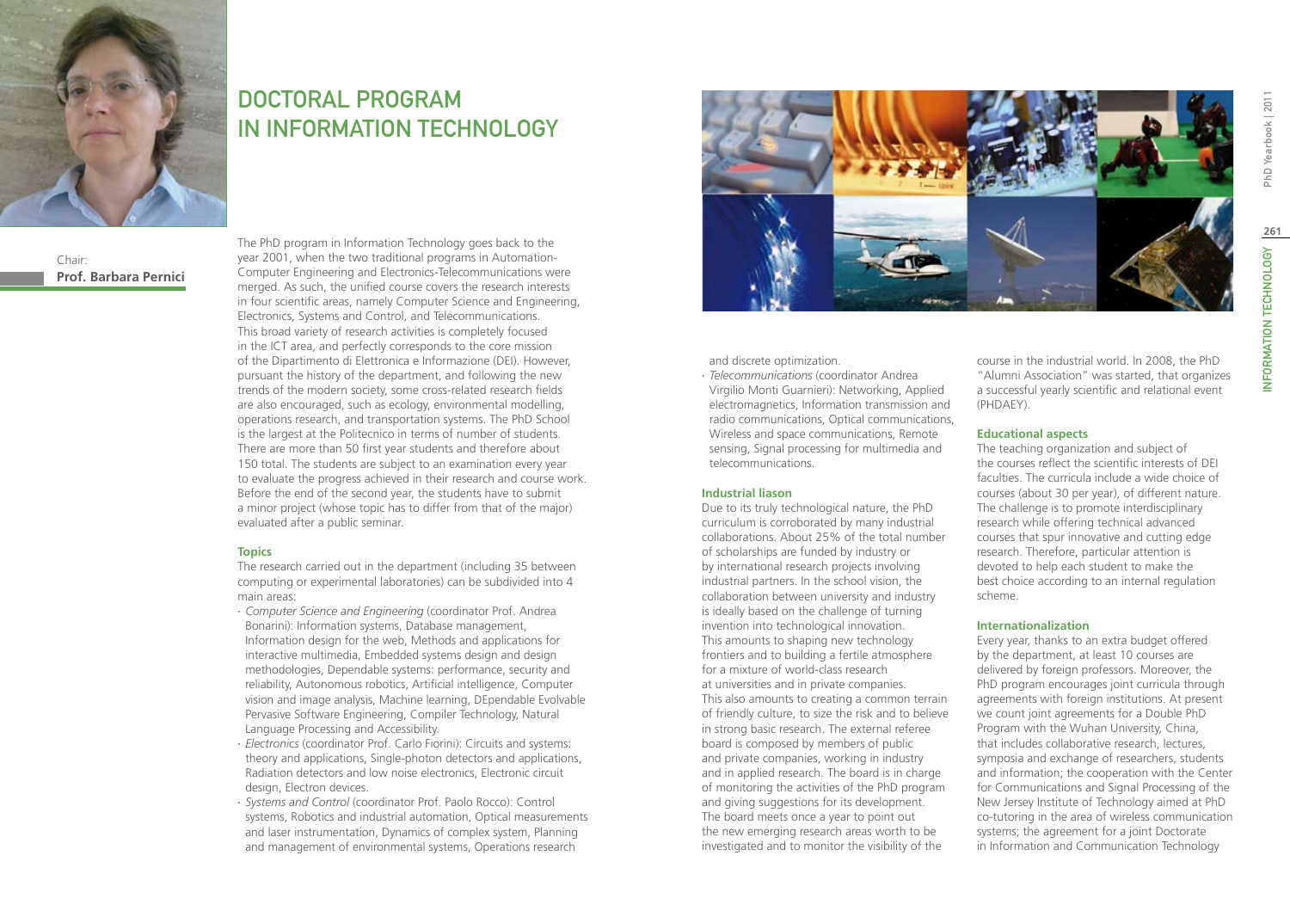

# DOCTORAL PROGRAM IN Information Technology

Chair: **Prof. Barbara Pernici** The PhD program in Information Technology goes back to the year 2001, when the two traditional programs in Automation-Computer Engineering and Electronics-Telecommunications were merged. As such, the unified course covers the research interests in four scientific areas, namely Computer Science and Engineering, Electronics, Systems and Control, and Telecommunications. This broad variety of research activities is completely focused in the ICT area, and perfectly corresponds to the core mission of the Dipartimento di Elettronica e Informazione (DEI). However, pursuant the history of the department, and following the new trends of the modern society, some cross-related research fields are also encouraged, such as ecology, environmental modelling, operations research, and transportation systems. The PhD School is the largest at the Politecnico in terms of number of students. There are more than 50 first year students and therefore about 150 total. The students are subject to an examination every year to evaluate the progress achieved in their research and course work. Before the end of the second year, the students have to submit a minor project (whose topic has to differ from that of the major) evaluated after a public seminar.

# **Topics**

The research carried out in the department (including 35 between computing or experimental laboratories) can be subdivided into 4 main areas:

- ∙ *Computer Science and Engineering* (coordinator Prof. Andrea Bonarini): Information systems, Database management, Information design for the web, Methods and applications for interactive multimedia, Embedded systems design and design methodologies, Dependable systems: performance, security and reliability, Autonomous robotics, Artificial intelligence, Computer vision and image analysis, Machine learning, DEpendable Evolvable Pervasive Software Engineering, Compiler Technology, Natural Language Processing and Accessibility.
- ∙ *Electronics* (coordinator Prof. Carlo Fiorini): Circuits and systems: theory and applications, Single-photon detectors and applications, Radiation detectors and low noise electronics, Electronic circuit design, Electron devices.
- ∙ *Systems and Control* (coordinator Prof. Paolo Rocco): Control systems, Robotics and industrial automation, Optical measurements and laser instrumentation, Dynamics of complex system, Planning and management of environmental systems, Operations research



and discrete optimization.

∙ *Telecommunications* (coordinator Andrea Virgilio Monti Guarnieri): Networking, Applied electromagnetics, Information transmission and radio communications, Optical communications, Wireless and space communications, Remote sensing, Signal processing for multimedia and telecommunications.

### **Industrial liason**

Due to its truly technological nature, the PhD curriculum is corroborated by many industrial collaborations. About 25% of the total number of scholarships are funded by industry or by international research projects involving industrial partners. In the school vision, the collaboration between university and industry is ideally based on the challenge of turning invention into technological innovation. This amounts to shaping new technology frontiers and to building a fertile atmosphere for a mixture of world-class research at universities and in private companies. This also amounts to creating a common terrain of friendly culture, to size the risk and to believe in strong basic research. The external referee board is composed by members of public and private companies, working in industry and in applied research. The board is in charge of monitoring the activities of the PhD program and giving suggestions for its development. The board meets once a year to point out the new emerging research areas worth to be investigated and to monitor the visibility of the

course in the industrial world. In 2008, the PhD "Alumni Association" was started, that organizes a successful yearly scientific and relational event (PHDAEY).

# **Educational aspects**

The teaching organization and subject of the courses reflect the scientific interests of DEI faculties. The curricula include a wide choice of courses (about 30 per year), of different nature. The challenge is to promote interdisciplinary research while offering technical advanced courses that spur innovative and cutting edge research. Therefore, particular attention is devoted to help each student to make the best choice according to an internal regulation scheme.

### **Internationalization**

Every year, thanks to an extra budget offered by the department, at least 10 courses are delivered by foreign professors. Moreover, the PhD program encourages joint curricula through agreements with foreign institutions. At present we count joint agreements for a Double PhD Program with the Wuhan University, China, that includes collaborative research, lectures, symposia and exchange of researchers, students and information; the cooperation with the Center for Communications and Signal Processing of the New Jersey Institute of Technology aimed at PhD co-tutoring in the area of wireless communication systems; the agreement for a joint Doctorate in Information and Communication Technology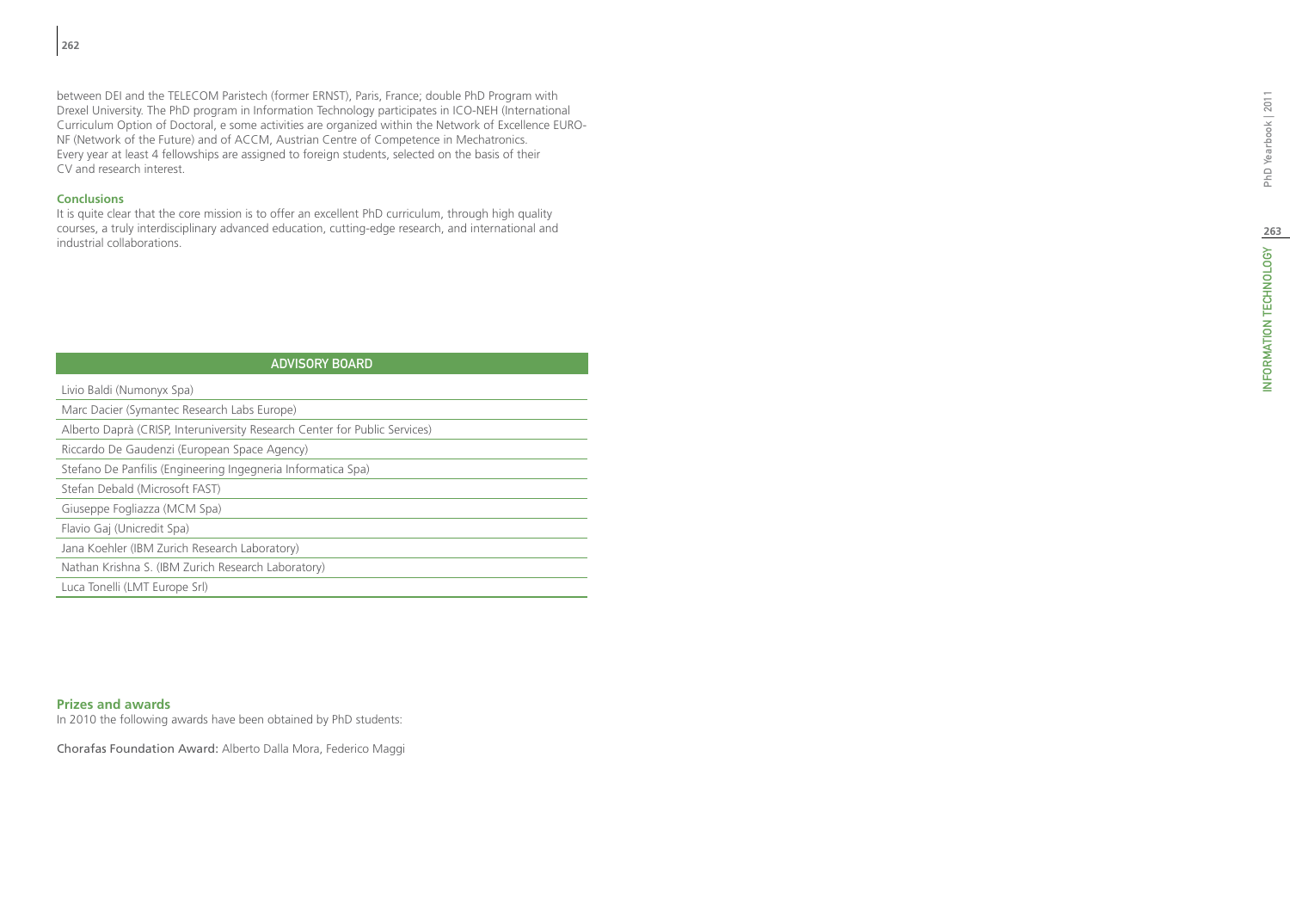between DEI and the TELECOM Paristech (former ERNST), Paris, France; double PhD Program with Drexel University. The PhD program in Information Technology participates in ICO-NEH (International Curriculum Option of Doctoral, e some activities are organized within the Network of Excellence EURO-NF (Network of the Future) and of ACCM, Austrian Centre of Competence in Mechatronics. Every year at least 4 fellowships are assigned to foreign students, selected on the basis of their CV and research interest.

# **Conclusions**

It is quite clear that the core mission is to offer an excellent PhD curriculum, through high quality courses, a truly interdisciplinary advanced education, cutting-edge research, and international and industrial collaborations.

| <b>ADVISORY BOARD</b>                                                                        |
|----------------------------------------------------------------------------------------------|
| Livio Baldi (Numonyx Spa)                                                                    |
| Marc Dacier (Symantec Research Labs Europe)                                                  |
| Alberto Daprà (CRISP, Interuniversity Research Center for Public Services)                   |
| Riccardo De Gaudenzi (European Space Agency)                                                 |
| Stefano De Panfilis (Engineering Ingegneria Informatica Spa)                                 |
| Stefan Debald (Microsoft FAST)                                                               |
| Giuseppe Fogliazza (MCM Spa)                                                                 |
| Flavio Gaj (Unicredit Spa)                                                                   |
| Jana Koehler (IBM Zurich Research Laboratory)                                                |
| Nathan Krishna S. (IBM Zurich Research Laboratory)                                           |
| Luca Tonelli (LMT Europe Srl)                                                                |
|                                                                                              |
|                                                                                              |
|                                                                                              |
|                                                                                              |
| <b>Prizes and awards</b><br>In 2010 the following awards have been obtained by PhD students: |
| Chorafas Foundation Award: Alberto Dalla Mora, Federico Maggi                                |

# **Prizes and awards**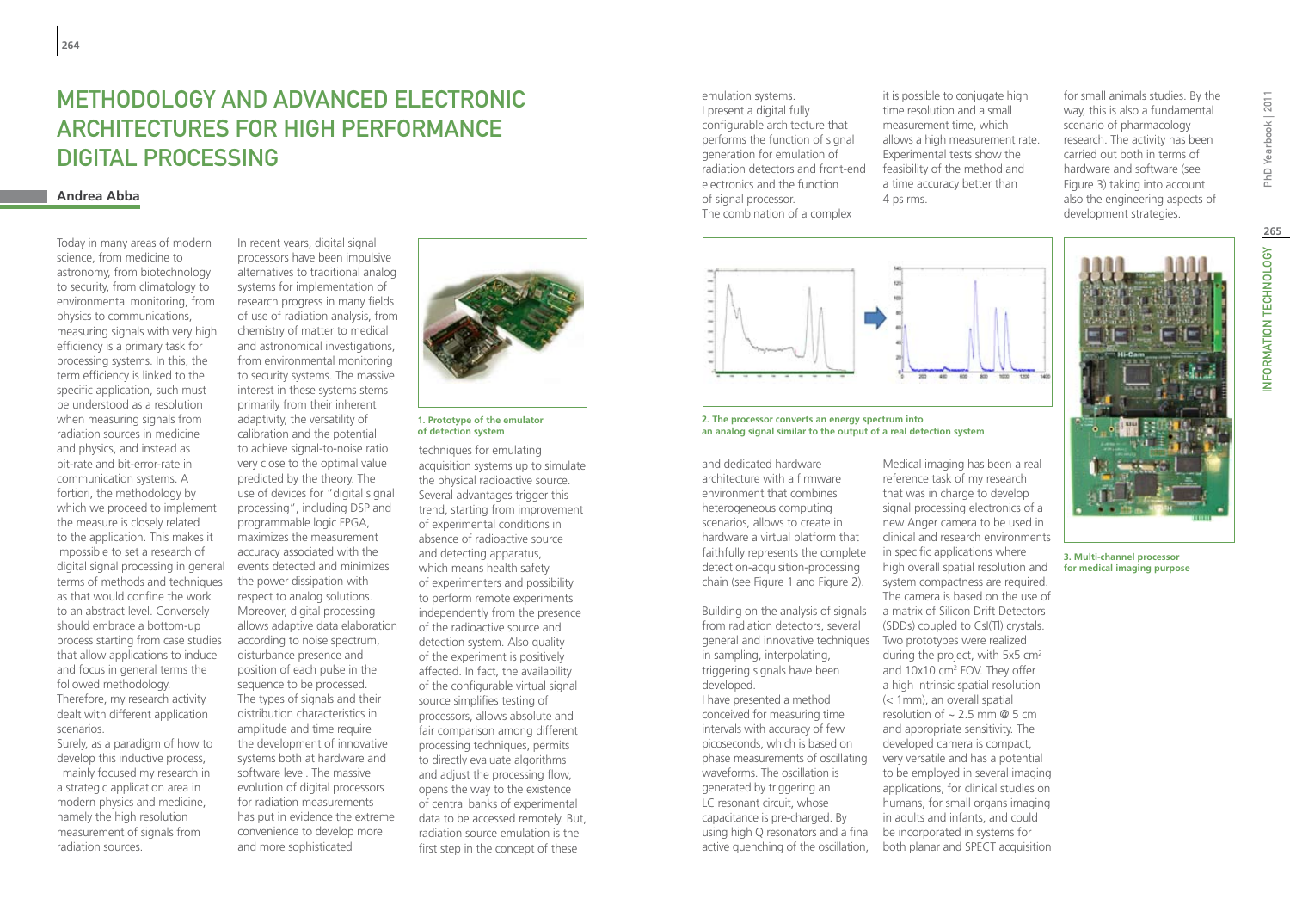# METHODOLOGY AND ADVANCED ELECTRONIC Architectures for High Performance Digital Processing

# **Andrea Abba**

Today in many areas of modern science, from medicine to astronomy, from biotechnology to security, from climatology to environmental monitoring, from physics to communications, measuring signals with very high efficiency is a primary task for processing systems. In this, the term efficiency is linked to the specific application, such must be understood as a resolution when measuring signals from radiation sources in medicine and physics, and instead as bit-rate and bit-error-rate in communication systems. A fortiori, the methodology by which we proceed to implement the measure is closely related to the application. This makes it impossible to set a research of digital signal processing in general terms of methods and techniques as that would confine the work to an abstract level. Conversely should embrace a bottom-up process starting from case studies that allow applications to induce and focus in general terms the followed methodology. Therefore, my research activity dealt with different application scenarios. Surely, as a paradigm of how to

develop this inductive process, I mainly focused my research in a strategic application area in modern physics and medicine, namely the high resolution measurement of signals from radiation sources.

In recent years, digital signal processors have been impulsive alternatives to traditional analog systems for implementation of research progress in many fields of use of radiation analysis, from chemistry of matter to medical and astronomical investigations, from environmental monitoring to security systems. The massive interest in these systems stems primarily from their inherent adaptivity, the versatility of calibration and the potential to achieve signal-to-noise ratio very close to the optimal value predicted by the theory. The use of devices for "digital signal processing", including DSP and programmable logic FPGA, maximizes the measurement accuracy associated with the events detected and minimizes the power dissipation with respect to analog solutions. Moreover, digital processing allows adaptive data elaboration according to noise spectrum, disturbance presence and position of each pulse in the sequence to be processed. The types of signals and their distribution characteristics in amplitude and time require the development of innovative systems both at hardware and software level. The massive evolution of digital processors for radiation measurements has put in evidence the extreme convenience to develop more and more sophisticated



**1. Prototype of the emulator of detection system**

techniques for emulating acquisition systems up to simulate the physical radioactive source. Several advantages trigger this trend, starting from improvement of experimental conditions in absence of radioactive source and detecting apparatus, which means health safety of experimenters and possibility to perform remote experiments independently from the presence of the radioactive source and detection system. Also quality of the experiment is positively affected. In fact, the availability of the configurable virtual signal source simplifies testing of processors, allows absolute and fair comparison among different processing techniques, permits to directly evaluate algorithms and adjust the processing flow, opens the way to the existence of central banks of experimental data to be accessed remotely. But, radiation source emulation is the first step in the concept of these

emulation systems. I present a digital fully configurable architecture that performs the function of signal generation for emulation of radiation detectors and front-end electronics and the function of signal processor. The combination of a complex

it is possible to conjugate high time resolution and a small measurement time, which allows a high measurement rate. Experimental tests show the feasibility of the method and a time accuracy better than 4 ps rms.

for small animals studies. By the way, this is also a fundamental scenario of pharmacology research. The activity has been carried out both in terms of hardware and software (see Figure 3) taking into account also the engineering aspects of development strategies.



**2. The processor converts an energy spectrum into an analog signal similar to the output of a real detection system**

and dedicated hardware architecture with a firmware environment that combines heterogeneous computing scenarios, allows to create in hardware a virtual platform that faithfully represents the complete detection-acquisition-processing chain (see Figure 1 and Figure 2).

Building on the analysis of signals from radiation detectors, several general and innovative techniques Two prototypes were realized in sampling, interpolating, triggering signals have been developed.

I have presented a method conceived for measuring time intervals with accuracy of few picoseconds, which is based on phase measurements of oscillating waveforms. The oscillation is generated by triggering an LC resonant circuit, whose capacitance is pre-charged. By using high Q resonators and a final active quenching of the oscillation,

Medical imaging has been a real reference task of my research that was in charge to develop signal processing electronics of a new Anger camera to be used in clinical and research environments in specific applications where high overall spatial resolution and system compactness are required. The camera is based on the use of a matrix of Silicon Drift Detectors (SDDs) coupled to CsI(Tl) crystals. during the project, with 5x5 cm2 and 10x10 cm<sup>2</sup> FOV. They offer a high intrinsic spatial resolution (< 1mm), an overall spatial resolution of  $\sim$  2.5 mm @ 5 cm and appropriate sensitivity. The developed camera is compact, very versatile and has a potential to be employed in several imaging applications, for clinical studies on humans, for small organs imaging

in adults and infants, and could be incorporated in systems for both planar and SPECT acquisition

PhD Yearbook | 2011

**3. Multi-channel processor for medical imaging purpose**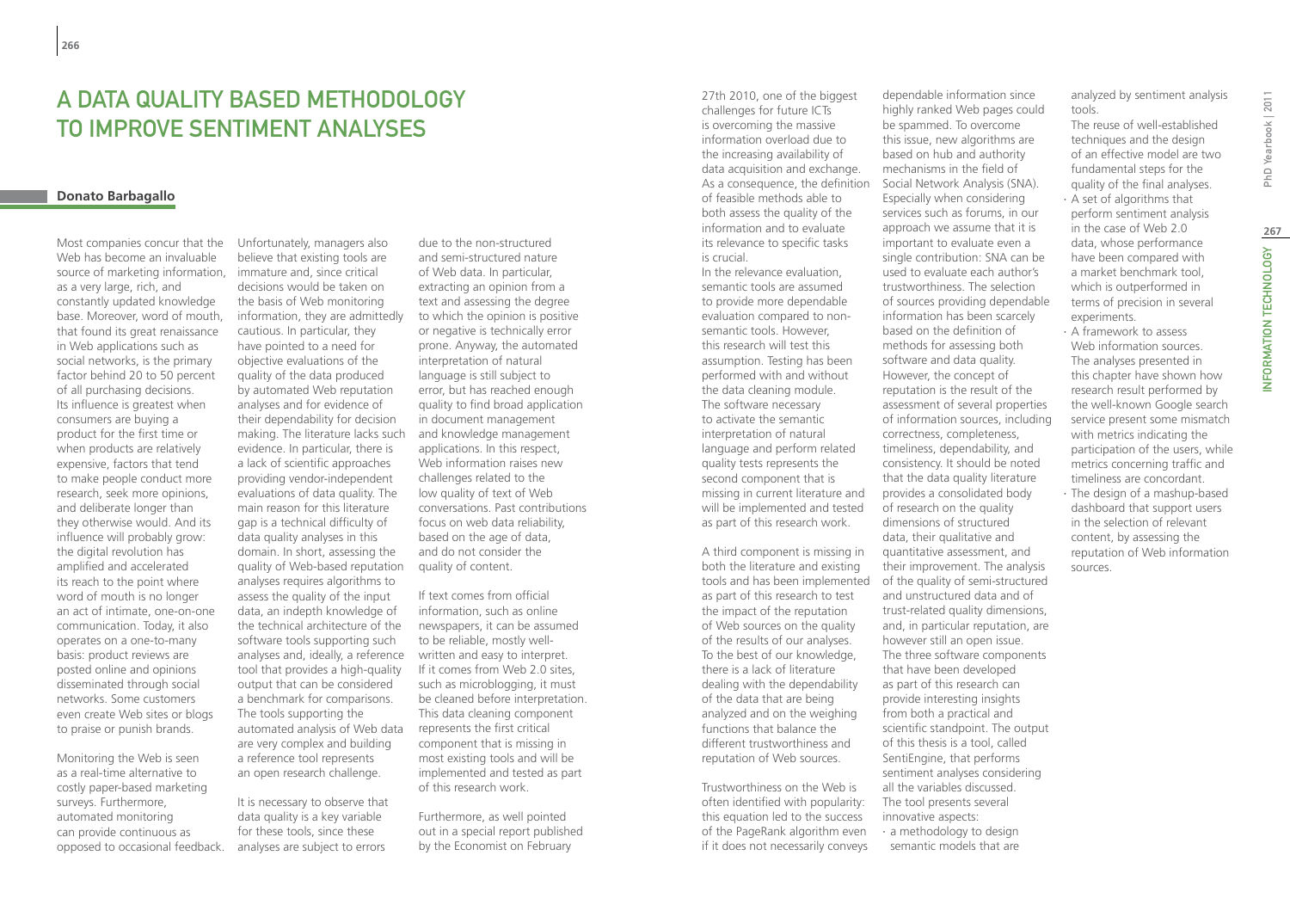# A data quality based methodology to improve sentiment analyses

# **Donato Barbagallo**

Most companies concur that the Web has become an invaluable source of marketing information, as a very large, rich, and constantly updated knowledge base. Moreover, word of mouth, that found its great renaissance in Web applications such as social networks, is the primary factor behind 20 to 50 percent of all purchasing decisions. Its influence is greatest when consumers are buying a product for the first time or when products are relatively expensive, factors that tend to make people conduct more research, seek more opinions, and deliberate longer than they otherwise would. And its influence will probably grow: the digital revolution has amplified and accelerated its reach to the point where word of mouth is no longer an act of intimate, one-on-one communication. Today, it also operates on a one-to-many basis: product reviews are posted online and opinions disseminated through social networks. Some customers even create Web sites or blogs to praise or punish brands.

Monitoring the Web is seen as a real-time alternative to costly paper-based marketing surveys. Furthermore, automated monitoring can provide continuous as opposed to occasional feedback.

Unfortunately, managers also believe that existing tools are immature and, since critical decisions would be taken on the basis of Web monitoring information, they are admittedly cautious. In particular, they have pointed to a need for objective evaluations of the quality of the data produced by automated Web reputation analyses and for evidence of their dependability for decision making. The literature lacks such evidence. In particular, there is a lack of scientific approaches providing vendor-independent evaluations of data quality. The main reason for this literature gap is a technical difficulty of data quality analyses in this domain. In short, assessing the quality of Web-based reputation analyses requires algorithms to assess the quality of the input data, an indepth knowledge of the technical architecture of the software tools supporting such analyses and, ideally, a reference tool that provides a high-quality output that can be considered a benchmark for comparisons. The tools supporting the automated analysis of Web data are very complex and building a reference tool represents an open research challenge.

It is necessary to observe that data quality is a key variable for these tools, since these analyses are subject to errors

due to the non-structured and semi-structured nature of Web data. In particular, extracting an opinion from a text and assessing the degree to which the opinion is positive or negative is technically error prone. Anyway, the automated interpretation of natural language is still subject to error, but has reached enough quality to find broad application in document management and knowledge management applications. In this respect, Web information raises new challenges related to the low quality of text of Web conversations. Past contributions focus on web data reliability, based on the age of data, and do not consider the quality of content.

If text comes from official information, such as online newspapers, it can be assumed to be reliable, mostly wellwritten and easy to interpret. If it comes from Web 2.0 sites, such as microblogging, it must be cleaned before interpretation. This data cleaning component represents the first critical component that is missing in most existing tools and will be implemented and tested as part of this research work.

Furthermore, as well pointed out in a special report published by the Economist on February

27th 2010, one of the biggest challenges for future ICTs is overcoming the massive information overload due to the increasing availability of data acquisition and exchange. As a consequence, the definition of feasible methods able to both assess the quality of the information and to evaluate its relevance to specific tasks is crucial.

In the relevance evaluation, semantic tools are assumed to provide more dependable evaluation compared to nonsemantic tools. However, this research will test this assumption. Testing has been performed with and without the data cleaning module. The software necessary to activate the semantic interpretation of natural language and perform related quality tests represents the second component that is missing in current literature and will be implemented and tested as part of this research work.

A third component is missing in both the literature and existing as part of this research to test the impact of the reputation of Web sources on the quality of the results of our analyses. To the best of our knowledge, there is a lack of literature dealing with the dependability of the data that are being analyzed and on the weighing functions that balance the different trustworthiness and reputation of Web sources.

Trustworthiness on the Web is often identified with popularity: this equation led to the success of the PageRank algorithm even if it does not necessarily conveys

tools and has been implemented of the quality of semi-structured dependable information since highly ranked Web pages could be spammed. To overcome this issue, new algorithms are based on hub and authority mechanisms in the field of Social Network Analysis (SNA). Especially when considering services such as forums, in our approach we assume that it is important to evaluate even a single contribution: SNA can be used to evaluate each author's trustworthiness. The selection of sources providing dependable information has been scarcely based on the definition of methods for assessing both software and data quality. However, the concept of reputation is the result of the assessment of several properties of information sources, including correctness, completeness, timeliness, dependability, and consistency. It should be noted that the data quality literature provides a consolidated body of research on the quality dimensions of structured data, their qualitative and quantitative assessment, and their improvement. The analysis and unstructured data and of trust-related quality dimensions, and, in particular reputation, are however still an open issue. The three software components that have been developed as part of this research can provide interesting insights from both a practical and scientific standpoint. The output of this thesis is a tool, called

> SentiEngine, that performs sentiment analyses considering all the variables discussed. The tool presents several innovative aspects: ∙ a methodology to design semantic models that are

analyzed by sentiment analysis tools.

The reuse of well-established techniques and the design of an effective model are two fundamental steps for the quality of the final analyses.

- ∙ A set of algorithms that perform sentiment analysis in the case of Web 2.0 data, whose performance have been compared with a market benchmark tool, which is outperformed in experiments.
- Web information sources. The analyses presented in this chapter have shown how research result performed by the well-known Google search service present some mismatch with metrics indicating the participation of the users, while metrics concerning traffic and timeliness are concordant.
- dashboard that support users in the selection of relevant content, by assessing the reputation of Web information sources.

terms of precision in several ∙ A framework to assess ∙ The design of a mashup-based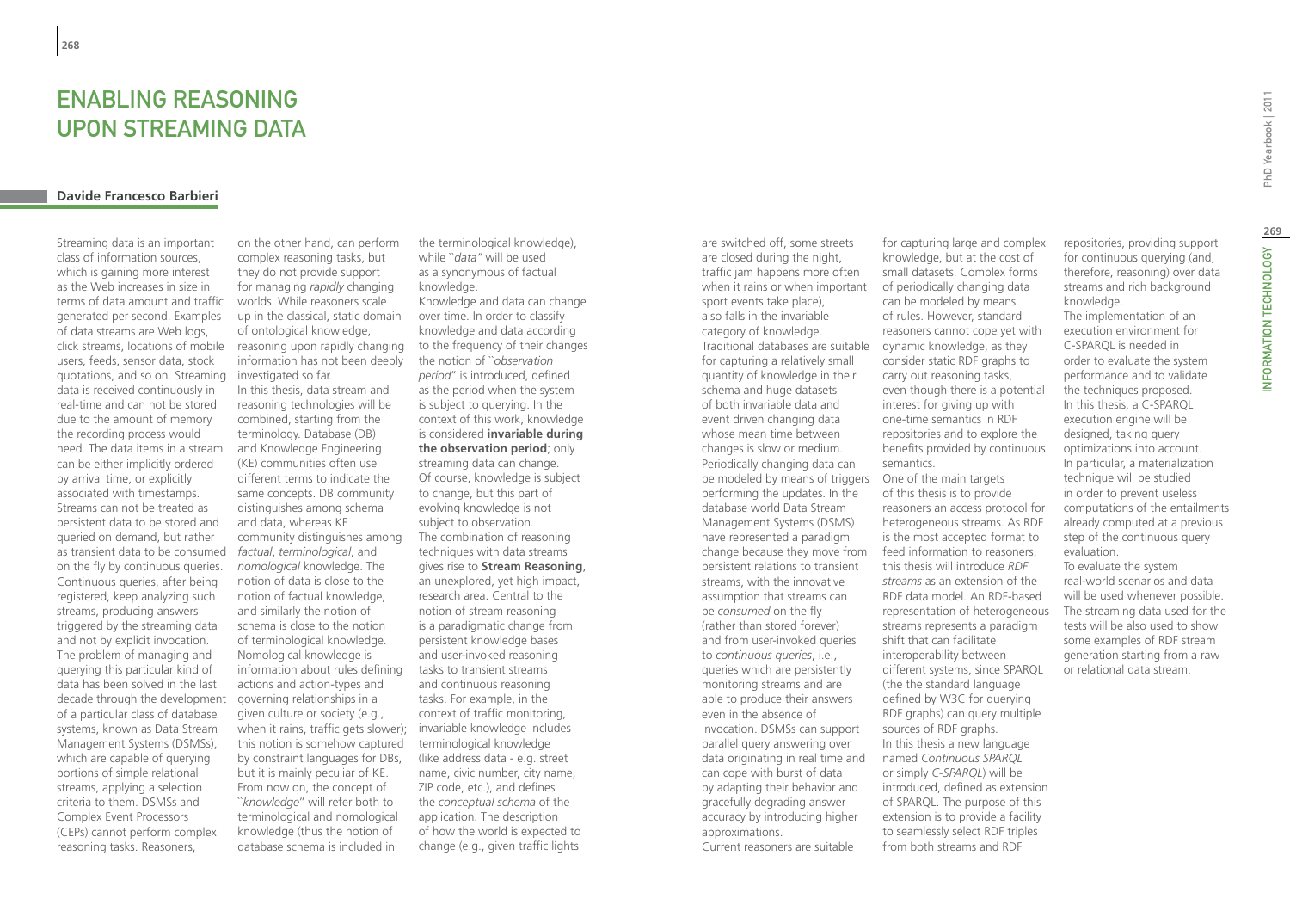# Enabling Reasoning upon Streaming Data

# **Davide Francesco Barbieri**

Streaming data is an important class of information sources, which is gaining more interest as the Web increases in size in terms of data amount and traffic generated per second. Examples of data streams are Web logs, click streams, locations of mobile users, feeds, sensor data, stock quotations, and so on. Streaming data is received continuously in real-time and can not be stored due to the amount of memory the recording process would need. The data items in a stream can be either implicitly ordered by arrival time, or explicitly associated with timestamps. Streams can not be treated as persistent data to be stored and queried on demand, but rather as transient data to be consumed on the fly by continuous queries. Continuous queries, after being registered, keep analyzing such streams, producing answers triggered by the streaming data and not by explicit invocation. The problem of managing and querying this particular kind of data has been solved in the last decade through the development of a particular class of database systems, known as Data Stream Management Systems (DSMSs), which are capable of querying portions of simple relational streams, applying a selection criteria to them. DSMSs and Complex Event Processors (CEPs) cannot perform complex reasoning tasks. Reasoners,

on the other hand, can perform complex reasoning tasks, but they do not provide support for managing *rapidly* changing worlds. While reasoners scale up in the classical, static domain of ontological knowledge, reasoning upon rapidly changing information has not been deeply investigated so far. In this thesis, data stream and reasoning technologies will be combined, starting from the terminology. Database (DB) and Knowledge Engineering (KE) communities often use different terms to indicate the same concepts. DB community distinguishes among schema and data, whereas KE community distinguishes among *factual*, *terminological*, and *nomological* knowledge. The notion of data is close to the notion of factual knowledge, and similarly the notion of schema is close to the notion of terminological knowledge. Nomological knowledge is information about rules defining actions and action-types and governing relationships in a given culture or society (e.g., when it rains, traffic gets slower); this notion is somehow captured by constraint languages for DBs, but it is mainly peculiar of KE. From now on, the concept of ``*knowledge*'' will refer both to terminological and nomological knowledge (thus the notion of database schema is included in

the terminological knowledge), while ``*data''* will be used as a synonymous of factual knowledge. Knowledge and data can change over time. In order to classify knowledge and data according to the frequency of their changes the notion of ``*observation period*'' is introduced, defined as the period when the system is subject to querying. In the context of this work, knowledge is considered **invariable during the observation period**; only streaming data can change. Of course, knowledge is subject to change, but this part of evolving knowledge is not subject to observation. The combination of reasoning techniques with data streams gives rise to **Stream Reasoning**, an unexplored, yet high impact, research area. Central to the notion of stream reasoning is a paradigmatic change from persistent knowledge bases and user-invoked reasoning tasks to transient streams and continuous reasoning tasks. For example, in the context of traffic monitoring, invariable knowledge includes terminological knowledge (like address data - e.g. street name, civic number, city name, ZIP code, etc.), and defines the *conceptual schema* of the application. The description of how the world is expected to change (e.g., given traffic lights

are switched off, some streets are closed during the night, traffic jam happens more often when it rains or when important sport events take place), also falls in the invariable category of knowledge. Traditional databases are suitable for capturing a relatively small quantity of knowledge in their schema and huge datasets of both invariable data and event driven changing data whose mean time between changes is slow or medium. Periodically changing data can be modeled by means of triggers One of the main targets performing the updates. In the database world Data Stream Management Systems (DSMS) have represented a paradigm change because they move from persistent relations to transient streams, with the innovative assumption that streams can be *consumed* on the fly (rather than stored forever) and from user-invoked queries to *continuous queries*, i.e., queries which are persistently monitoring streams and are able to produce their answers even in the absence of invocation. DSMSs can support parallel query answering over data originating in real time and can cope with burst of data by adapting their behavior and gracefully degrading answer accuracy by introducing higher approximations. Current reasoners are suitable

for capturing large and complex knowledge, but at the cost of small datasets. Complex forms of periodically changing data can be modeled by means of rules. However, standard reasoners cannot cope yet with dynamic knowledge, as they consider static RDF graphs to carry out reasoning tasks, even though there is a potential interest for giving up with one-time semantics in RDF repositories and to explore the benefits provided by continuous semantics. of this thesis is to provide reasoners an access protocol for heterogeneous streams. As RDF is the most accepted format to feed information to reasoners, this thesis will introduce *RDF streams* as an extension of the RDF data model. An RDF-based representation of heterogeneous streams represents a paradigm shift that can facilitate interoperability between different systems, since SPARQL (the the standard language defined by W3C for querying RDF graphs) can query multiple

sources of RDF graphs. In this thesis a new language named *Continuous SPARQL* or simply *C-SPARQL*) will be introduced, defined as extension of SPARQL. The purpose of this extension is to provide a facility to seamlessly select RDF triples from both streams and RDF

repositories, providing support for continuous querying (and, therefore, reasoning) over data streams and rich background knowledge.

The implementation of an execution environment for C-SPARQL is needed in order to evaluate the system performance and to validate the techniques proposed. In this thesis, a C-SPARQL execution engine will be designed, taking query optimizations into account. In particular, a materialization technique will be studied in order to prevent useless computations of the entailments already computed at a previous step of the continuous query evaluation.

To evaluate the system real-world scenarios and data will be used whenever possible. The streaming data used for the tests will be also used to show some examples of RDF stream generation starting from a raw or relational data stream.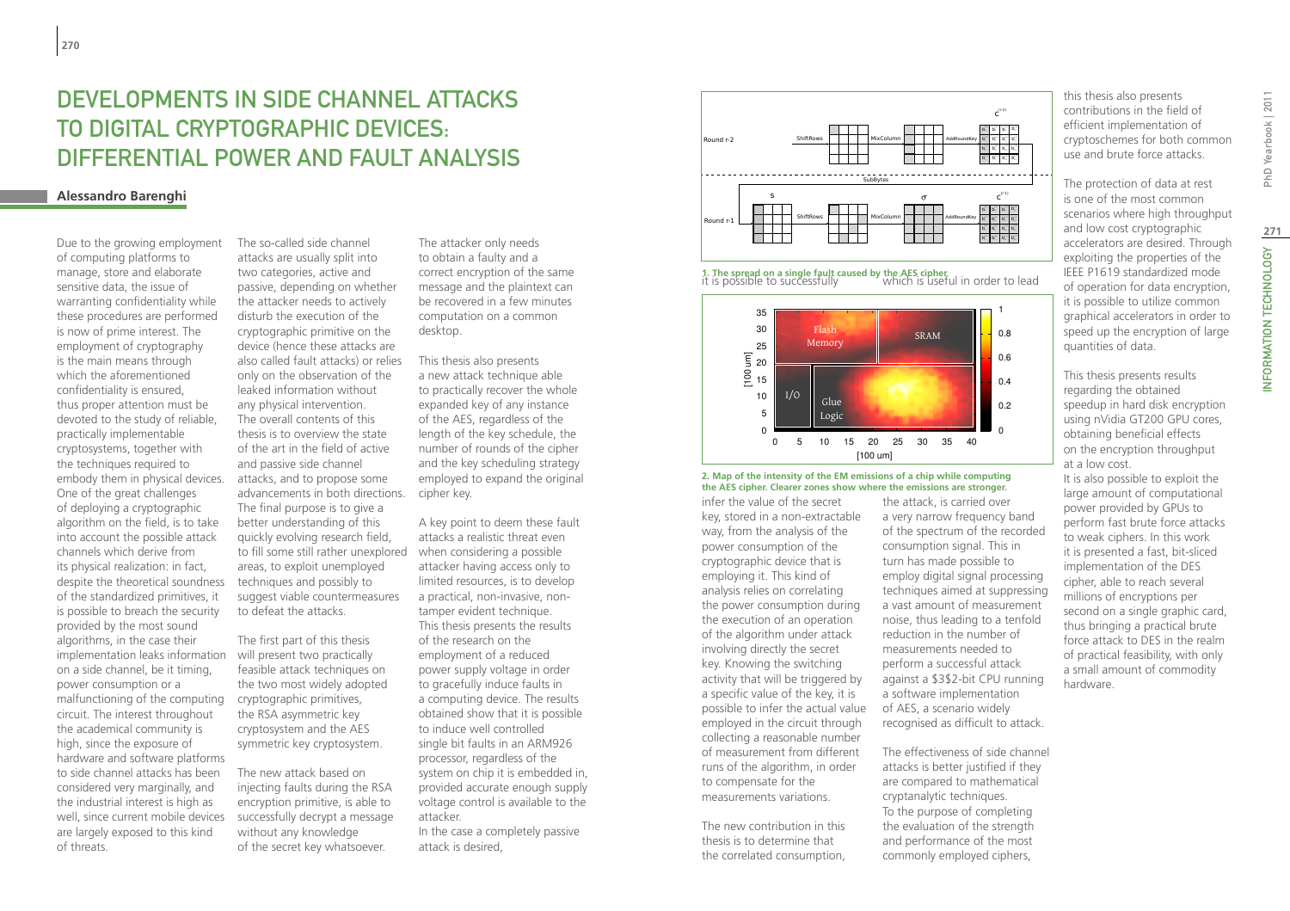# Developments in side channel attacks to digital cryptographic devices: differential power and fault analysis

# **Alessandro Barenghi**

Due to the growing employment of computing platforms to manage, store and elaborate sensitive data, the issue of warranting confidentiality while these procedures are performed is now of prime interest. The employment of cryptography is the main means through which the aforementioned confidentiality is ensured, thus proper attention must be devoted to the study of reliable, practically implementable cryptosystems, together with the techniques required to embody them in physical devices. One of the great challenges of deploying a cryptographic algorithm on the field, is to take into account the possible attack channels which derive from its physical realization: in fact, despite the theoretical soundness of the standardized primitives, it is possible to breach the security provided by the most sound algorithms, in the case their implementation leaks information on a side channel, be it timing, power consumption or a malfunctioning of the computing circuit. The interest throughout the academical community is high, since the exposure of hardware and software platforms to side channel attacks has been considered very marginally, and the industrial interest is high as well, since current mobile devices are largely exposed to this kind of threats.

The so-called side channel attacks are usually split into two categories, active and passive, depending on whether the attacker needs to actively disturb the execution of the cryptographic primitive on the device (hence these attacks are also called fault attacks) or relies only on the observation of the leaked information without any physical intervention. The overall contents of this thesis is to overview the state of the art in the field of active and passive side channel attacks, and to propose some advancements in both directions. The final purpose is to give a better understanding of this quickly evolving research field, to fill some still rather unexplored when considering a possible areas, to exploit unemployed techniques and possibly to suggest viable countermeasures to defeat the attacks.

The first part of this thesis will present two practically feasible attack techniques on the two most widely adopted cryptographic primitives, the RSA asymmetric key cryptosystem and the AES symmetric key cryptosystem.

The new attack based on injecting faults during the RSA encryption primitive, is able to successfully decrypt a message without any knowledge of the secret key whatsoever.

The attacker only needs to obtain a faulty and a correct encryption of the same message and the plaintext can be recovered in a few minutes computation on a common desktop.

This thesis also presents a new attack technique able to practically recover the whole expanded key of any instance of the AES, regardless of the length of the key schedule, the number of rounds of the cipher and the key scheduling strategy employed to expand the original cipher key.

A key point to deem these fault attacks a realistic threat even attacker having access only to limited resources, is to develop a practical, non-invasive, nontamper evident technique. This thesis presents the results of the research on the employment of a reduced power supply voltage in order to gracefully induce faults in a computing device. The results obtained show that it is possible to induce well controlled single bit faults in an ARM926 processor, regardless of the system on chip it is embedded in, provided accurate enough supply voltage control is available to the attacker. In the case a completely passive

attack is desired,



it is possible to successfully which is useful in order to lead **1. The spread on a single fault caused by the AES cipher**



### **2. Map of the intensity of the EM emissions of a chip while computing the AES cipher. Clearer zones show where the emissions are stronger.**

infer the value of the secret key, stored in a non-extractable way, from the analysis of the power consumption of the cryptographic device that is employing it. This kind of analysis relies on correlating the power consumption during the execution of an operation of the algorithm under attack involving directly the secret key. Knowing the switching activity that will be triggered by a specific value of the key, it is possible to infer the actual value employed in the circuit through collecting a reasonable number of measurement from different runs of the algorithm, in order to compensate for the measurements variations.

The new contribution in this thesis is to determine that the correlated consumption, this thesis also presents contributions in the field of efficient implementation of cryptoschemes for both common use and brute force attacks.

The protection of data at rest is one of the most common scenarios where high throughput and low cost cryptographic accelerators are desired. Through exploiting the properties of the IEEE P1619 standardized mode of operation for data encryption, it is possible to utilize common graphical accelerators in order to speed up the encryption of large quantities of data.

This thesis presents results regarding the obtained speedup in hard disk encryption using nVidia GT200 GPU cores, obtaining beneficial effects on the encryption throughput at a low cost.

It is also possible to exploit the large amount of computational power provided by GPUs to perform fast brute force attacks to weak ciphers. In this work it is presented a fast, bit-sliced implementation of the DES cipher, able to reach several millions of encryptions per second on a single graphic card, thus bringing a practical brute force attack to DES in the realm of practical feasibility, with only a small amount of commodity hardware.

recognised as difficult to attack. The effectiveness of side channel attacks is better justified if they are compared to mathematical cryptanalytic techniques. To the purpose of completing the evaluation of the strength and performance of the most commonly employed ciphers,

the attack, is carried over a very narrow frequency band of the spectrum of the recorded consumption signal. This in turn has made possible to employ digital signal processing techniques aimed at suppressing a vast amount of measurement noise, thus leading to a tenfold reduction in the number of measurements needed to perform a successful attack against a \$3\$2-bit CPU running a software implementation of AES, a scenario widely

Yearbook | 2011 PhD)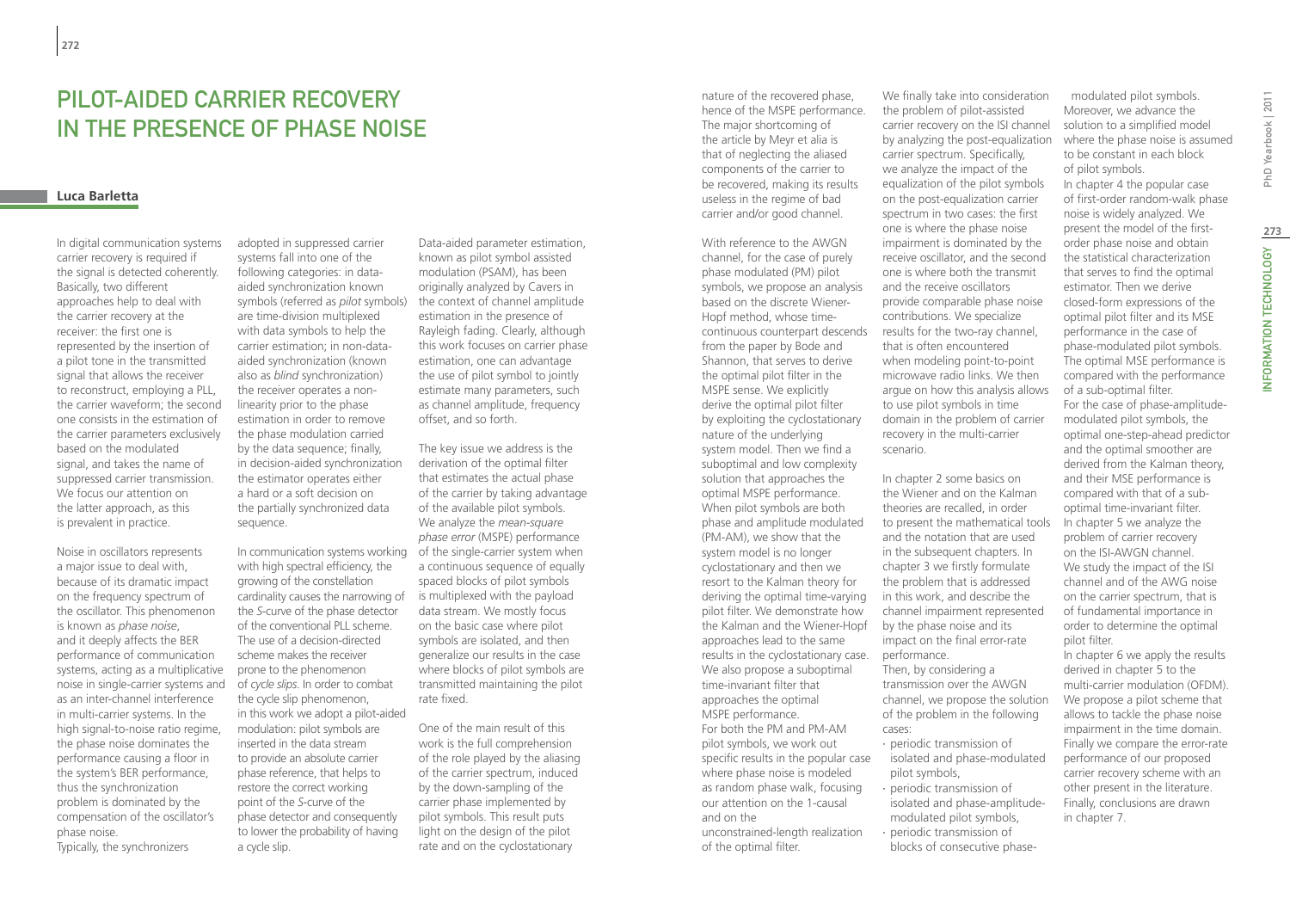# Pilot-aided carrier recovery in the presence of phase noise

# **Luca Barletta**

In digital communication systems carrier recovery is required if the signal is detected coherently. Basically, two different approaches help to deal with the carrier recovery at the receiver: the first one is represented by the insertion of a pilot tone in the transmitted signal that allows the receiver to reconstruct, employing a PLL, the carrier waveform; the second one consists in the estimation of the carrier parameters exclusively based on the modulated signal, and takes the name of suppressed carrier transmission. We focus our attention on the latter approach, as this is prevalent in practice.

Noise in oscillators represents a major issue to deal with, because of its dramatic impact on the frequency spectrum of the oscillator. This phenomenon is known as *phase noise*, and it deeply affects the BER performance of communication systems, acting as a multiplicative noise in single-carrier systems and as an inter-channel interference in multi-carrier systems. In the high signal-to-noise ratio regime, the phase noise dominates the performance causing a floor in the system's BER performance, thus the synchronization problem is dominated by the compensation of the oscillator's phase noise. Typically, the synchronizers

adopted in suppressed carrier systems fall into one of the following categories: in dataaided synchronization known symbols (referred as *pilot* symbols) are time-division multiplexed with data symbols to help the carrier estimation; in non-dataaided synchronization (known also as *blind* synchronization) the receiver operates a nonlinearity prior to the phase estimation in order to remove the phase modulation carried by the data sequence; finally, in decision-aided synchronization the estimator operates either a hard or a soft decision on the partially synchronized data sequence.

with high spectral efficiency, the growing of the constellation cardinality causes the narrowing of the *S*-curve of the phase detector of the conventional PLL scheme. The use of a decision-directed scheme makes the receiver prone to the phenomenon of *cycle slips*. In order to combat the cycle slip phenomenon, in this work we adopt a pilot-aided modulation: pilot symbols are inserted in the data stream to provide an absolute carrier phase reference, that helps to restore the correct working point of the *S*-curve of the phase detector and consequently to lower the probability of having a cycle slip.

Data-aided parameter estimation, known as pilot symbol assisted modulation (PSAM), has been originally analyzed by Cavers in the context of channel amplitude estimation in the presence of Rayleigh fading. Clearly, although this work focuses on carrier phase estimation, one can advantage the use of pilot symbol to jointly estimate many parameters, such as channel amplitude, frequency offset, and so forth.

In communication systems working of the single-carrier system when The key issue we address is the derivation of the optimal filter that estimates the actual phase of the carrier by taking advantage of the available pilot symbols. We analyze the *mean-square phase error* (MSPE) performance a continuous sequence of equally spaced blocks of pilot symbols is multiplexed with the payload data stream. We mostly focus on the basic case where pilot symbols are isolated, and then generalize our results in the case where blocks of pilot symbols are transmitted maintaining the pilot rate fixed.

> One of the main result of this work is the full comprehension of the role played by the aliasing of the carrier spectrum, induced by the down-sampling of the carrier phase implemented by pilot symbols. This result puts light on the design of the pilot rate and on the cyclostationary

nature of the recovered phase, hence of the MSPE performance. The major shortcoming of the article by Meyr et alia is that of neglecting the aliased components of the carrier to be recovered, making its results useless in the regime of bad carrier and/or good channel.

With reference to the AWGN channel, for the case of purely phase modulated (PM) pilot symbols, we propose an analysis based on the discrete Wiener-Hopf method, whose timecontinuous counterpart descends from the paper by Bode and Shannon, that serves to derive the optimal pilot filter in the MSPE sense. We explicitly derive the optimal pilot filter by exploiting the cyclostationary nature of the underlying system model. Then we find a suboptimal and low complexity solution that approaches the optimal MSPE performance. When pilot symbols are both phase and amplitude modulated (PM-AM), we show that the system model is no longer cyclostationary and then we resort to the Kalman theory for deriving the optimal time-varying pilot filter. We demonstrate how the Kalman and the Wiener-Hopf by the phase noise and its approaches lead to the same results in the cyclostationary case. We also propose a suboptimal time-invariant filter that approaches the optimal MSPE performance. For both the PM and PM-AM pilot symbols, we work out specific results in the popular case where phase noise is modeled as random phase walk, focusing our attention on the 1-causal and on the unconstrained-length realization

of the optimal filter.

We finally take into consideration the problem of pilot-assisted carrier recovery on the ISI channel by analyzing the post-equalization carrier spectrum. Specifically, we analyze the impact of the equalization of the pilot symbols on the post-equalization carrier spectrum in two cases: the first one is where the phase noise impairment is dominated by the receive oscillator, and the second one is where both the transmit and the receive oscillators provide comparable phase noise contributions. We specialize results for the two-ray channel, that is often encountered when modeling point-to-point microwave radio links. We then argue on how this analysis allows to use pilot symbols in time domain in the problem of carrier recovery in the multi-carrier scenario.

In chapter 2 some basics on the Wiener and on the Kalman theories are recalled, in order to present the mathematical tools and the notation that are used in the subsequent chapters. In chapter 3 we firstly formulate the problem that is addressed in this work, and describe the channel impairment represented impact on the final error-rate performance. Then, by considering a transmission over the AWGN channel, we propose the solution of the problem in the following cases:

- ∙ periodic transmission of isolated and phase-modulated pilot symbols,
- ∙ periodic transmission of isolated and phase-amplitudemodulated pilot symbols, ∙ periodic transmission of blocks of consecutive phase-

modulated pilot symbols. Moreover, we advance the solution to a simplified model where the phase noise is assumed to be constant in each block of pilot symbols. In chapter 4 the popular case of first-order random-walk phase noise is widely analyzed. We present the model of the firstorder phase noise and obtain the statistical characterization that serves to find the optimal estimator. Then we derive closed-form expressions of the optimal pilot filter and its MSE performance in the case of phase-modulated pilot symbols. The optimal MSE performance is compared with the performance of a sub-optimal filter. For the case of phase-amplitudemodulated pilot symbols, the optimal one-step-ahead predictor and the optimal smoother are derived from the Kalman theory, and their MSE performance is compared with that of a suboptimal time-invariant filter.

In chapter 5 we analyze the problem of carrier recovery on the ISI-AWGN channel. We study the impact of the ISI channel and of the AWG noise on the carrier spectrum, that is of fundamental importance in order to determine the optimal pilot filter. In chapter 6 we apply the results

derived in chapter 5 to the multi-carrier modulation (OFDM). We propose a pilot scheme that allows to tackle the phase noise impairment in the time domain. Finally we compare the error-rate performance of our proposed carrier recovery scheme with an other present in the literature. Finally, conclusions are drawn in chapter 7.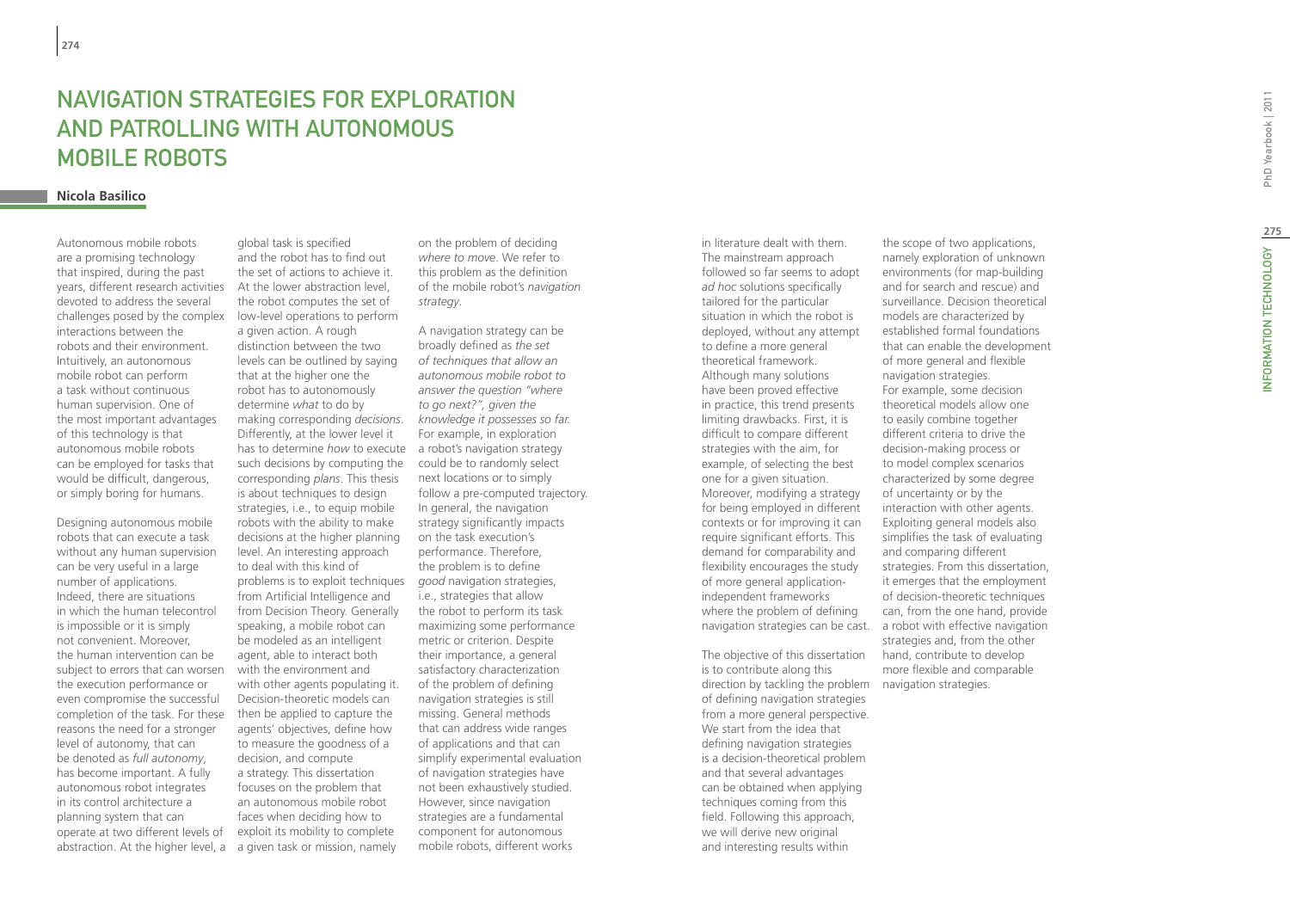# NAVIGATION STRATEGIES FOR EXP<br>AND PATROLLING WITH AUTONOM<br>MOBILE ROBOTS<br><sup>Nicola Basilico</sup> and Patrolling with Autonomous Mobile Robots

Autonomous mobile robots are a promising technology that inspired, during the past years, different research activities At the lower abstraction level, devoted to address the several challenges posed by the complex interactions between the robots and their environment. Intuitively, an autonomous mobile robot can perform a task without continuous human supervision. One of the most important advantages of this technology is that autonomous mobile robots can be employed for tasks that would be difficult, dangerous, or simply boring for humans.

Designing autonomous mobile robots that can execute a task without any human supervision can be very useful in a large number of applications. Indeed, there are situations in which the human telecontrol is impossible or it is simply not convenient. Moreover, the human intervention can be subject to errors that can worsen the execution performance or even compromise the successful completion of the task. For these reasons the need for a stronger level of autonomy, that can be denoted as *full autonomy*, has become important. A fully autonomous robot integrates in its control architecture a planning system that can operate at two different levels of abstraction. At the higher level, a a given task or mission, namely

global task is specified and the robot has to find out the set of actions to achieve it. the robot computes the set of low-level operations to perform a given action. A rough distinction between the two levels can be outlined by saying that at the higher one the robot has to autonomously determine *what* to do by making corresponding *decisions*. Differently, at the lower level it has to determine *how* to execute such decisions by computing the corresponding *plans*. This thesis is about techniques to design strategies, i.e., to equip mobile robots with the ability to make decisions at the higher planning level. An interesting approach to deal with this kind of problems is to exploit techniques from Artificial Intelligence and from Decision Theory. Generally speaking, a mobile robot can be modeled as an intelligent agent, able to interact both with the environment and with other agents populating it. Decision-theoretic models can then be applied to capture the agents' objectives, define how to measure the goodness of a decision, and compute a strategy. This dissertation focuses on the problem that an autonomous mobile robot faces when deciding how to exploit its mobility to complete

on the problem of deciding *where to move*. We refer to this problem as the definition of the mobile robot's *navigation strategy*.

A navigation strategy can be broadly defined as *the set of techniques that allow an autonomous mobile robot to answer the question "where to go next?", given the knowledge it possesses so far.*  For example, in exploration a robot's navigation strategy could be to randomly select next locations or to simply follow a pre-computed trajectory. In general, the navigation strategy significantly impacts on the task execution's performance. Therefore, the problem is to define *good* navigation strategies, i.e., strategies that allow the robot to perform its task maximizing some performance metric or criterion. Despite their importance, a general satisfactory characterization of the problem of defining navigation strategies is still missing. General methods that can address wide ranges of applications and that can simplify experimental evaluation of navigation strategies have not been exhaustively studied. However, since navigation strategies are a fundamental component for autonomous mobile robots, different works

in literature dealt with them. The mainstream approach followed so far seems to adopt *ad hoc* solutions specifically tailored for the particular situation in which the robot is deployed, without any attempt to define a more general theoretical framework. Although many solutions have been proved effective in practice, this trend presents limiting drawbacks. First, it is difficult to compare different strategies with the aim, for example, of selecting the best one for a given situation. Moreover, modifying a strategy for being employed in different contexts or for improving it can require significant efforts. This demand for comparability and flexibility encourages the study of more general applicationindependent frameworks where the problem of defining navigation strategies can be cast. a robot with effective navigation

The objective of this dissertation is to contribute along this direction by tackling the problem navigation strategies. of defining navigation strategies from a more general perspective. We start from the idea that defining navigation strategies is a decision-theoretical problem and that several advantages can be obtained when applying techniques coming from this field. Following this approach, we will derive new original and interesting results within

the scope of two applications, namely exploration of unknown environments (for map-building and for search and rescue) and surveillance. Decision theoretical models are characterized by established formal foundations that can enable the development of more general and flexible navigation strategies. For example, some decision theoretical models allow one to easily combine together different criteria to drive the decision-making process or to model complex scenarios characterized by some degree of uncertainty or by the interaction with other agents. Exploiting general models also simplifies the task of evaluating and comparing different strategies. From this dissertation, it emerges that the employment of decision-theoretic techniques can, from the one hand, provide strategies and, from the other hand, contribute to develop more flexible and comparable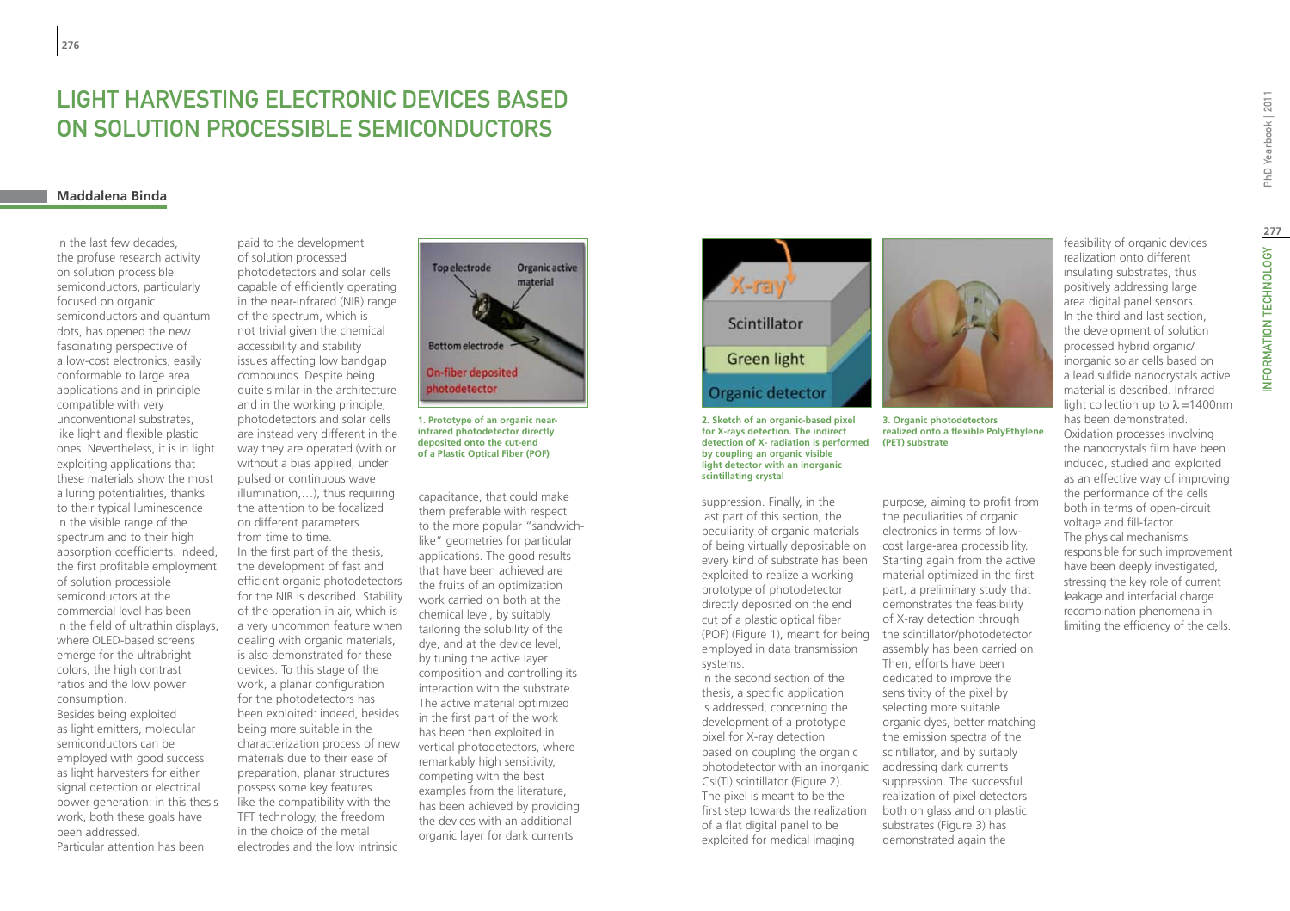### **Maddalena Binda**

In the last few decades, the profuse research activity on solution processible semiconductors, particularly focused on organic semiconductors and quantum dots, has opened the new fascinating perspective of a low-cost electronics, easily conformable to large area applications and in principle compatible with very unconventional substrates, like light and flexible plastic ones. Nevertheless, it is in light exploiting applications that these materials show the most alluring potentialities, thanks to their typical luminescence in the visible range of the spectrum and to their high absorption coefficients. Indeed, the first profitable employment of solution processible semiconductors at the commercial level has been in the field of ultrathin displays, where OLED-based screens emerge for the ultrabright colors, the high contrast ratios and the low power consumption. Besides being exploited as light emitters, molecular semiconductors can be employed with good success as light harvesters for either signal detection or electrical power generation: in this thesis work, both these goals have been addressed. Particular attention has been

paid to the development of solution processed photodetectors and solar cells capable of efficiently operating in the near-infrared (NIR) range of the spectrum, which is not trivial given the chemical accessibility and stability issues affecting low bandgap compounds. Despite being quite similar in the architecture and in the working principle, photodetectors and solar cells are instead very different in the way they are operated (with or without a bias applied, under pulsed or continuous wave illumination,…), thus requiring the attention to be focalized on different parameters from time to time. In the first part of the thesis, the development of fast and efficient organic photodetectors for the NIR is described. Stability of the operation in air, which is a very uncommon feature when dealing with organic materials, is also demonstrated for these devices. To this stage of the work, a planar configuration for the photodetectors has been exploited: indeed, besides being more suitable in the characterization process of new materials due to their ease of preparation, planar structures possess some key features like the compatibility with the TFT technology, the freedom in the choice of the metal electrodes and the low intrinsic



**1. Prototype of an organic nearinfrared photodetector directly deposited onto the cut-end of a Plastic Optical Fiber (POF)**

capacitance, that could make them preferable with respect to the more popular "sandwichlike" geometries for particular applications. The good results that have been achieved are the fruits of an optimization work carried on both at the chemical level, by suitably tailoring the solubility of the dye, and at the device level, by tuning the active layer composition and controlling its interaction with the substrate. The active material optimized in the first part of the work has been then exploited in vertical photodetectors, where remarkably high sensitivity. competing with the best examples from the literature, has been achieved by providing the devices with an additional organic layer for dark currents



**2. Sketch of an organic-based pixel for X-rays detection. The indirect detection of X- radiation is performed (PET) substrateby coupling an organic visible light detector with an inorganic scintillating crystal**

suppression. Finally, in the last part of this section, the peculiarity of organic materials of being virtually depositable on every kind of substrate has been exploited to realize a working prototype of photodetector directly deposited on the end cut of a plastic optical fiber (POF) (Figure 1), meant for being employed in data transmission systems.

In the second section of the thesis, a specific application is addressed, concerning the development of a prototype pixel for X-ray detection based on coupling the organic photodetector with an inorganic CsI(Tl) scintillator (Figure 2). The pixel is meant to be the first step towards the realization of a flat digital panel to be exploited for medical imaging



**realized onto a flexible PolyEthylene** 

purpose, aiming to profit from the peculiarities of organic electronics in terms of lowcost large-area processibility. Starting again from the active material optimized in the first part, a preliminary study that demonstrates the feasibility of X-ray detection through the scintillator/photodetector assembly has been carried on. Then, efforts have been dedicated to improve the sensitivity of the pixel by selecting more suitable organic dyes, better matching the emission spectra of the scintillator, and by suitably addressing dark currents suppression. The successful realization of pixel detectors both on glass and on plastic substrates (Figure 3) has demonstrated again the

feasibility of organic devices realization onto different insulating substrates, thus positively addressing large area digital panel sensors. In the third and last section, the development of solution processed hybrid organic/ inorganic solar cells based on a lead sulfide nanocrystals active material is described. Infrared light collection up to  $\lambda$  =1400nm has been demonstrated. Oxidation processes involving the nanocrystals film have been induced, studied and exploited as an effective way of improving the performance of the cells both in terms of open-circuit voltage and fill-factor. The physical mechanisms responsible for such improvement have been deeply investigated, stressing the key role of current leakage and interfacial charge recombination phenomena in limiting the efficiency of the cells.

**277**

INFORMATION TECHNOLOGY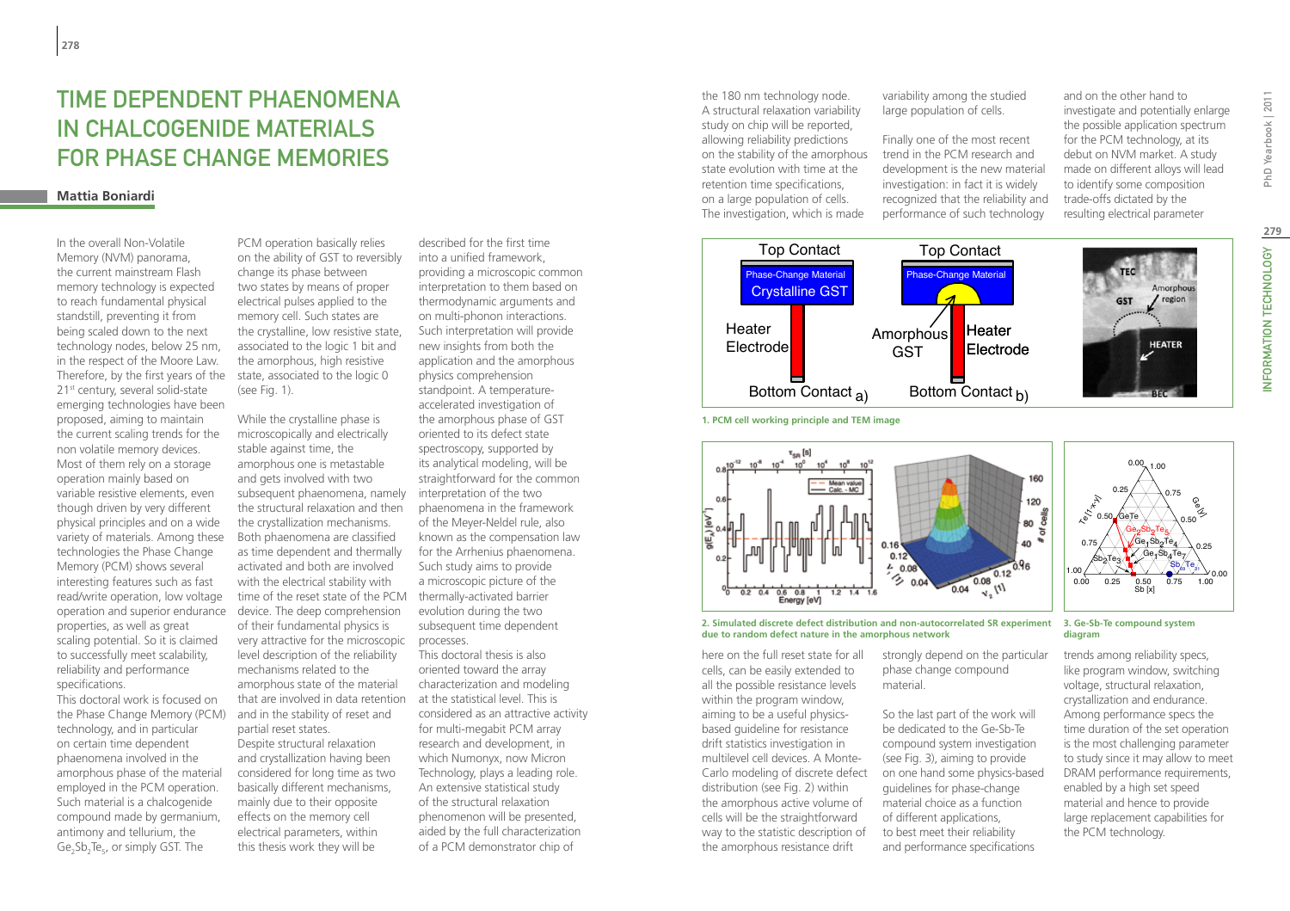# Time Dependent Phaenomena in Chalcogenide Materials for Phase Change Memories

# **Mattia Boniardi**

In the overall Non-Volatile Memory (NVM) panorama, the current mainstream Flash memory technology is expected to reach fundamental physical standstill, preventing it from being scaled down to the next technology nodes, below 25 nm, in the respect of the Moore Law. Therefore, by the first years of the 21<sup>st</sup> century, several solid-state emerging technologies have been proposed, aiming to maintain the current scaling trends for the non volatile memory devices. Most of them rely on a storage operation mainly based on variable resistive elements, even though driven by very different physical principles and on a wide variety of materials. Among these technologies the Phase Change Memory (PCM) shows several interesting features such as fast read/write operation, low voltage operation and superior endurance properties, as well as great scaling potential. So it is claimed to successfully meet scalability, reliability and performance specifications.

This doctoral work is focused on the Phase Change Memory (PCM) technology, and in particular on certain time dependent phaenomena involved in the amorphous phase of the material employed in the PCM operation. Such material is a chalcogenide compound made by germanium, antimony and tellurium, the  $Ge_2Sb_2Te_5$ , or simply GST. The

PCM operation basically relies on the ability of GST to reversibly change its phase between two states by means of proper electrical pulses applied to the memory cell. Such states are the crystalline, low resistive state, associated to the logic 1 bit and the amorphous, high resistive state, associated to the logic 0 (see Fig. 1).

While the crystalline phase is microscopically and electrically stable against time, the amorphous one is metastable and gets involved with two subsequent phaenomena, namely the structural relaxation and then the crystallization mechanisms. Both phaenomena are classified as time dependent and thermally activated and both are involved with the electrical stability with time of the reset state of the PCM device. The deep comprehension of their fundamental physics is very attractive for the microscopic level description of the reliability mechanisms related to the amorphous state of the material that are involved in data retention and in the stability of reset and partial reset states. Despite structural relaxation and crystallization having been considered for long time as two basically different mechanisms, mainly due to their opposite effects on the memory cell electrical parameters, within this thesis work they will be

described for the first time into a unified framework, providing a microscopic common interpretation to them based on thermodynamic arguments and on multi-phonon interactions. Such interpretation will provide new insights from both the application and the amorphous physics comprehension standpoint. A temperatureaccelerated investigation of the amorphous phase of GST oriented to its defect state spectroscopy, supported by its analytical modeling, will be straightforward for the common interpretation of the two phaenomena in the framework of the Meyer-Neldel rule, also known as the compensation law for the Arrhenius phaenomena. Such study aims to provide a microscopic picture of the thermally-activated barrier evolution during the two subsequent time dependent processes. This doctoral thesis is also oriented toward the array characterization and modeling

at the statistical level. This is considered as an attractive activity for multi-megabit PCM array research and development, in which Numonyx, now Micron Technology, plays a leading role. An extensive statistical study of the structural relaxation phenomenon will be presented, aided by the full characterization of a PCM demonstrator chip of

the 180 nm technology node. A structural relaxation variability study on chip will be reported, allowing reliability predictions on the stability of the amorphous state evolution with time at the retention time specifications, on a large population of cells. The investigation, which is made

variability among the studied large population of cells.

Finally one of the most recent trend in the PCM research and development is the new material investigation: in fact it is widely recognized that the reliability and performance of such technology

and on the other hand to investigate and potentially enlarge the possible application spectrum for the PCM technology, at its debut on NVM market. A study made on different alloys will lead to identify some composition trade-offs dictated by the resulting electrical parameter





**1. PCM cell working principle and TEM image**



**2. Simulated discrete defect distribution and non-autocorrelated SR experiment due to random defect nature in the amorphous network**

here on the full reset state for all cells, can be easily extended to all the possible resistance levels within the program window. aiming to be a useful physicsbased guideline for resistance drift statistics investigation in multilevel cell devices. A Montedistribution (see Fig. 2) within the amorphous active volume of cells will be the straightforward way to the statistic description of the amorphous resistance drift

strongly depend on the particular phase change compound material.

Carlo modeling of discrete defect on one hand some physics-based So the last part of the work will be dedicated to the Ge-Sb-Te compound system investigation (see Fig. 3), aiming to provide guidelines for phase-change material choice as a function of different applications, to best meet their reliability and performance specifications

**3. Ge-Sb-Te compound system diagram**

trends among reliability specs, like program window, switching voltage, structural relaxation, crystallization and endurance. Among performance specs the time duration of the set operation is the most challenging parameter to study since it may allow to meet DRAM performance requirements, enabled by a high set speed material and hence to provide large replacement capabilities for the PCM technology.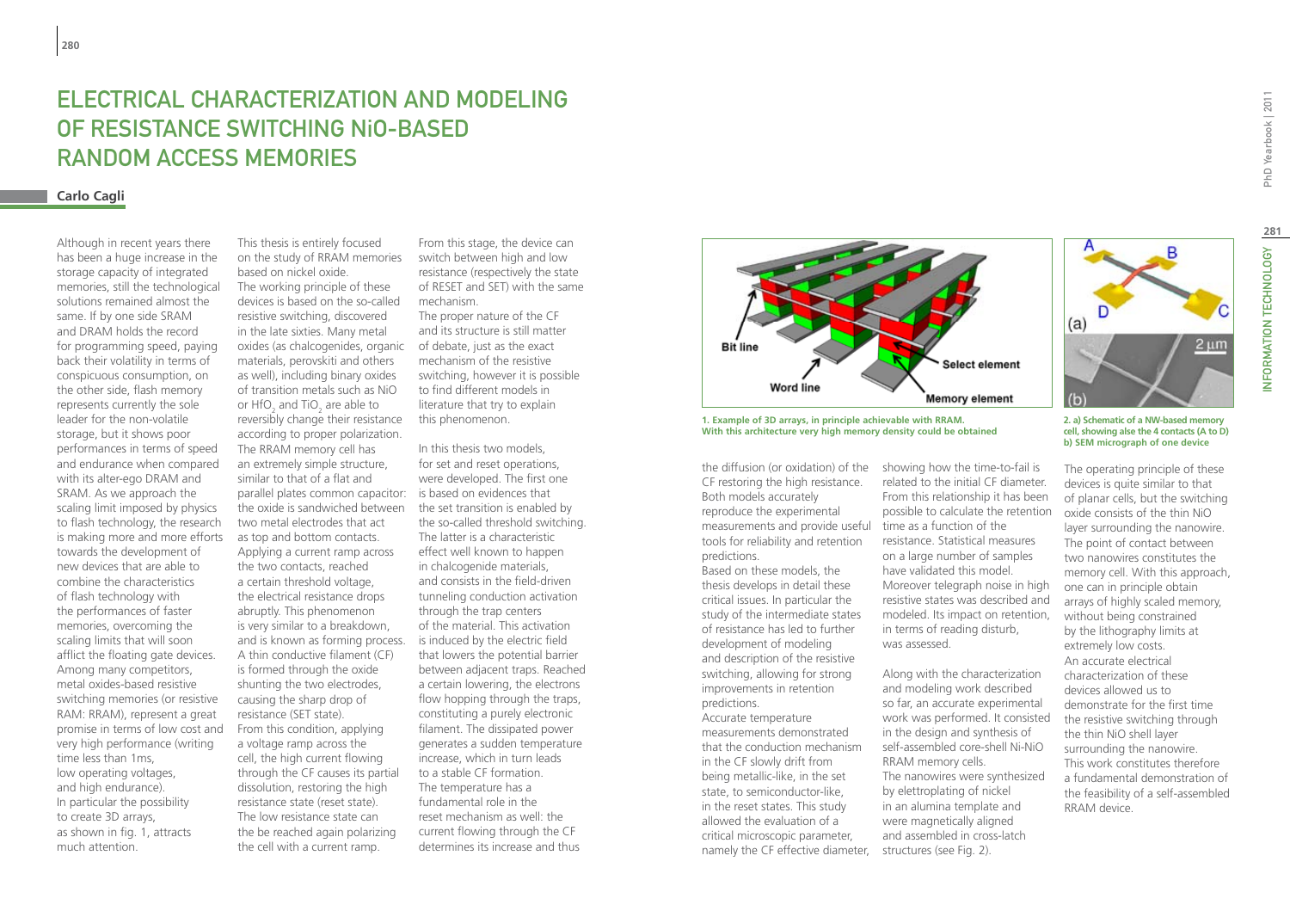# **FI ECTRICAL CHARACTERIZATION AND MODELING** of resistance switching NiO-based random access memories

# **Carlo Cagli**

Although in recent years there has been a huge increase in the storage capacity of integrated memories, still the technological solutions remained almost the same. If by one side SRAM and DRAM holds the record for programming speed, paying back their volatility in terms of conspicuous consumption, on the other side, flash memory represents currently the sole leader for the non-volatile storage, but it shows poor performances in terms of speed and endurance when compared with its alter-ego DRAM and SRAM. As we approach the scaling limit imposed by physics to flash technology, the research is making more and more efforts towards the development of new devices that are able to combine the characteristics of flash technology with the performances of faster memories, overcoming the scaling limits that will soon afflict the floating gate devices. Among many competitors, metal oxides-based resistive switching memories (or resistive RAM: RRAM), represent a great promise in terms of low cost and very high performance (writing time less than 1ms, low operating voltages, and high endurance). In particular the possibility to create 3D arrays, as shown in fig. 1, attracts much attention.

This thesis is entirely focused on the study of RRAM memories based on nickel oxide. The working principle of these devices is based on the so-called resistive switching, discovered in the late sixties. Many metal oxides (as chalcogenides, organic of debate, just as the exact materials, perovskiti and others as well), including binary oxides of transition metals such as NiO or  $HfO_2$  and TiO<sub>2</sub> are able to reversibly change their resistance according to proper polarization. The RRAM memory cell has an extremely simple structure, similar to that of a flat and parallel plates common capacitor: is based on evidences that the oxide is sandwiched between the set transition is enabled by two metal electrodes that act as top and bottom contacts. Applying a current ramp across the two contacts, reached a certain threshold voltage, the electrical resistance drops abruptly. This phenomenon is very similar to a breakdown, and is known as forming process. A thin conductive filament (CF) is formed through the oxide shunting the two electrodes, causing the sharp drop of resistance (SET state). From this condition, applying a voltage ramp across the cell, the high current flowing through the CF causes its partial dissolution, restoring the high resistance state (reset state). The low resistance state can the be reached again polarizing the cell with a current ramp.

From this stage, the device can switch between high and low resistance (respectively the state of RESET and SET) with the same mechanism. The proper nature of the CF and its structure is still matter mechanism of the resistive

switching, however it is possible to find different models in literature that try to explain this phenomenon.

In this thesis two models, for set and reset operations, were developed. The first one the so-called threshold switching. The latter is a characteristic effect well known to happen in chalcogenide materials, and consists in the field-driven tunneling conduction activation through the trap centers of the material. This activation is induced by the electric field that lowers the potential barrier between adjacent traps. Reached a certain lowering, the electrons flow hopping through the traps, constituting a purely electronic filament. The dissipated power generates a sudden temperature increase, which in turn leads to a stable CF formation. The temperature has a fundamental role in the reset mechanism as well: the current flowing through the CF determines its increase and thus



 $\tanh$  ample of 3D arrays, in principle achievable with RRAM. 1. Example of 3D arrays, in principle achievable with RRAM.<br>With this architecture very high memory density could be obtained **With this architecture very high memory density could be obtained**

CF restoring the high resistance. Both models accurately reproduce the experimental measurements and provide useful time as a function of the tools for reliability and retention predictions.

Based on these models, the thesis develops in detail these critical issues. In particular the study of the intermediate states of resistance has led to further development of modeling and description of the resistive switching, allowing for strong improvements in retention predictions. Accurate temperature measurements demonstrated that the conduction mechanism in the CF slowly drift from being metallic-like, in the set state, to semiconductor-like, in the reset states. This study allowed the evaluation of a critical microscopic parameter,

the diffusion (or oxidation) of the showing how the time-to-fail is related to the initial CF diameter. From this relationship it has been possible to calculate the retention resistance. Statistical measures on a large number of samples have validated this model. Moreover telegraph noise in high resistive states was described and modeled. Its impact on retention, in terms of reading disturb, was assessed.

namely the CF effective diameter, structures (see Fig. 2). Along with the characterization and modeling work described so far, an accurate experimental work was performed. It consisted in the design and synthesis of self-assembled core-shell Ni-NiO RRAM memory cells. The nanowires were synthesized by elettroplating of nickel in an alumina template and were magnetically aligned and assembled in cross-latch

PhD Yearbook | 2011

**2. a) Schematic of a NW-based memory cell, showing alse the 4 contacts (A to D) b) SEM micrograph of one device**

 $(a)$ 

 $(b)$ 

B

2 um

The operating principle of these devices is quite similar to that of planar cells, but the switching oxide consists of the thin NiO layer surrounding the nanowire. The point of contact between two nanowires constitutes the memory cell. With this approach, one can in principle obtain arrays of highly scaled memory, without being constrained by the lithography limits at extremely low costs. An accurate electrical characterization of these devices allowed us to demonstrate for the first time the resistive switching through the thin NiO shell layer surrounding the nanowire. This work constitutes therefore a fundamental demonstration of the feasibility of a self-assembled RRAM device.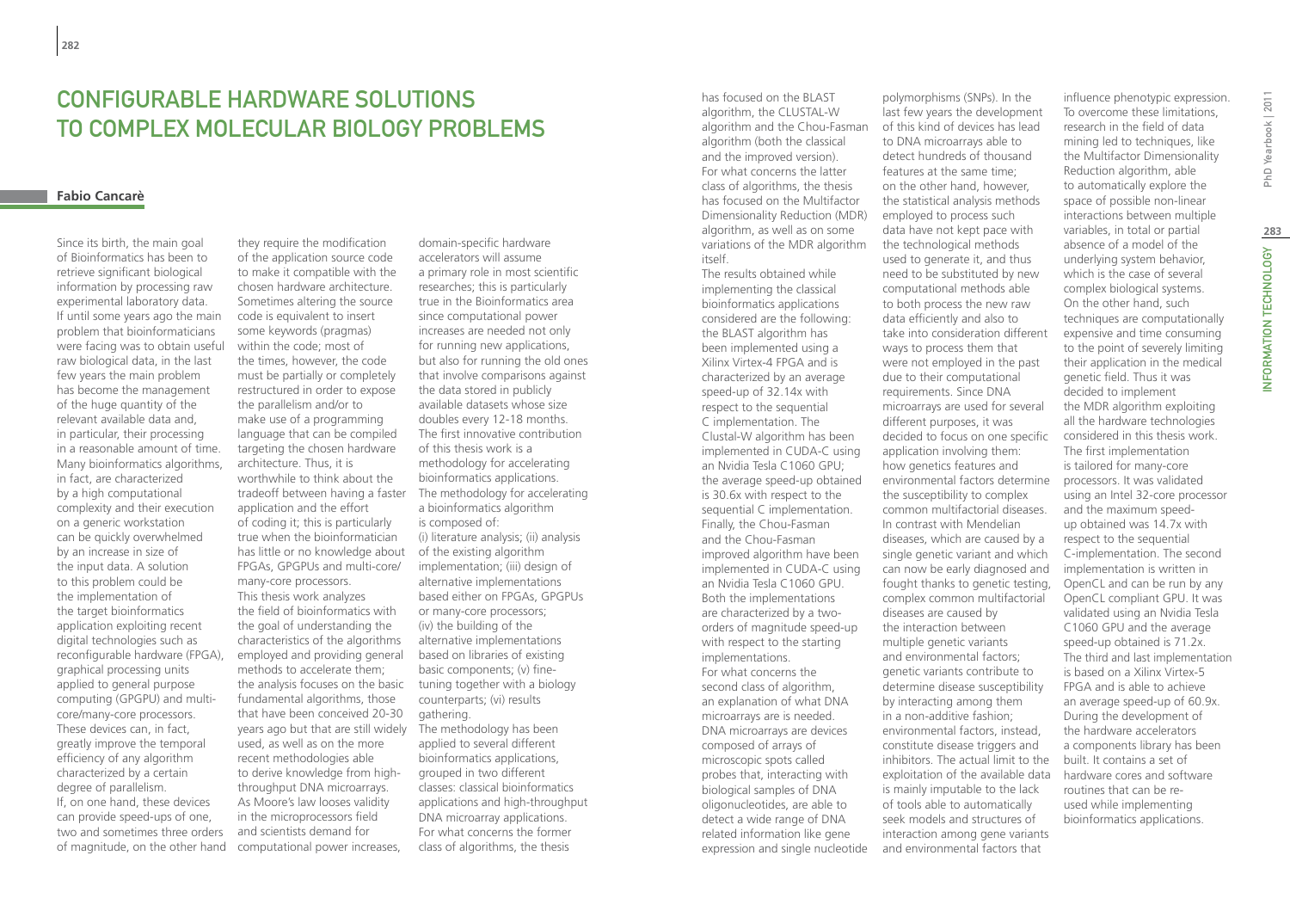# CONFIGURABLE HARDWARE SOLUTIONS TO COMPLEX MOLECULAR BIOLOGY PROBLEMS

### **Fabio Cancarè**

Since its birth, the main goal of Bioinformatics has been to retrieve significant biological information by processing raw experimental laboratory data. If until some years ago the main problem that bioinformaticians were facing was to obtain useful raw biological data, in the last few years the main problem has become the management of the huge quantity of the relevant available data and, in particular, their processing in a reasonable amount of time. Many bioinformatics algorithms, in fact, are characterized by a high computational complexity and their execution on a generic workstation can be quickly overwhelmed by an increase in size of the input data. A solution to this problem could be the implementation of the target bioinformatics application exploiting recent digital technologies such as reconfigurable hardware (FPGA), graphical processing units applied to general purpose computing (GPGPU) and multicore/many-core processors. These devices can, in fact, greatly improve the temporal efficiency of any algorithm characterized by a certain degree of parallelism. If, on one hand, these devices can provide speed-ups of one, two and sometimes three orders of magnitude, on the other hand

they require the modification of the application source code to make it compatible with the chosen hardware architecture. Sometimes altering the source code is equivalent to insert some keywords (pragmas) within the code; most of the times, however, the code must be partially or completely restructured in order to expose the parallelism and/or to make use of a programming language that can be compiled targeting the chosen hardware architecture. Thus, it is worthwhile to think about the application and the effort of coding it; this is particularly true when the bioinformatician has little or no knowledge about FPGAs, GPGPUs and multi-core/ many-core processors. This thesis work analyzes the field of bioinformatics with the goal of understanding the characteristics of the algorithms employed and providing general methods to accelerate them; the analysis focuses on the basic tuning together with a biology fundamental algorithms, those that have been conceived 20-30 years ago but that are still widely used, as well as on the more recent methodologies able to derive knowledge from highthroughput DNA microarrays. As Moore's law looses validity in the microprocessors field and scientists demand for computational power increases,

tradeoff between having a faster The methodology for accelerating domain-specific hardware accelerators will assume a primary role in most scientific researches; this is particularly true in the Bioinformatics area since computational power increases are needed not only for running new applications, but also for running the old ones that involve comparisons against the data stored in publicly available datasets whose size doubles every 12-18 months. The first innovative contribution of this thesis work is a methodology for accelerating bioinformatics applications. a bioinformatics algorithm is composed of: (i) literature analysis; (ii) analysis of the existing algorithm implementation; (iii) design of alternative implementations based either on FPGAs, GPGPUs or many-core processors; (iv) the building of the alternative implementations based on libraries of existing basic components; (v) finecounterparts; (vi) results gathering. The methodology has been applied to several different bioinformatics applications, grouped in two different classes: classical bioinformatics applications and high-throughput DNA microarray applications. For what concerns the former

class of algorithms, the thesis

has focused on the BLAST algorithm, the CLUSTAL-W algorithm and the Chou-Fasman algorithm (both the classical and the improved version). For what concerns the latter class of algorithms, the thesis has focused on the Multifactor Dimensionality Reduction (MDR) algorithm, as well as on some variations of the MDR algorithm itself.

The results obtained while implementing the classical bioinformatics applications considered are the following: the BLAST algorithm has been implemented using a Xilinx Virtex-4 FPGA and is characterized by an average speed-up of 32.14x with respect to the sequential C implementation. The Clustal-W algorithm has been implemented in CUDA-C using an Nvidia Tesla C1060 GPU; the average speed-up obtained is 30.6x with respect to the sequential C implementation. Finally, the Chou-Fasman and the Chou-Fasman improved algorithm have been implemented in CUDA-C using an Nvidia Tesla C1060 GPU. Both the implementations are characterized by a twoorders of magnitude speed-up with respect to the starting implementations. For what concerns the second class of algorithm, an explanation of what DNA microarrays are is needed. DNA microarrays are devices composed of arrays of microscopic spots called probes that, interacting with biological samples of DNA oligonucleotides, are able to detect a wide range of DNA related information like gene expression and single nucleotide

polymorphisms (SNPs). In the last few years the development of this kind of devices has lead to DNA microarrays able to detect hundreds of thousand features at the same time; on the other hand, however, the statistical analysis methods employed to process such data have not kept pace with the technological methods used to generate it, and thus need to be substituted by new computational methods able to both process the new raw data efficiently and also to take into consideration different ways to process them that were not employed in the past due to their computational requirements. Since DNA microarrays are used for several different purposes, it was decided to focus on one specific application involving them: how genetics features and environmental factors determine the susceptibility to complex common multifactorial diseases. In contrast with Mendelian diseases, which are caused by a single genetic variant and which can now be early diagnosed and fought thanks to genetic testing, complex common multifactorial diseases are caused by the interaction between multiple genetic variants and environmental factors; genetic variants contribute to determine disease susceptibility by interacting among them in a non-additive fashion; environmental factors, instead, constitute disease triggers and inhibitors. The actual limit to the exploitation of the available data is mainly imputable to the lack of tools able to automatically seek models and structures of interaction among gene variants and environmental factors that

influence phenotypic expression. To overcome these limitations, research in the field of data mining led to techniques, like the Multifactor Dimensionality Reduction algorithm, able to automatically explore the space of possible non-linear interactions between multiple variables, in total or partial absence of a model of the underlying system behavior, which is the case of several complex biological systems. On the other hand, such techniques are computationally expensive and time consuming to the point of severely limiting their application in the medical genetic field. Thus it was decided to implement the MDR algorithm exploiting all the hardware technologies considered in this thesis work. The first implementation is tailored for many-core processors. It was validated using an Intel 32-core processor and the maximum speedup obtained was 14.7x with respect to the sequential C-implementation. The second implementation is written in OpenCL and can be run by any OpenCL compliant GPU. It was validated using an Nvidia Tesla C1060 GPU and the average speed-up obtained is 71.2x. The third and last implementation is based on a Xilinx Virtex-5 FPGA and is able to achieve an average speed-up of 60.9x. During the development of the hardware accelerators a components library has been built. It contains a set of hardware cores and software routines that can be reused while implementing bioinformatics applications.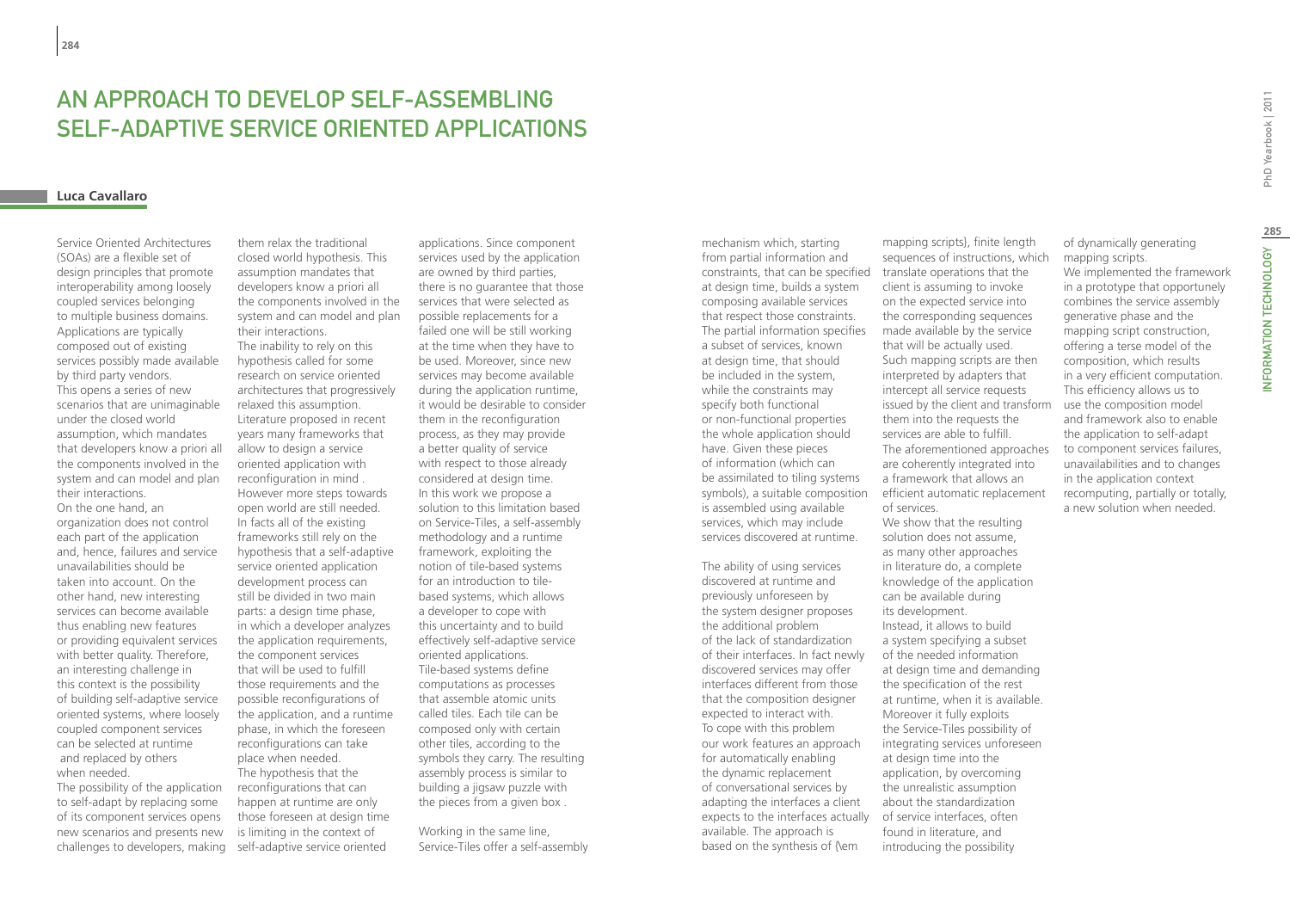# An Approach to Develop Self-assembling Self-adaptive Service Oriented Applications

### **Luca Cavallaro**

Service Oriented Architectures (SOAs) are a flexible set of design principles that promote interoperability among loosely coupled services belonging to multiple business domains. Applications are typically composed out of existing services possibly made available by third party vendors. This opens a series of new scenarios that are unimaginable under the closed world assumption, which mandates that developers know a priori all the components involved in the system and can model and plan their interactions. On the one hand, an organization does not control each part of the application and, hence, failures and service unavailabilities should be taken into account. On the other hand, new interesting services can become available thus enabling new features or providing equivalent services with better quality. Therefore, an interesting challenge in this context is the possibility of building self-adaptive service oriented systems, where loosely coupled component services can be selected at runtime and replaced by others when needed.

The possibility of the application to self-adapt by replacing some of its component services opens new scenarios and presents new challenges to developers, making

them relax the traditional closed world hypothesis. This assumption mandates that developers know a priori all the components involved in the system and can model and plan their interactions. The inability to rely on this hypothesis called for some research on service oriented architectures that progressively relaxed this assumption. Literature proposed in recent years many frameworks that allow to design a service oriented application with reconfiguration in mind . However more steps towards open world are still needed. In facts all of the existing frameworks still rely on the hypothesis that a self-adaptive service oriented application development process can still be divided in two main parts: a design time phase, in which a developer analyzes the application requirements. the component services that will be used to fulfill those requirements and the possible reconfigurations of the application, and a runtime phase, in which the foreseen reconfigurations can take place when needed. The hypothesis that the reconfigurations that can happen at runtime are only those foreseen at design time is limiting in the context of self-adaptive service oriented

applications. Since component services used by the application are owned by third parties, there is no guarantee that those services that were selected as possible replacements for a failed one will be still working at the time when they have to be used. Moreover, since new services may become available during the application runtime, it would be desirable to consider them in the reconfiguration process, as they may provide a better quality of service with respect to those already considered at design time. In this work we propose a solution to this limitation based on Service-Tiles, a self-assembly methodology and a runtime framework, exploiting the notion of tile-based systems for an introduction to tilebased systems, which allows a developer to cope with this uncertainty and to build effectively self-adaptive service oriented applications. Tile-based systems define computations as processes that assemble atomic units called tiles. Each tile can be composed only with certain other tiles, according to the symbols they carry. The resulting assembly process is similar to building a jigsaw puzzle with the pieces from a given box .

Working in the same line, Service-Tiles offer a self-assembly mechanism which, starting from partial information and constraints, that can be specified translate operations that the at design time, builds a system composing available services that respect those constraints. The partial information specifies a subset of services, known at design time, that should be included in the system, while the constraints may specify both functional or non-functional properties the whole application should have. Given these pieces of information (which can be assimilated to tiling systems symbols), a suitable composition is assembled using available services, which may include services discovered at runtime.

The ability of using services discovered at runtime and previously unforeseen by the system designer proposes the additional problem of the lack of standardization of their interfaces. In fact newly discovered services may offer interfaces different from those that the composition designer expected to interact with. To cope with this problem our work features an approach for automatically enabling the dynamic replacement of conversational services by adapting the interfaces a client expects to the interfaces actually of service interfaces, often available. The approach is based on the synthesis of {\em

mapping scripts}, finite length sequences of instructions, which client is assuming to invoke on the expected service into the corresponding sequences made available by the service that will be actually used. Such mapping scripts are then interpreted by adapters that intercept all service requests issued by the client and transform them into the requests the services are able to fulfill. The aforementioned approaches are coherently integrated into a framework that allows an efficient automatic replacement of services. We show that the resulting solution does not assume, as many other approaches in literature do, a complete knowledge of the application can be available during its development. Instead, it allows to build a system specifying a subset of the needed information

at design time and demanding the specification of the rest at runtime, when it is available. Moreover it fully exploits the Service-Tiles possibility of integrating services unforeseen at design time into the application, by overcoming the unrealistic assumption about the standardization found in literature, and

introducing the possibility

of dynamically generating mapping scripts. We implemented the framework in a prototype that opportunely combines the service assembly generative phase and the mapping script construction, offering a terse model of the composition, which results in a very efficient computation. This efficiency allows us to use the composition model and framework also to enable the application to self-adapt to component services failures, unavailabilities and to changes in the application context recomputing, partially or totally, a new solution when needed.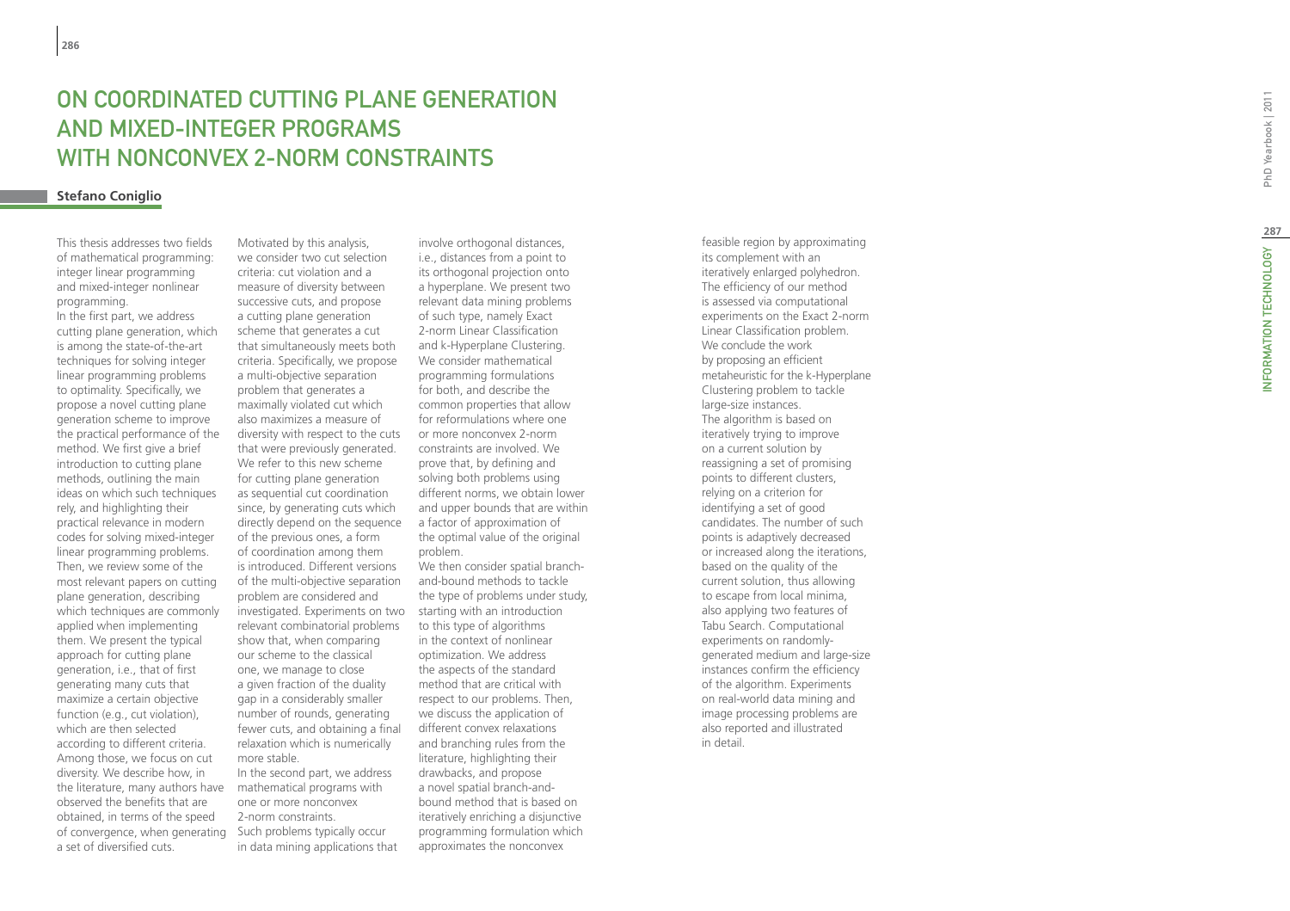# **ON COORE<br>AND MIXE<br>WITH NON<br><sup>Stefano Coniglio**</sup> ON COORDINATED CUTTING PLANE GENERATION and mi xed -integer programs WITH NONCONVEX 2-NORM CONSTRAINTS

This thesis addresses two fields of mathematical programming: integer linear programming and mixed-integer nonlinear programming.

In the first part, we address cutting plane generation, which is among the state-of-the-art techniques for solving integer linear programming problems to optimality. Specifically, we propose a novel cutting plane generation scheme to improve the practical performance of the method. We first give a brief introduction to cutting plane methods, outlining the main ideas on which such techniques rely, and highlighting their practical relevance in modern codes for solving mixed-integer linear programming problems. Then, we review some of the most relevant papers on cutting plane generation, describing which techniques are commonly applied when implementing them. We present the typical approach for cutting plane generation, i.e., that of first generating many cuts that maximize a certain objective function (e.g., cut violation), which are then selected according to different criteria. Among those, we focus on cut diversity. We describe how, in the literature, many authors have observed the benefits that are obtained, in terms of the speed of convergence, when generating a set of diversified cuts.

Motivated by this analysis, we consider two cut selection criteria: cut violation and a measure of diversity between successive cuts, and propose a cutting plane generation scheme that generates a cut that simultaneously meets both criteria. Specifically, we propose a multi-objective separation problem that generates a maximally violated cut which also maximizes a measure of diversity with respect to the cuts that were previously generated. We refer to this new scheme for cutting plane generation as sequential cut coordination since, by generating cuts which directly depend on the sequence of the previous ones, a form of coordination among them is introduced. Different versions of the multi-objective separation problem are considered and investigated. Experiments on two starting with an introduction relevant combinatorial problems show that, when comparing our scheme to the classical one, we manage to close a given fraction of the duality gap in a considerably smaller number of rounds, generating fewer cuts, and obtaining a final relaxation which is numerically more stable. In the second part, we address mathematical programs with one or more nonconvex

2-norm constraints. Such problems typically occur in data mining applications that

involve orthogonal distances, i.e., distances from a point to its orthogonal projection onto a hyperplane. We present two relevant data mining problems of such type, namely Exact 2-norm Linear Classification and k-Hyperplane Clustering. We consider mathematical programming formulations for both, and describe the common properties that allow for reformulations where one or more nonconvex 2-norm constraints are involved. We prove that, by defining and solving both problems using different norms, we obtain lower and upper bounds that are within a factor of approximation of the optimal value of the original problem.

We then consider spatial branchand-bound methods to tackle the type of problems under study, to this type of algorithms in the context of nonlinear optimization. We address the aspects of the standard method that are critical with respect to our problems. Then, we discuss the application of different convex relaxations and branching rules from the literature, highlighting their drawbacks, and propose a novel spatial branch-andbound method that is based on iteratively enriching a disjunctive programming formulation which approximates the nonconvex

feasible region by approximating its complement with an iteratively enlarged polyhedron. The efficiency of our method is assessed via computational experiments on the Exact 2-norm Linear Classification problem. We conclude the work by proposing an efficient metaheuristic for the k-Hyperplane Clustering problem to tackle large-size instances. The algorithm is based on iteratively trying to improve on a current solution by reassigning a set of promising points to different clusters, relying on a criterion for identifying a set of good candidates. The number of such points is adaptively decreased or increased along the iterations, based on the quality of the current solution, thus allowing to escape from local minima, also applying two features of Tabu Search. Computational experiments on randomlygenerated medium and large-size instances confirm the efficiency of the algorithm. Experiments on real-world data mining and image processing problems are also reported and illustrated in detail.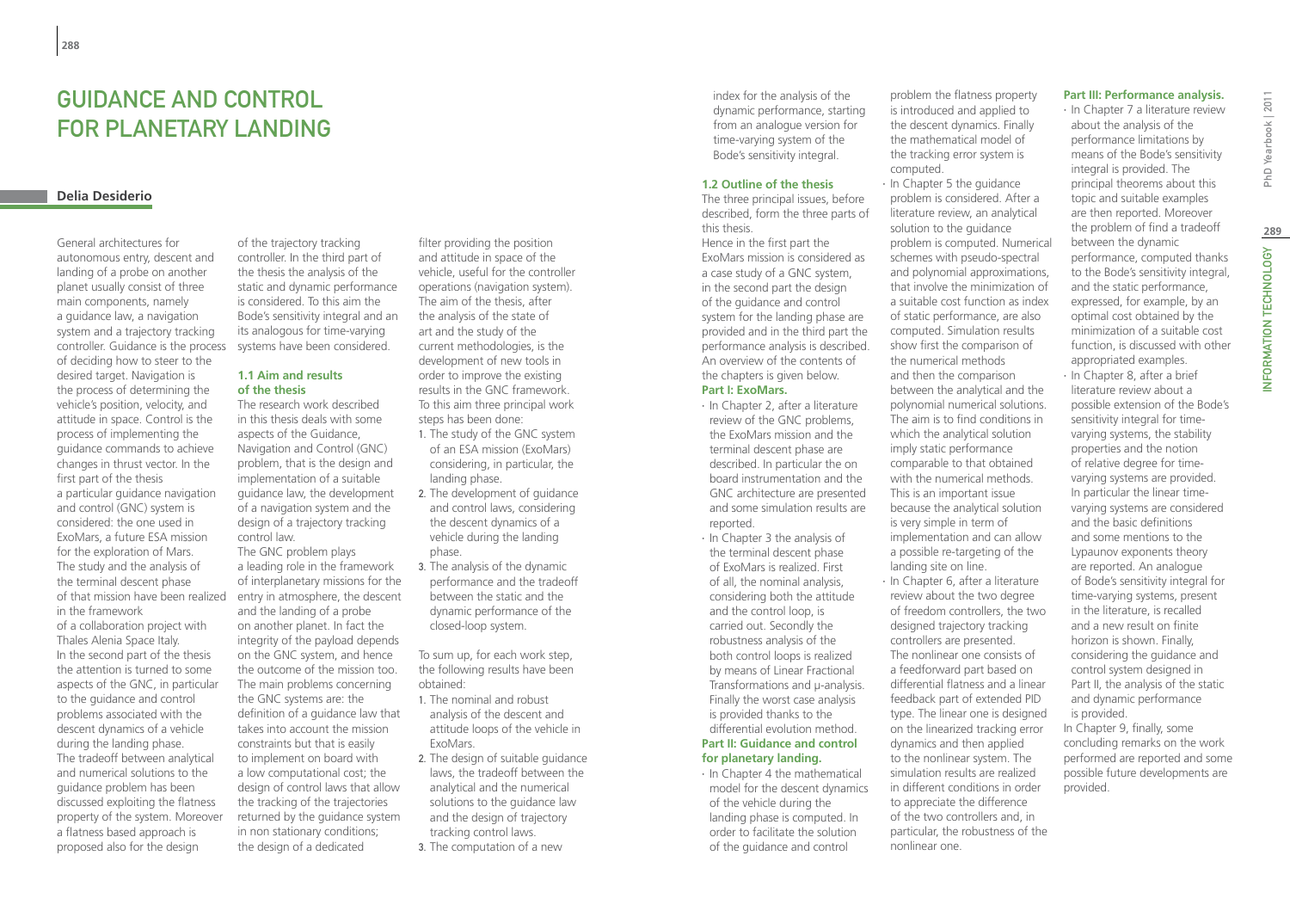# Guidance and control for planetary landing

# **Delia Desiderio**

General architectures for autonomous entry, descent and landing of a probe on another planet usually consist of three main components, namely a guidance law, a navigation system and a trajectory tracking controller. Guidance is the process of deciding how to steer to the desired target. Navigation is the process of determining the vehicle's position, velocity, and attitude in space. Control is the process of implementing the guidance commands to achieve changes in thrust vector. In the first part of the thesis a particular guidance navigation and control (GNC) system is considered: the one used in ExoMars, a future ESA mission for the exploration of Mars. The study and the analysis of the terminal descent phase of that mission have been realized in the framework

of a collaboration project with Thales Alenia Space Italy. In the second part of the thesis the attention is turned to some aspects of the GNC, in particular to the guidance and control problems associated with the descent dynamics of a vehicle during the landing phase. The tradeoff between analytical and numerical solutions to the guidance problem has been discussed exploiting the flatness property of the system. Moreover a flatness based approach is proposed also for the design

of the trajectory tracking controller. In the third part of the thesis the analysis of the static and dynamic performance is considered. To this aim the Bode's sensitivity integral and an its analogous for time-varying systems have been considered.

### **1.1 Aim and results of the thesis**

The research work described in this thesis deals with some aspects of the Guidance, Navigation and Control (GNC) problem, that is the design and implementation of a suitable guidance law, the development of a navigation system and the design of a trajectory tracking control law.

The GNC problem plays a leading role in the framework of interplanetary missions for the entry in atmosphere, the descent and the landing of a probe on another planet. In fact the integrity of the payload depends on the GNC system, and hence the outcome of the mission too. The main problems concerning the GNC systems are: the definition of a guidance law that takes into account the mission constraints but that is easily to implement on board with a low computational cost; the design of control laws that allow the tracking of the trajectories returned by the guidance system in non stationary conditions; the design of a dedicated

filter providing the position and attitude in space of the vehicle, useful for the controller operations (navigation system). The aim of the thesis, after the analysis of the state of art and the study of the current methodologies, is the development of new tools in order to improve the existing results in the GNC framework. To this aim three principal work steps has been done:

- 1. The study of the GNC system of an ESA mission (ExoMars) considering, in particular, the landing phase.
- 2. The development of guidance and control laws, considering the descent dynamics of a vehicle during the landing phase.
- 3. The analysis of the dynamic performance and the tradeoff between the static and the dynamic performance of the closed-loop system.

To sum up, for each work step, the following results have been obtained:

- 1. The nominal and robust analysis of the descent and attitude loops of the vehicle in ExoMars.
- 2. The design of suitable guidance laws, the tradeoff between the analytical and the numerical solutions to the guidance law and the design of trajectory tracking control laws.
- 3. The computation of a new

index for the analysis of the dynamic performance, starting from an analogue version for time-varying system of the Bode's sensitivity integral.

### **1.2 Outline of the thesis**

The three principal issues, before described, form the three parts of this thesis. Hence in the first part the ExoMars mission is considered as a case study of a GNC system, in the second part the design of the guidance and control system for the landing phase are provided and in the third part the performance analysis is described. An overview of the contents of the chapters is given below.

# **Part I: ExoMars.**

- ∙ In Chapter 2, after a literature review of the GNC problems, the ExoMars mission and the terminal descent phase are described. In particular the on board instrumentation and the GNC architecture are presented and some simulation results are reported.
- ∙ In Chapter 3 the analysis of the terminal descent phase of ExoMars is realized. First of all, the nominal analysis, considering both the attitude and the control loop, is carried out. Secondly the robustness analysis of the both control loops is realized by means of Linear Fractional Transformations and μ-analysis. Finally the worst case analysis is provided thanks to the differential evolution method. **Part II: Guidance and control**

# **for planetary landing.**

∙ In Chapter 4 the mathematical model for the descent dynamics of the vehicle during the landing phase is computed. In order to facilitate the solution of the guidance and control

problem the flatness property is introduced and applied to the descent dynamics. Finally the mathematical model of the tracking error system is computed.

∙ In Chapter 5 the guidance problem is considered. After a literature review, an analytical solution to the guidance problem is computed. Numerical schemes with pseudo-spectral and polynomial approximations, that involve the minimization of a suitable cost function as index of static performance, are also computed. Simulation results show first the comparison of the numerical methods and then the comparison between the analytical and the polynomial numerical solutions. The aim is to find conditions in which the analytical solution imply static performance comparable to that obtained with the numerical methods. This is an important issue because the analytical solution is very simple in term of implementation and can allow a possible re-targeting of the landing site on line.

∙ In Chapter 6, after a literature review about the two degree of freedom controllers, the two designed trajectory tracking controllers are presented. The nonlinear one consists of a feedforward part based on differential flatness and a linear feedback part of extended PID type. The linear one is designed on the linearized tracking error dynamics and then applied to the nonlinear system. The simulation results are realized in different conditions in order to appreciate the difference of the two controllers and, in particular, the robustness of the nonlinear one.

### **Part III: Performance analysis.**

∙ In Chapter 7 a literature review about the analysis of the performance limitations by means of the Bode's sensitivity integral is provided. The principal theorems about this topic and suitable examples are then reported. Moreover the problem of find a tradeoff between the dynamic performance, computed thanks to the Bode's sensitivity integral, and the static performance, expressed, for example, by an optimal cost obtained by the minimization of a suitable cost function, is discussed with other appropriated examples. ∙ In Chapter 8, after a brief

literature review about a possible extension of the Bode's sensitivity integral for timevarying systems, the stability properties and the notion of relative degree for timevarying systems are provided. In particular the linear timevarying systems are considered and the basic definitions and some mentions to the Lypaunov exponents theory are reported. An analogue of Bode's sensitivity integral for time-varying systems, present in the literature, is recalled and a new result on finite horizon is shown. Finally, considering the guidance and control system designed in Part II, the analysis of the static and dynamic performance is provided. In Chapter 9, finally, some concluding remarks on the work

performed are reported and some possible future developments are provided.

INFORMATION TECHNOLOGY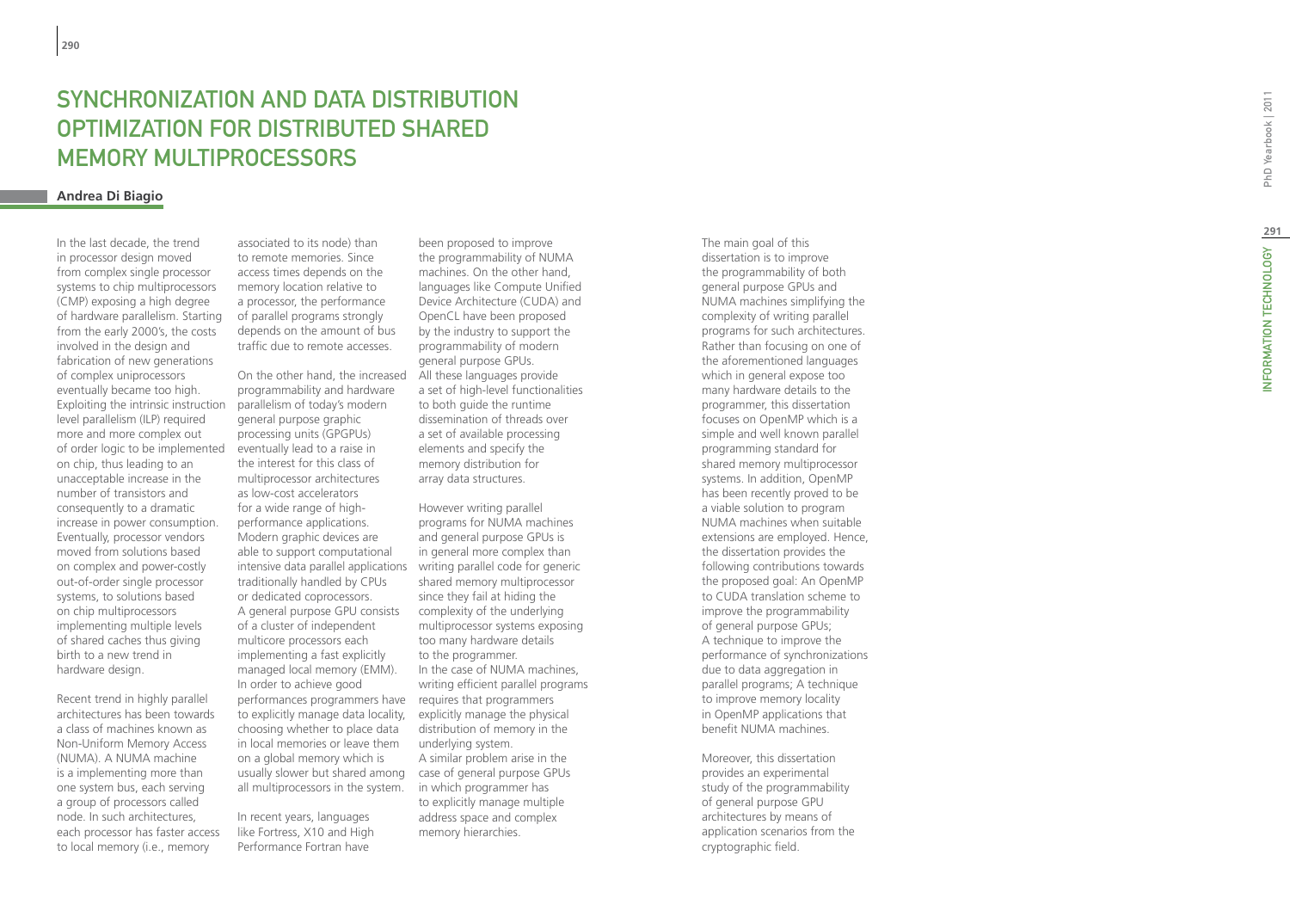# SYNCHRONIZATION AND DATA DISTRIBUT OPTIMIZATION FOR DISTRIBUTED S Memory Multiprocessor s

# **Andrea Di Biagio**

In the last decade, the trend in processor design moved from complex single processor systems to chip multiprocessors (CMP) exposing a high degree of hardware parallelism. Starting from the early 2000's, the costs involved in the design and fabrication of new generations of complex uniprocessors eventually became too high. Exploiting the intrinsic instruction level parallelism (ILP) required more and more complex out of order logic to be implemented on chip, thus leading to an unacceptable increase in the number of transistors and consequently to a dramatic increase in power consumption. Eventually, processor vendors moved from solutions based on complex and power-costly out-of-order single processor systems, to solutions based on chip multiprocessors implementing multiple levels of shared caches thus giving birth to a new trend in hardware design.

Recent trend in highly parallel architectures has been towards a class of machines known as Non-Uniform Memory Access (NUMA). A NUMA machine is a implementing more than one system bus, each serving a group of processors called node. In such architectures, each processor has faster access to local memory (i.e., memory

associated to its node) than to remote memories. Since access times depends on the memory location relative to a processor, the performance of parallel programs strongly depends on the amount of bus traffic due to remote accesses.

intensive data parallel applications writing parallel code for generic performances programmers have requires that programmers usually slower but shared among case of general purpose GPUs On the other hand, the increased programmability and hardware parallelism of today's modern general purpose graphic processing units (GPGPUs) eventually lead to a raise in the interest for this class of multiprocessor architectures as low-cost accelerators for a wide range of highperformance applications. Modern graphic devices are able to support computational traditionally handled by CPUs or dedicated coprocessors. A general purpose GPU consists of a cluster of independent multicore processors each implementing a fast explicitly managed local memory (EMM). In order to achieve good to explicitly manage data locality, choosing whether to place data in local memories or leave them on a global memory which is all multiprocessors in the system.

In recent years, languages like Fortress, X10 and High Performance Fortran have

been proposed to improve the programmability of NUMA machines. On the other hand, languages like Compute Unified Device Architecture (CUDA) and OpenCL have been proposed by the industry to support the programmability of modern general purpose GPUs. All these languages provide a set of high-level functionalities to both guide the runtime dissemination of threads over a set of available processing elements and specify the memory distribution for array data structures.

However writing parallel programs for NUMA machines and general purpose GPUs is in general more complex than shared memory multiprocessor since they fail at hiding the complexity of the underlying multiprocessor systems exposing too many hardware details to the programmer. In the case of NUMA machines, writing efficient parallel programs explicitly manage the physical distribution of memory in the underlying system. A similar problem arise in the in which programmer has to explicitly manage multiple address space and complex memory hierarchies.

The main goal of this dissertation is to improve the programmability of both general purpose GPUs and NUMA machines simplifying the complexity of writing parallel programs for such architectures. Rather than focusing on one of the aforementioned languages which in general expose too many hardware details to the programmer, this dissertation focuses on OpenMP which is a simple and well known parallel programming standard for shared memory multiprocessor systems. In addition, OpenMP has been recently proved to be a viable solution to program NUMA machines when suitable extensions are employed. Hence, the dissertation provides the following contributions towards the proposed goal: An OpenMP to CUDA translation scheme to improve the programmability of general purpose GPUs; A technique to improve the performance of synchronizations due to data aggregation in parallel programs; A technique to improve memory locality in OpenMP applications that benefit NUMA machines.

Moreover, this dissertation provides an experimental study of the programmability of general purpose GPU architectures by means of application scenarios from the cryptographic field.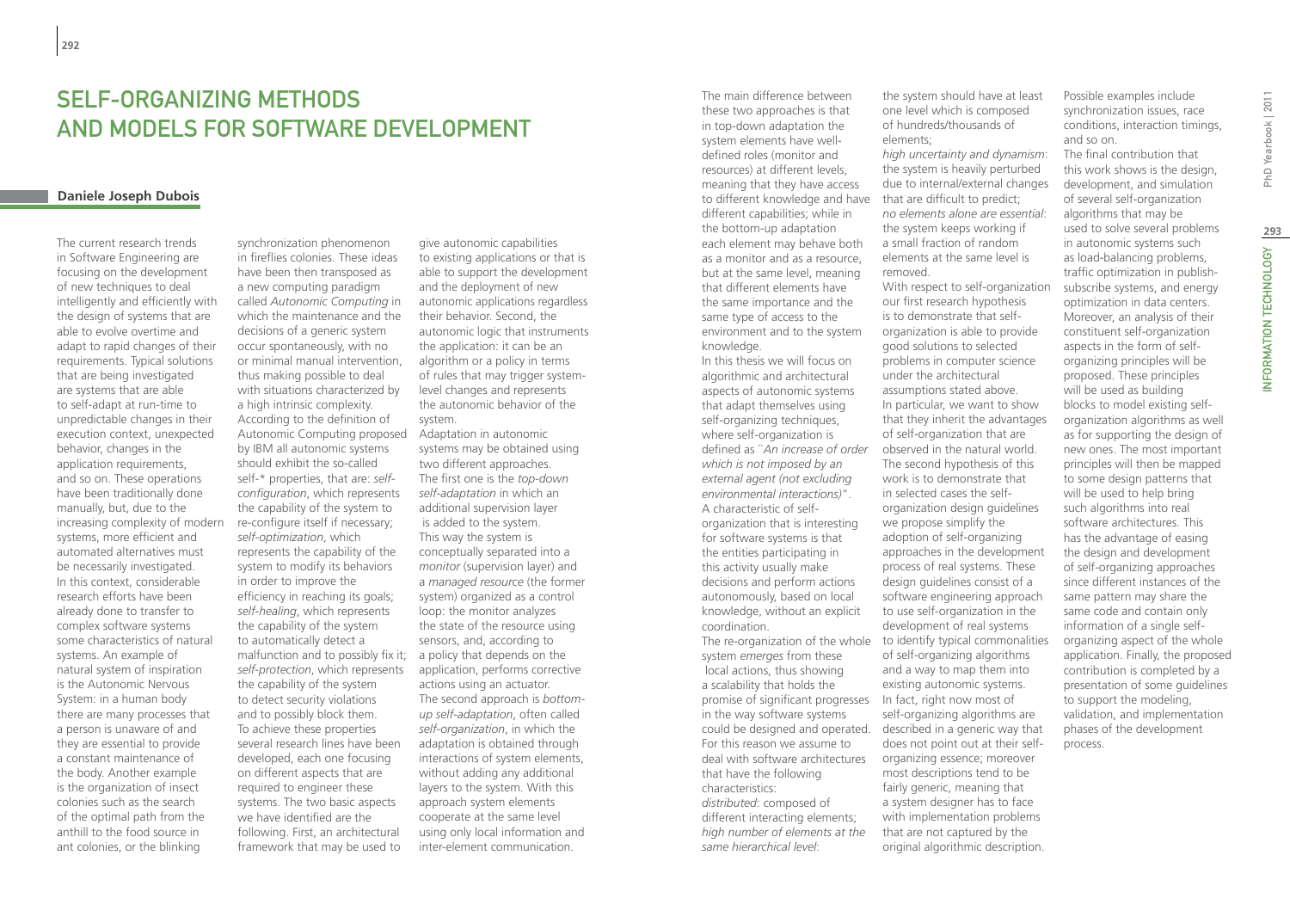# SFI F-ORGANIZING METHODS and Models for Software Development

# **Daniele Joseph Dubois**

The current research trends in Software Engineering are focusing on the development of new techniques to deal intelligently and efficiently with the design of systems that are able to evolve overtime and adapt to rapid changes of their requirements. Typical solutions that are being investigated are systems that are able to self-adapt at run-time to unpredictable changes in their execution context, unexpected behavior, changes in the application requirements, and so on. These operations have been traditionally done manually, but, due to the increasing complexity of modern systems, more efficient and automated alternatives must be necessarily investigated. In this context, considerable research efforts have been already done to transfer to complex software systems some characteristics of natural systems. An example of natural system of inspiration is the Autonomic Nervous System: in a human body there are many processes that a person is unaware of and they are essential to provide a constant maintenance of the body. Another example is the organization of insect colonies such as the search of the optimal path from the anthill to the food source in ant colonies, or the blinking

Autonomic Computing proposed Adaptation in autonomic synchronization phenomenon in fireflies colonies. These ideas have been then transposed as a new computing paradigm called *Autonomic Computing* in which the maintenance and the decisions of a generic system occur spontaneously, with no or minimal manual intervention, thus making possible to deal with situations characterized by a high intrinsic complexity. According to the definition of by IBM all autonomic systems should exhibit the so-called self-\* properties, that are: *selfconfiguration*, which represents the capability of the system to re-configure itself if necessary; *self-optimization*, which represents the capability of the system to modify its behaviors in order to improve the efficiency in reaching its goals; *self-healing*, which represents the capability of the system to automatically detect a malfunction and to possibly fix it; *self-protection*, which represents the capability of the system to detect security violations and to possibly block them. To achieve these properties several research lines have been developed, each one focusing on different aspects that are required to engineer these systems. The two basic aspects we have identified are the following. First, an architectural framework that may be used to

give autonomic capabilities to existing applications or that is able to support the development and the deployment of new autonomic applications regardless their behavior. Second, the autonomic logic that instruments the application: it can be an algorithm or a policy in terms of rules that may trigger systemlevel changes and represents the autonomic behavior of the system.

systems may be obtained using two different approaches. The first one is the *top-down self-adaptation* in which an additional supervision layer is added to the system. This way the system is conceptually separated into a *monitor* (supervision layer) and a *managed resource* (the former system) organized as a control loop: the monitor analyzes the state of the resource using sensors, and, according to a policy that depends on the application, performs corrective actions using an actuator. The second approach is *bottomup self-adaptation*, often called *self-organization*, in which the adaptation is obtained through interactions of system elements, without adding any additional layers to the system. With this approach system elements cooperate at the same level using only local information and inter-element communication.

The main difference between these two approaches is that in top-down adaptation the system elements have welldefined roles (monitor and resources) at different levels, meaning that they have access to different knowledge and have different capabilities; while in the bottom-up adaptation each element may behave both as a monitor and as a resource, but at the same level, meaning that different elements have the same importance and the same type of access to the environment and to the system knowledge.

In this thesis we will focus on algorithmic and architectural aspects of autonomic systems that adapt themselves using self-organizing techniques, where self-organization is defined as ``*An increase of order which is not imposed by an external agent (not excluding environmental interactions)*". A characteristic of selforganization that is interesting for software systems is that the entities participating in this activity usually make decisions and perform actions autonomously, based on local knowledge, without an explicit coordination.

system *emerges* from these local actions, thus showing a scalability that holds the promise of significant progresses In fact, right now most of in the way software systems could be designed and operated. For this reason we assume to deal with software architectures that have the following characteristics: *distributed*: composed of different interacting elements; *high number of elements at the same hierarchical level*:

the system should have at least one level which is composed of hundreds/thousands of elements;

*high uncertainty and dynamism*: the system is heavily perturbed due to internal/external changes that are difficult to predict; *no elements alone are essential*: the system keeps working if a small fraction of random elements at the same level is removed. With respect to self-organization

The re-organization of the whole to identify typical commonalities our first research hypothesis is to demonstrate that selforganization is able to provide good solutions to selected problems in computer science under the architectural assumptions stated above. In particular, we want to show that they inherit the advantages of self-organization that are observed in the natural world. The second hypothesis of this work is to demonstrate that in selected cases the selforganization design guidelines we propose simplify the adoption of self-organizing approaches in the development process of real systems. These design guidelines consist of a software engineering approach to use self-organization in the development of real systems of self-organizing algorithms and a way to map them into existing autonomic systems. self-organizing algorithms are described in a generic way that does not point out at their selforganizing essence; moreover most descriptions tend to be fairly generic, meaning that a system designer has to face with implementation problems that are not captured by the original algorithmic description.

Possible examples include synchronization issues, race conditions, interaction timings, and so on. The final contribution that this work shows is the design, development, and simulation of several self-organization

algorithms that may be used to solve several problems in autonomic systems such as load-balancing problems, traffic optimization in publishsubscribe systems, and energy optimization in data centers. Moreover, an analysis of their constituent self-organization aspects in the form of selforganizing principles will be proposed. These principles will be used as building blocks to model existing selforganization algorithms as well as for supporting the design of new ones. The most important principles will then be mapped to some design patterns that will be used to help bring such algorithms into real software architectures. This has the advantage of easing the design and development of self-organizing approaches since different instances of the same pattern may share the same code and contain only information of a single selforganizing aspect of the whole application. Finally, the proposed contribution is completed by a presentation of some guidelines to support the modeling, validation, and implementation phases of the development process.

**293**

INFORMATION TECHNOLOGY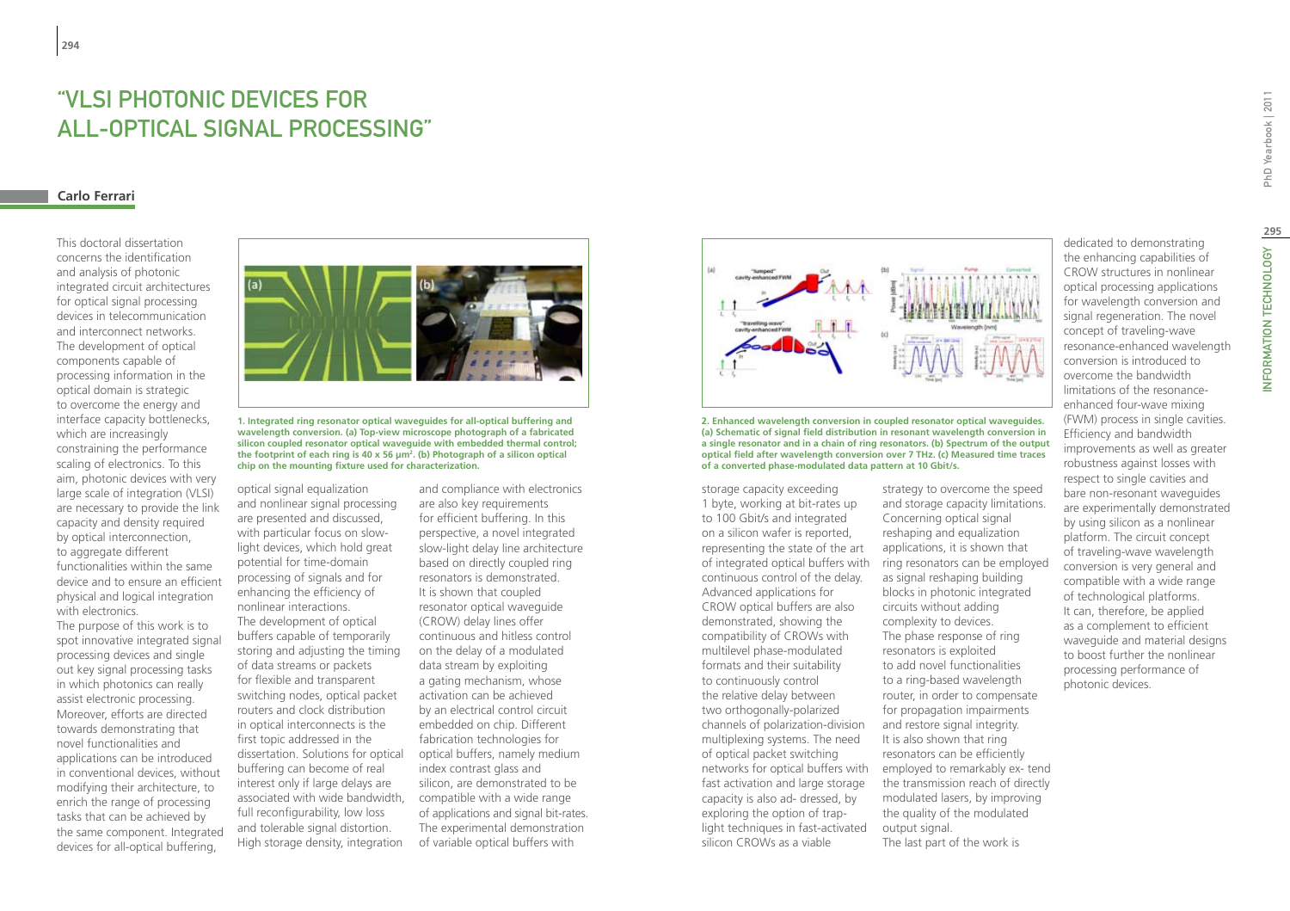# "VLSI photonic devices for all-optical signal processing"

# **Carlo Ferrari**

**294**

This doctoral dissertation concerns the identification and analysis of photonic integrated circuit architectures for optical signal processing devices in telecommunication and interconnect networks. The development of optical components capable of processing information in the optical domain is strategic to overcome the energy and interface capacity bottlenecks, which are increasingly constraining the performance scaling of electronics. To this aim, photonic devices with very large scale of integration (VLSI) are necessary to provide the link capacity and density required by optical interconnection, to aggregate different functionalities within the same device and to ensure an efficient physical and logical integration with electronics.

The purpose of this work is to spot innovative integrated signal processing devices and single out key signal processing tasks in which photonics can really assist electronic processing. Moreover, efforts are directed towards demonstrating that novel functionalities and applications can be introduced in conventional devices, without modifying their architecture, to enrich the range of processing tasks that can be achieved by the same component. Integrated devices for all-optical buffering,



**1. Integrated ring resonator optical waveguides for all-optical buffering and wavelength conversion. (a) Top-view microscope photograph of a fabricated silicon coupled resonator optical waveguide with embedded thermal control; the footprint of each ring is 40 x 56 μm2 . (b) Photograph of a silicon optical chip on the mounting fixture used for characterization.**

optical signal equalization and nonlinear signal processing are presented and discussed, with particular focus on slowlight devices, which hold great potential for time-domain processing of signals and for enhancing the efficiency of nonlinear interactions. The development of optical buffers capable of temporarily storing and adjusting the timing of data streams or packets for flexible and transparent switching nodes, optical packet routers and clock distribution in optical interconnects is the first topic addressed in the dissertation. Solutions for optical buffering can become of real interest only if large delays are associated with wide bandwidth, full reconfigurability, low loss and tolerable signal distortion. High storage density, integration

and compliance with electronics are also key requirements for efficient buffering. In this perspective, a novel integrated slow-light delay line architecture based on directly coupled ring resonators is demonstrated. It is shown that coupled resonator optical waveguide (CROW) delay lines offer continuous and hitless control on the delay of a modulated data stream by exploiting a gating mechanism, whose activation can be achieved by an electrical control circuit embedded on chip. Different fabrication technologies for optical buffers, namely medium index contrast glass and silicon, are demonstrated to be compatible with a wide range of applications and signal bit-rates. The experimental demonstration of variable optical buffers with



**2. Enhanced wavelength conversion in coupled resonator optical waveguides. (a) Schematic of signal field distribution in resonant wavelength conversion in a single resonator and in a chain of ring resonators. (b) Spectrum of the output optical field after wavelength conversion over 7 THz. (c) Measured time traces of a converted phase-modulated data pattern at 10 Gbit/s.**

storage capacity exceeding 1 byte, working at bit-rates up to 100 Gbit/s and integrated on a silicon wafer is reported, representing the state of the art of integrated optical buffers with continuous control of the delay. Advanced applications for CROW optical buffers are also demonstrated, showing the compatibility of CROWs with multilevel phase-modulated formats and their suitability to continuously control the relative delay between two orthogonally-polarized channels of polarization-division multiplexing systems. The need of optical packet switching fast activation and large storage capacity is also ad- dressed, by exploring the option of traplight techniques in fast-activated silicon CROWs as a viable

networks for optical buffers with employed to remarkably ex- tend strategy to overcome the speed and storage capacity limitations. Concerning optical signal reshaping and equalization applications, it is shown that ring resonators can be employed as signal reshaping building blocks in photonic integrated circuits without adding complexity to devices. The phase response of ring resonators is exploited to add novel functionalities to a ring-based wavelength router, in order to compensate for propagation impairments and restore signal integrity. It is also shown that ring resonators can be efficiently the transmission reach of directly modulated lasers, by improving the quality of the modulated output signal. The last part of the work is

dedicated to demonstrating the enhancing capabilities of CROW structures in nonlinear optical processing applications for wavelength conversion and signal regeneration. The novel concept of traveling-wave resonance-enhanced wavelength conversion is introduced to overcome the bandwidth limitations of the resonanceenhanced four-wave mixing (FWM) process in single cavities. improvements as well as greater robustness against losses with respect to single cavities and bare non-resonant waveguides are experimentally demonstrated by using silicon as a nonlinear platform. The circuit concept of traveling-wave wavelength conversion is very general and compatible with a wide range of technological platforms. It can, therefore, be applied as a complement to efficient waveguide and material designs to boost further the nonlinear processing performance of

Efficiency and bandwidth photonic devices.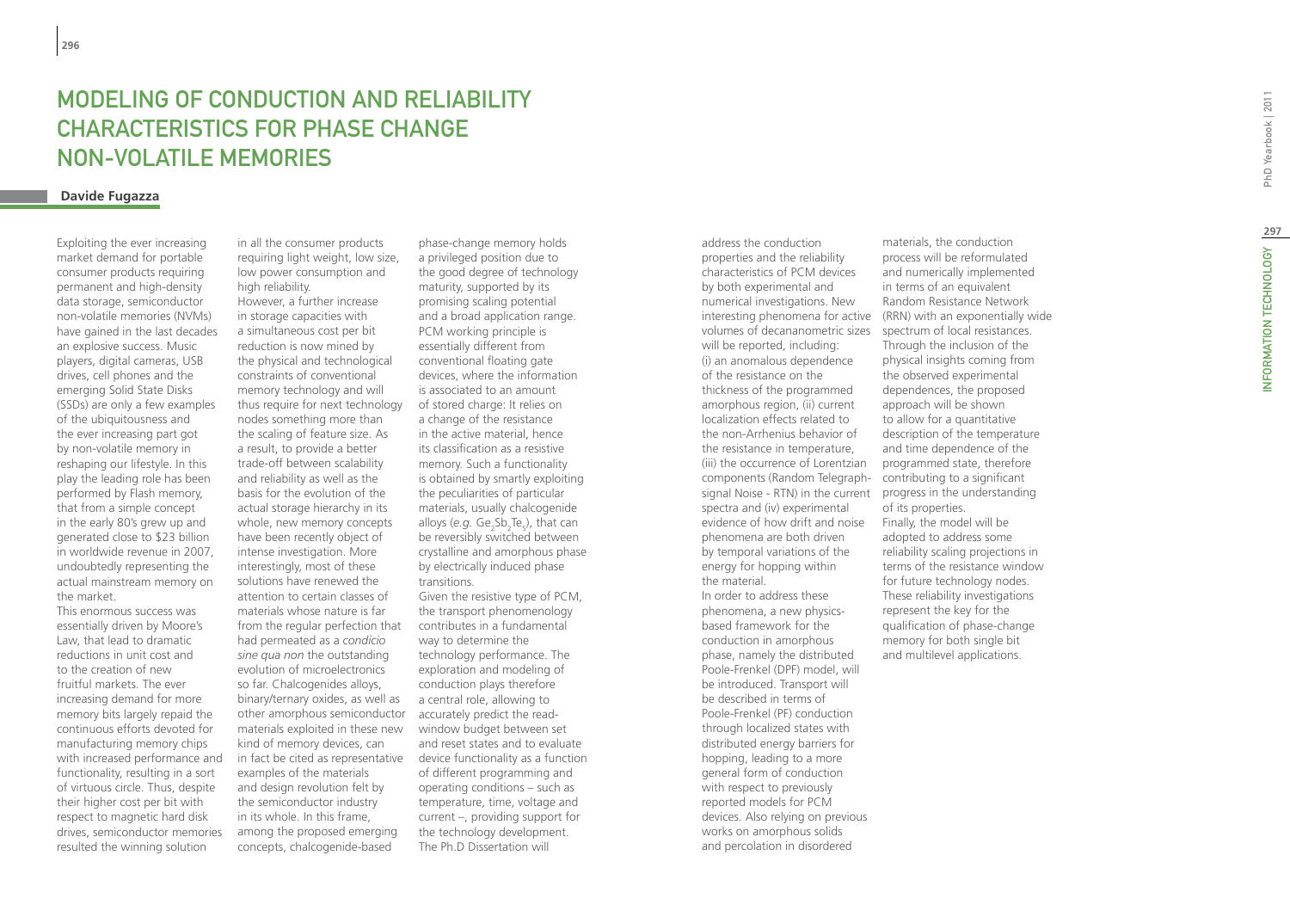# MODELING OF COND UCTION AND RELIABILITY CHARACTERI STIC S FOR PHA SE CHANGE NON-VOLATILE MEMORIE S

# **Davide Fugazza**

Exploiting the ever increasing market demand for portable consumer products requiring permanent and high-density data storage, semiconductor non-volatile memories (NVMs) have gained in the last decades an explosive success. Music players, digital cameras, USB drives, cell phones and the emerging Solid State Disks (SSDs) are only a few examples of the ubiquitousness and the ever increasing part got by non-volatile memory in reshaping our lifestyle. In this play the leading role has been performed by Flash memory, that from a simple concept in the early 80's grew up and generated close to \$23 billion in worldwide revenue in 2007, undoubtedly representing the actual mainstream memory on the market.

This enormous success was essentially driven by Moore's Law, that lead to dramatic reductions in unit cost and to the creation of new fruitful markets. The ever increasing demand for more memory bits largely repaid the continuous efforts devoted for manufacturing memory chips with increased performance and functionality, resulting in a sort of virtuous circle. Thus, despite their higher cost per bit with respect to magnetic hard disk drives, semiconductor memories resulted the winning solution

in all the consumer products requiring light weight, low size, low power consumption and high reliability.

However, a further increase in storage capacities with a simultaneous cost per bit reduction is now mined by the physical and technological constraints of conventional memory technology and will thus require for next technology nodes something more than the scaling of feature size. As a result, to provide a better trade-off between scalability and reliability as well as the basis for the evolution of the actual storage hierarchy in its whole, new memory concepts have been recently object of intense investigation. More interestingly, most of these solutions have renewed the attention to certain classes of materials whose nature is far from the regular perfection that had permeated as a *condicio sine qua non* the outstanding evolution of microelectronics so far. Chalcogenides alloys, binary/ternary oxides, as well as other amorphous semiconductor materials exploited in these new kind of memory devices, can examples of the materials and design revolution felt by the semiconductor industry in its whole. In this frame, among the proposed emerging concepts, chalcogenide-based

phase-change memory holds a privileged position due to the good degree of technology maturity, supported by its promising scaling potential and a broad application range. PCM working principle is essentially different from conventional floating gate devices, where the information is associated to an amount of stored charge: It relies on a change of the resistance in the active material, hence its classification as a resistive memory. Such a functionality is obtained by smartly exploiting the peculiarities of particular materials, usually chalcogenide alloys (e.g. Ge<sub>2</sub>Sb<sub>2</sub>Te<sub>5</sub>), that can andys (e.g. de<sub>2</sub>bb<sub>2</sub> leg/, that early crystalline and amorphous phase by electrically induced phase transitions.

Given the resistive type of PCM, the transport phenomenology contributes in a fundamental way to determine the technology performance. The exploration and modeling of conduction plays therefore a central role, allowing to accurately predict the readwindow budget between set and reset states and to evaluate in fact be cited as representative device functionality as a function of different programming and operating conditions – such as temperature, time, voltage and current –, providing support for the technology development. The Ph.D Dissertation will

address the conduction properties and the reliability characteristics of PCM devices by both experimental and numerical investigations. New volumes of decananometric sizes spectrum of local resistances. will be reported, including: (i) an anomalous dependence of the resistance on the thickness of the programmed amorphous region, (ii) current localization effects related to the non-Arrhenius behavior of the resistance in temperature, (iii) the occurrence of Lorentzian components (Random Telegraph-contributing to a significant signal Noise - RTN) in the current progress in the understanding spectra and (iv) experimental evidence of how drift and noise phenomena are both driven by temporal variations of the energy for hopping within the material. In order to address these phenomena, a new physicsbased framework for the conduction in amorphous phase, namely the distributed Poole-Frenkel (DPF) model, will be introduced. Transport will be described in terms of Poole-Frenkel (PF) conduction through localized states with distributed energy barriers for hopping, leading to a more general form of conduction with respect to previously reported models for PCM devices. Also relying on previous works on amorphous solids and percolation in disordered

interesting phenomena for active (RRN) with an exponentially wide materials, the conduction process will be reformulated and numerically implemented in terms of an equivalent Random Resistance Network Through the inclusion of the physical insights coming from the observed experimental dependences, the proposed approach will be shown to allow for a quantitative description of the temperature and time dependence of the programmed state, therefore of its properties. Finally, the model will be adopted to address some reliability scaling projections in terms of the resistance window for future technology nodes. These reliability investigations represent the key for the qualification of phase-change memory for both single bit and multilevel applications.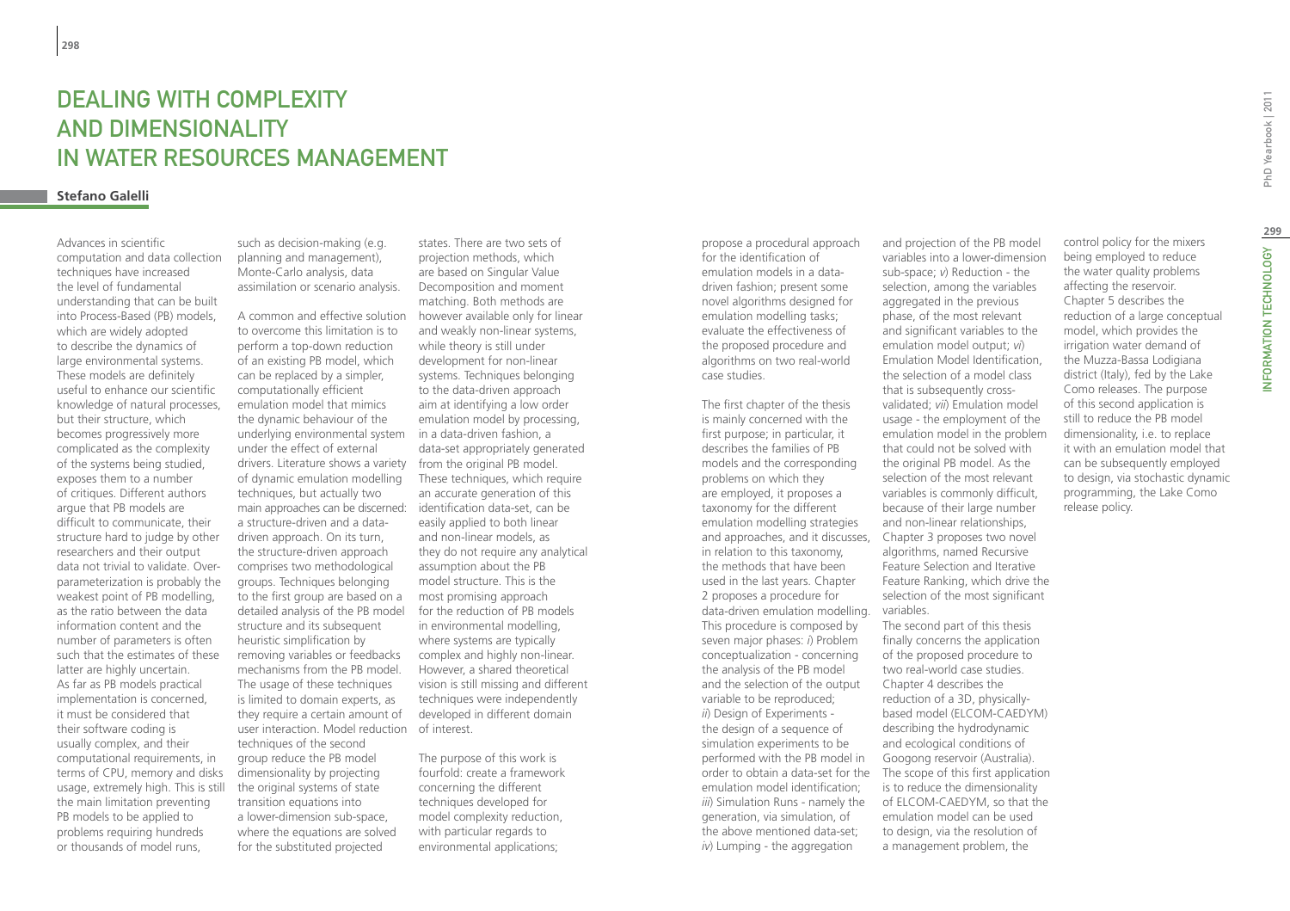# DEALING WITH COMPLEXITY and dimensionality in water resources management

# **Stefano Galelli**

Advances in scientific computation and data collection techniques have increased the level of fundamental understanding that can be built into Process-Based (PB) models, which are widely adopted to describe the dynamics of large environmental systems. These models are definitely useful to enhance our scientific knowledge of natural processes, but their structure, which becomes progressively more complicated as the complexity of the systems being studied, exposes them to a number of critiques. Different authors argue that PB models are difficult to communicate, their structure hard to judge by other researchers and their output data not trivial to validate. Overparameterization is probably the weakest point of PB modelling, as the ratio between the data information content and the number of parameters is often such that the estimates of these latter are highly uncertain. As far as PB models practical implementation is concerned, it must be considered that their software coding is usually complex, and their computational requirements, in terms of CPU, memory and disks usage, extremely high. This is still the main limitation preventing PB models to be applied to problems requiring hundreds or thousands of model runs,

such as decision-making (e.g. planning and management), Monte-Carlo analysis, data assimilation or scenario analysis.

A common and effective solution to overcome this limitation is to perform a top-down reduction of an existing PB model, which can be replaced by a simpler, computationally efficient emulation model that mimics the dynamic behaviour of the underlying environmental system under the effect of external drivers. Literature shows a variety from the original PB model. of dynamic emulation modelling techniques, but actually two main approaches can be discerned: a structure-driven and a datadriven approach. On its turn, the structure-driven approach comprises two methodological groups. Techniques belonging to the first group are based on a detailed analysis of the PB model structure and its subsequent heuristic simplification by removing variables or feedbacks mechanisms from the PB model. The usage of these techniques is limited to domain experts, as they require a certain amount of user interaction. Model reduction of interest. techniques of the second group reduce the PB model dimensionality by projecting the original systems of state transition equations into a lower-dimension sub-space, where the equations are solved for the substituted projected

states. There are two sets of projection methods, which are based on Singular Value Decomposition and moment matching. Both methods are however available only for linear and weakly non-linear systems, while theory is still under development for non-linear systems. Techniques belonging to the data-driven approach aim at identifying a low order emulation model by processing, in a data-driven fashion, a data-set appropriately generated These techniques, which require an accurate generation of this identification data-set, can be easily applied to both linear and non-linear models, as they do not require any analytical assumption about the PB model structure. This is the most promising approach for the reduction of PB models in environmental modelling, where systems are typically complex and highly non-linear. However, a shared theoretical vision is still missing and different techniques were independently developed in different domain

The purpose of this work is fourfold: create a framework concerning the different techniques developed for model complexity reduction, with particular regards to environmental applications;

propose a procedural approach for the identification of emulation models in a datadriven fashion; present some novel algorithms designed for emulation modelling tasks; evaluate the effectiveness of the proposed procedure and algorithms on two real-world case studies.

The first chapter of the thesis is mainly concerned with the first purpose; in particular, it describes the families of PB models and the corresponding problems on which they are employed, it proposes a taxonomy for the different emulation modelling strategies and approaches, and it discusses, in relation to this taxonomy, the methods that have been used in the last years. Chapter 2 proposes a procedure for data-driven emulation modelling. This procedure is composed by seven major phases: *i*) Problem conceptualization - concerning the analysis of the PB model and the selection of the output variable to be reproduced; *ii*) Design of Experiments the design of a sequence of simulation experiments to be performed with the PB model in order to obtain a data-set for the The scope of this first application emulation model identification; *iii*) Simulation Runs - namely the generation, via simulation, of the above mentioned data-set; *iv*) Lumping - the aggregation

and projection of the PB model variables into a lower-dimension sub-space; *v*) Reduction - the selection, among the variables aggregated in the previous phase, of the most relevant and significant variables to the emulation model output; *vi*) Emulation Model Identification, the selection of a model class that is subsequently crossvalidated; *vii*) Emulation model usage - the employment of the emulation model in the problem that could not be solved with the original PB model. As the selection of the most relevant variables is commonly difficult, because of their large number and non-linear relationships, Chapter 3 proposes two novel algorithms, named Recursive Feature Selection and Iterative Feature Ranking, which drive the selection of the most significant variables. The second part of this thesis finally concerns the application of the proposed procedure to two real-world case studies. Chapter 4 describes the reduction of a 3D, physicallybased model (ELCOM-CAEDYM)

describing the hydrodynamic and ecological conditions of Googong reservoir (Australia).

is to reduce the dimensionality of ELCOM-CAEDYM, so that the emulation model can be used to design, via the resolution of a management problem, the

control policy for the mixers being employed to reduce the water quality problems affecting the reservoir. Chapter 5 describes the reduction of a large conceptual model, which provides the irrigation water demand of the Muzza-Bassa Lodigiana district (Italy), fed by the Lake Como releases. The purpose of this second application is still to reduce the PB model dimensionality, i.e. to replace it with an emulation model that can be subsequently employed to design, via stochastic dynamic programming, the Lake Como release policy.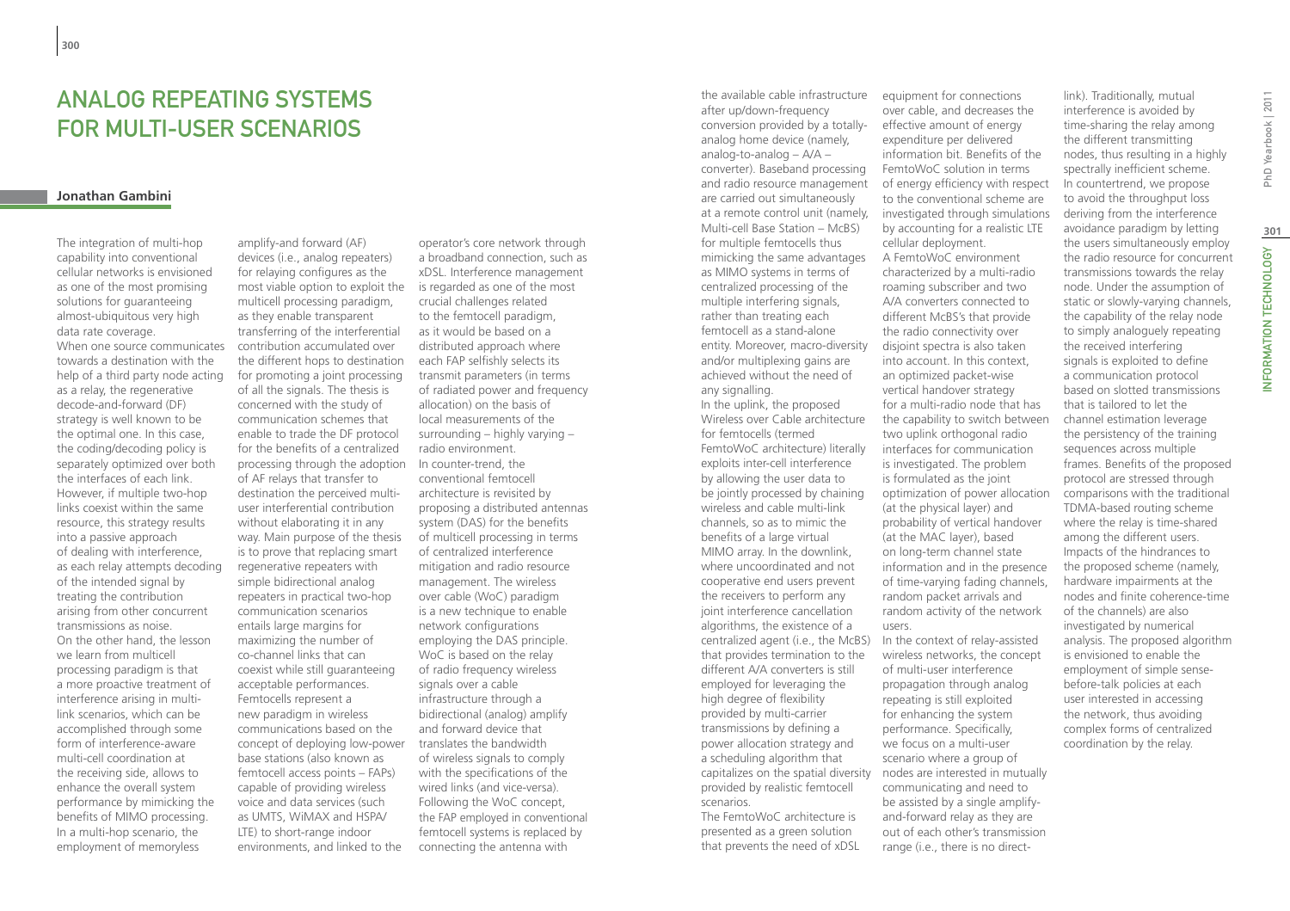# Analog Repeating Systems For Multi-user Scenarios

### **Jonathan Gambini**

The integration of multi-hop capability into conventional cellular networks is envisioned as one of the most promising solutions for guaranteeing almost-ubiquitous very high data rate coverage. When one source communicates towards a destination with the help of a third party node acting as a relay, the regenerative decode-and-forward (DF) strategy is well known to be the optimal one. In this case, the coding/decoding policy is separately optimized over both the interfaces of each link. However, if multiple two-hop links coexist within the same resource, this strategy results into a passive approach of dealing with interference, as each relay attempts decoding of the intended signal by treating the contribution arising from other concurrent transmissions as noise. On the other hand, the lesson we learn from multicell processing paradigm is that a more proactive treatment of interference arising in multilink scenarios, which can be accomplished through some form of interference-aware multi-cell coordination at the receiving side, allows to enhance the overall system performance by mimicking the benefits of MIMO processing. In a multi-hop scenario, the employment of memoryless

amplify-and forward (AF) devices (i.e., analog repeaters) for relaying configures as the most viable option to exploit the multicell processing paradigm, as they enable transparent transferring of the interferential contribution accumulated over the different hops to destination for promoting a joint processing of all the signals. The thesis is concerned with the study of communication schemes that enable to trade the DF protocol for the benefits of a centralized processing through the adoption of AF relays that transfer to destination the perceived multiuser interferential contribution without elaborating it in any way. Main purpose of the thesis is to prove that replacing smart regenerative repeaters with simple bidirectional analog repeaters in practical two-hop communication scenarios entails large margins for maximizing the number of co-channel links that can coexist while still guaranteeing acceptable performances. Femtocells represent a new paradigm in wireless communications based on the concept of deploying low-power base stations (also known as femtocell access points – FAPs) capable of providing wireless voice and data services (such as UMTS, WiMAX and HSPA/ LTE) to short-range indoor environments, and linked to the

operator's core network through a broadband connection, such as xDSL. Interference management is regarded as one of the most crucial challenges related to the femtocell paradigm, as it would be based on a distributed approach where each FAP selfishly selects its transmit parameters (in terms of radiated power and frequency allocation) on the basis of local measurements of the surrounding – highly varying – radio environment. In counter-trend, the conventional femtocell architecture is revisited by proposing a distributed antennas system (DAS) for the benefits of multicell processing in terms of centralized interference mitigation and radio resource management. The wireless over cable (WoC) paradigm is a new technique to enable network configurations employing the DAS principle. WoC is based on the relay of radio frequency wireless signals over a cable infrastructure through a bidirectional (analog) amplify and forward device that translates the bandwidth of wireless signals to comply with the specifications of the wired links (and vice-versa). Following the WoC concept, the FAP employed in conventional femtocell systems is replaced by connecting the antenna with

capitalizes on the spatial diversity nodes are interested in mutually the available cable infrastructure after up/down-frequency conversion provided by a totallyanalog home device (namely, analog-to-analog – A/A – converter). Baseband processing and radio resource management are carried out simultaneously Multi-cell Base Station – McBS) for multiple femtocells thus mimicking the same advantages as MIMO systems in terms of centralized processing of the multiple interfering signals, rather than treating each femtocell as a stand-alone entity. Moreover, macro-diversity and/or multiplexing gains are achieved without the need of any signalling. In the uplink, the proposed Wireless over Cable architecture for femtocells (termed FemtoWoC architecture) literally exploits inter-cell interference by allowing the user data to be jointly processed by chaining wireless and cable multi-link channels, so as to mimic the benefits of a large virtual MIMO array. In the downlink, where uncoordinated and not cooperative end users prevent the receivers to perform any joint interference cancellation algorithms, the existence of a centralized agent (i.e., the McBS) that provides termination to the different A/A converters is still employed for leveraging the high degree of flexibility provided by multi-carrier transmissions by defining a power allocation strategy and a scheduling algorithm that provided by realistic femtocell scenarios. The FemtoWoC architecture is

presented as a green solution that prevents the need of xDSL

equipment for connections over cable, and decreases the effective amount of energy expenditure per delivered information bit. Benefits of the FemtoWoC solution in terms of energy efficiency with respect to the conventional scheme are at a remote control unit (namely, investigated through simulations by accounting for a realistic LTE cellular deployment. A FemtoWoC environment characterized by a multi-radio roaming subscriber and two A/A converters connected to different McBS's that provide the radio connectivity over disjoint spectra is also taken into account. In this context, an optimized packet-wise vertical handover strategy for a multi-radio node that has the capability to switch between two uplink orthogonal radio interfaces for communication is investigated. The problem is formulated as the joint optimization of power allocation (at the physical layer) and probability of vertical handover (at the MAC layer), based on long-term channel state information and in the presence of time-varying fading channels, random packet arrivals and random activity of the network users. In the context of relay-assisted

wireless networks, the concept of multi-user interference propagation through analog repeating is still exploited for enhancing the system performance. Specifically, we focus on a multi-user scenario where a group of communicating and need to be assisted by a single amplifyand-forward relay as they are out of each other's transmission range (i.e., there is no direct-

link). Traditionally, mutual interference is avoided by time-sharing the relay among the different transmitting nodes, thus resulting in a highly spectrally inefficient scheme. In countertrend, we propose to avoid the throughput loss deriving from the interference avoidance paradigm by letting the users simultaneously employ the radio resource for concurrent transmissions towards the relay node. Under the assumption of static or slowly-varying channels, the capability of the relay node to simply analoguely repeating the received interfering signals is exploited to define a communication protocol based on slotted transmissions that is tailored to let the channel estimation leverage the persistency of the training sequences across multiple frames. Benefits of the proposed protocol are stressed through comparisons with the traditional TDMA-based routing scheme where the relay is time-shared among the different users. Impacts of the hindrances to the proposed scheme (namely, hardware impairments at the nodes and finite coherence-time of the channels) are also investigated by numerical

analysis. The proposed algorithm is envisioned to enable the employment of simple sensebefore-talk policies at each user interested in accessing the network, thus avoiding complex forms of centralized coordination by the relay.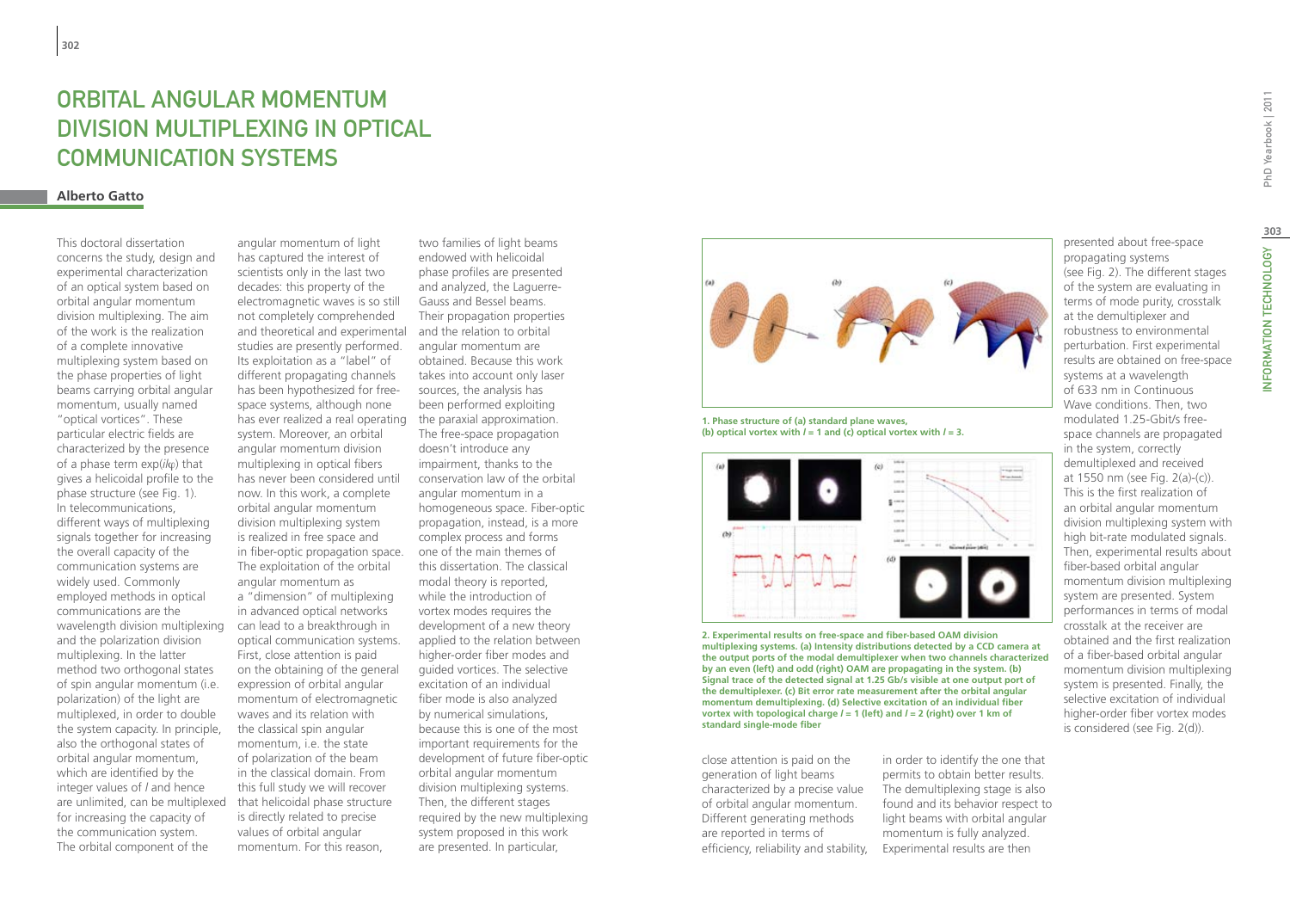# ORBITAL ANGULAR MOMENTUM division multiplexing in optical communication systems

### **Alberto Gatto**

This doctoral dissertation concerns the study, design and experimental characterization of an optical system based on orbital angular momentum division multiplexing. The aim of the work is the realization of a complete innovative multiplexing system based on the phase properties of light beams carrying orbital angular momentum, usually named "optical vortices". These particular electric fields are characterized by the presence of a phase term exp(*il*ϕ) that gives a helicoidal profile to the phase structure (see Fig. 1). In telecommunications, different ways of multiplexing signals together for increasing the overall capacity of the communication systems are widely used. Commonly employed methods in optical communications are the wavelength division multiplexing and the polarization division multiplexing. In the latter method two orthogonal states of spin angular momentum (i.e. polarization) of the light are multiplexed, in order to double the system capacity. In principle, also the orthogonal states of orbital angular momentum, which are identified by the integer values of *l* and hence are unlimited, can be multiplexed for increasing the capacity of the communication system. The orbital component of the

angular momentum of light has captured the interest of scientists only in the last two decades: this property of the electromagnetic waves is so still not completely comprehended and theoretical and experimental studies are presently performed. Its exploitation as a "label" of different propagating channels has been hypothesized for freespace systems, although none has ever realized a real operating system. Moreover, an orbital angular momentum division multiplexing in optical fibers has never been considered until now. In this work, a complete orbital angular momentum division multiplexing system is realized in free space and in fiber-optic propagation space. The exploitation of the orbital angular momentum as a "dimension" of multiplexing in advanced optical networks can lead to a breakthrough in optical communication systems. First, close attention is paid on the obtaining of the general expression of orbital angular momentum of electromagnetic waves and its relation with the classical spin angular momentum, i.e. the state of polarization of the beam in the classical domain. From this full study we will recover that helicoidal phase structure is directly related to precise values of orbital angular momentum. For this reason,

two families of light beams endowed with helicoidal phase profiles are presented and analyzed, the Laguerre-Gauss and Bessel beams. Their propagation properties and the relation to orbital angular momentum are obtained. Because this work takes into account only laser sources, the analysis has been performed exploiting the paraxial approximation. The free-space propagation doesn't introduce any impairment, thanks to the conservation law of the orbital angular momentum in a homogeneous space. Fiber-optic propagation, instead, is a more complex process and forms one of the main themes of this dissertation. The classical modal theory is reported, while the introduction of vortex modes requires the development of a new theory applied to the relation between higher-order fiber modes and guided vortices. The selective excitation of an individual fiber mode is also analyzed by numerical simulations, because this is one of the most important requirements for the development of future fiber-optic orbital angular momentum division multiplexing systems. Then, the different stages required by the new multiplexing system proposed in this work are presented. In particular,



**1. Phase structure of (a) standard plane waves, (b) optical vortex with**  $l = 1$  **and <b>(c) optical vortex with**  $l = 3$ **.** 



**2. Experimental results on free-space and fiber-based OAM division multiplexing systems. (a) Intensity distributions detected by a CCD camera at the output ports of the modal demultiplexer when two channels characterized by an even (left) and odd (right) OAM are propagating in the system. (b) Signal trace of the detected signal at 1.25 Gb/s visible at one output port of the demultiplexer. (c) Bit error rate measurement after the orbital angular momentum demultiplexing. (d) Selective excitation of an individual fiber vortex with topological charge** *l* **= 1 (left) and** *l* **= 2 (right) over 1 km of standard single-mode fiber**

close attention is paid on the generation of light beams characterized by a precise value of orbital angular momentum. Different generating methods are reported in terms of efficiency, reliability and stability,

in order to identify the one that permits to obtain better results. The demultiplexing stage is also found and its behavior respect to light beams with orbital angular momentum is fully analyzed. Experimental results are then

presented about free-space propagating systems (see Fig. 2). The different stages of the system are evaluating in terms of mode purity, crosstalk at the demultiplexer and robustness to environmental perturbation. First experimental results are obtained on free-space systems at a wavelength of 633 nm in Continuous Wave conditions. Then, two modulated 1.25-Gbit/s freespace channels are propagated in the system, correctly demultiplexed and received at 1550 nm (see Fig. 2(a)-(c)). This is the first realization of an orbital angular momentum division multiplexing system with high bit-rate modulated signals. Then, experimental results about fiber-based orbital angular momentum division multiplexing system are presented. System performances in terms of modal crosstalk at the receiver are obtained and the first realization of a fiber-based orbital angular momentum division multiplexing system is presented. Finally, the selective excitation of individual higher-order fiber vortex modes is considered (see Fig. 2(d)).

**303**

INFORMATION TECHNOLOGY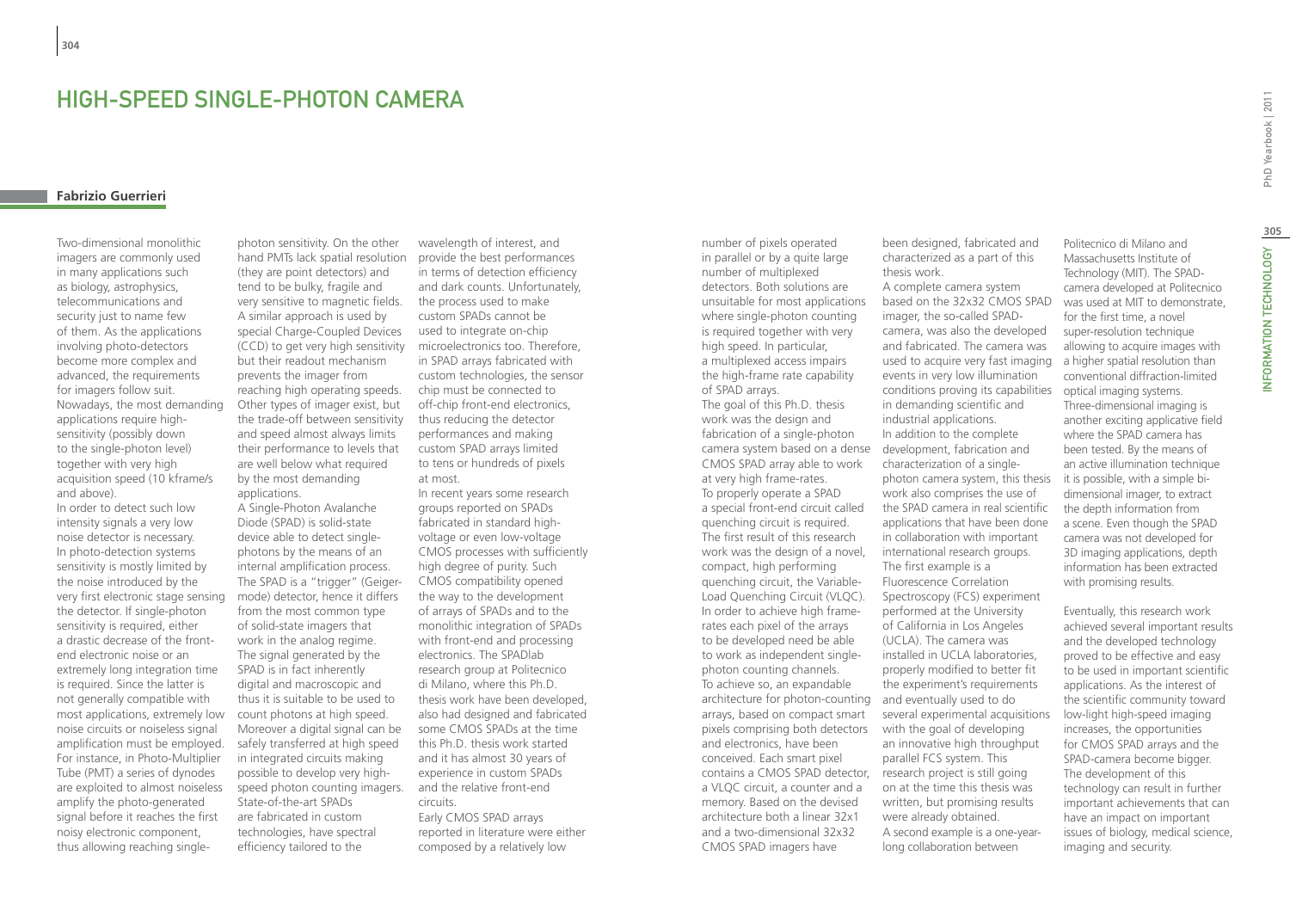# High-speed single-photon camera

# **Fabrizio Guerrieri**

Two-dimensional monolithic imagers are commonly used in many applications such as biology, astrophysics, telecommunications and security just to name few of them. As the applications involving photo-detectors become more complex and advanced, the requirements for imagers follow suit. Nowadays, the most demanding applications require highsensitivity (possibly down to the single-photon level) together with very high acquisition speed (10 kframe/s and above).

In order to detect such low intensity signals a very low noise detector is necessary. In photo-detection systems sensitivity is mostly limited by the noise introduced by the very first electronic stage sensing the detector. If single-photon sensitivity is required, either a drastic decrease of the frontend electronic noise or an extremely long integration time is required. Since the latter is not generally compatible with most applications, extremely low noise circuits or noiseless signal amplification must be employed. For instance, in Photo-Multiplier Tube (PMT) a series of dynodes are exploited to almost noiseless amplify the photo-generated signal before it reaches the first noisy electronic component, thus allowing reaching single-

photon sensitivity. On the other hand PMTs lack spatial resolution (they are point detectors) and tend to be bulky, fragile and very sensitive to magnetic fields. A similar approach is used by special Charge-Coupled Devices (CCD) to get very high sensitivity but their readout mechanism prevents the imager from reaching high operating speeds. Other types of imager exist, but the trade-off between sensitivity and speed almost always limits their performance to levels that are well below what required by the most demanding applications.

A Single-Photon Avalanche Diode (SPAD) is solid-state device able to detect singlephotons by the means of an internal amplification process. The SPAD is a "trigger" (Geigermode) detector, hence it differs from the most common type of solid-state imagers that work in the analog regime. The signal generated by the SPAD is in fact inherently digital and macroscopic and thus it is suitable to be used to count photons at high speed. Moreover a digital signal can be safely transferred at high speed in integrated circuits making possible to develop very highspeed photon counting imagers. State-of-the-art SPADs are fabricated in custom technologies, have spectral efficiency tailored to the

wavelength of interest, and provide the best performances in terms of detection efficiency and dark counts. Unfortunately, the process used to make custom SPADs cannot be used to integrate on-chip microelectronics too. Therefore, in SPAD arrays fabricated with custom technologies, the sensor chip must be connected to off-chip front-end electronics, thus reducing the detector performances and making custom SPAD arrays limited to tens or hundreds of pixels at most.

In recent years some research groups reported on SPADs fabricated in standard highvoltage or even low-voltage CMOS processes with sufficiently high degree of purity. Such CMOS compatibility opened the way to the development of arrays of SPADs and to the monolithic integration of SPADs with front-end and processing electronics. The SPADlab research group at Politecnico di Milano, where this Ph.D. thesis work have been developed, also had designed and fabricated some CMOS SPADs at the time this Ph.D. thesis work started and it has almost 30 years of experience in custom SPADs and the relative front-end circuits. Early CMOS SPAD arrays reported in literature were either composed by a relatively low

architecture for photon-counting and eventually used to do contains a CMOS SPAD detector, research project is still going number of pixels operated in parallel or by a quite large number of multiplexed detectors. Both solutions are unsuitable for most applications where single-photon counting is required together with very high speed. In particular, a multiplexed access impairs the high-frame rate capability of SPAD arrays. The goal of this Ph.D. thesis work was the design and fabrication of a single-photon camera system based on a dense CMOS SPAD array able to work at very high frame-rates. To properly operate a SPAD a special front-end circuit called quenching circuit is required. The first result of this research work was the design of a novel, compact, high performing quenching circuit, the Variable-Load Quenching Circuit (VLQC). In order to achieve high framerates each pixel of the arrays to be developed need be able to work as independent singlephoton counting channels. To achieve so, an expandable arrays, based on compact smart pixels comprising both detectors and electronics, have been conceived. Each smart pixel a VLQC circuit, a counter and a memory. Based on the devised architecture both a linear 32x1 and a two-dimensional 32x32 CMOS SPAD imagers have

been designed, fabricated and characterized as a part of this thesis work. A complete camera system based on the 32x32 CMOS SPAD imager, the so-called SPADcamera, was also the developed and fabricated. The camera was used to acquire very fast imaging events in very low illumination conditions proving its capabilities in demanding scientific and industrial applications. In addition to the complete development, fabrication and characterization of a singlephoton camera system, this thesis work also comprises the use of the SPAD camera in real scientific applications that have been done in collaboration with important international research groups. The first example is a Fluorescence Correlation Spectroscopy (FCS) experiment performed at the University of California in Los Angeles (UCLA). The camera was installed in UCLA laboratories, properly modified to better fit the experiment's requirements several experimental acquisitions with the goal of developing an innovative high throughput parallel FCS system. This on at the time this thesis was written, but promising results were already obtained. A second example is a one-yearlong collaboration between

Politecnico di Milano and Massachusetts Institute of Technology (MIT). The SPADcamera developed at Politecnico was used at MIT to demonstrate, for the first time, a novel super-resolution technique allowing to acquire images with a higher spatial resolution than conventional diffraction-limited optical imaging systems. Three-dimensional imaging is another exciting applicative field where the SPAD camera has been tested. By the means of an active illumination technique it is possible, with a simple bidimensional imager, to extract the depth information from a scene. Even though the SPAD camera was not developed for

Eventually, this research work achieved several important results and the developed technology proved to be effective and easy to be used in important scientific applications. As the interest of the scientific community toward low-light high-speed imaging increases, the opportunities for CMOS SPAD arrays and the SPAD-camera become bigger. The development of this technology can result in further important achievements that can have an impact on important issues of biology, medical science, imaging and security.

3D imaging applications, depth information has been extracted

with promising results.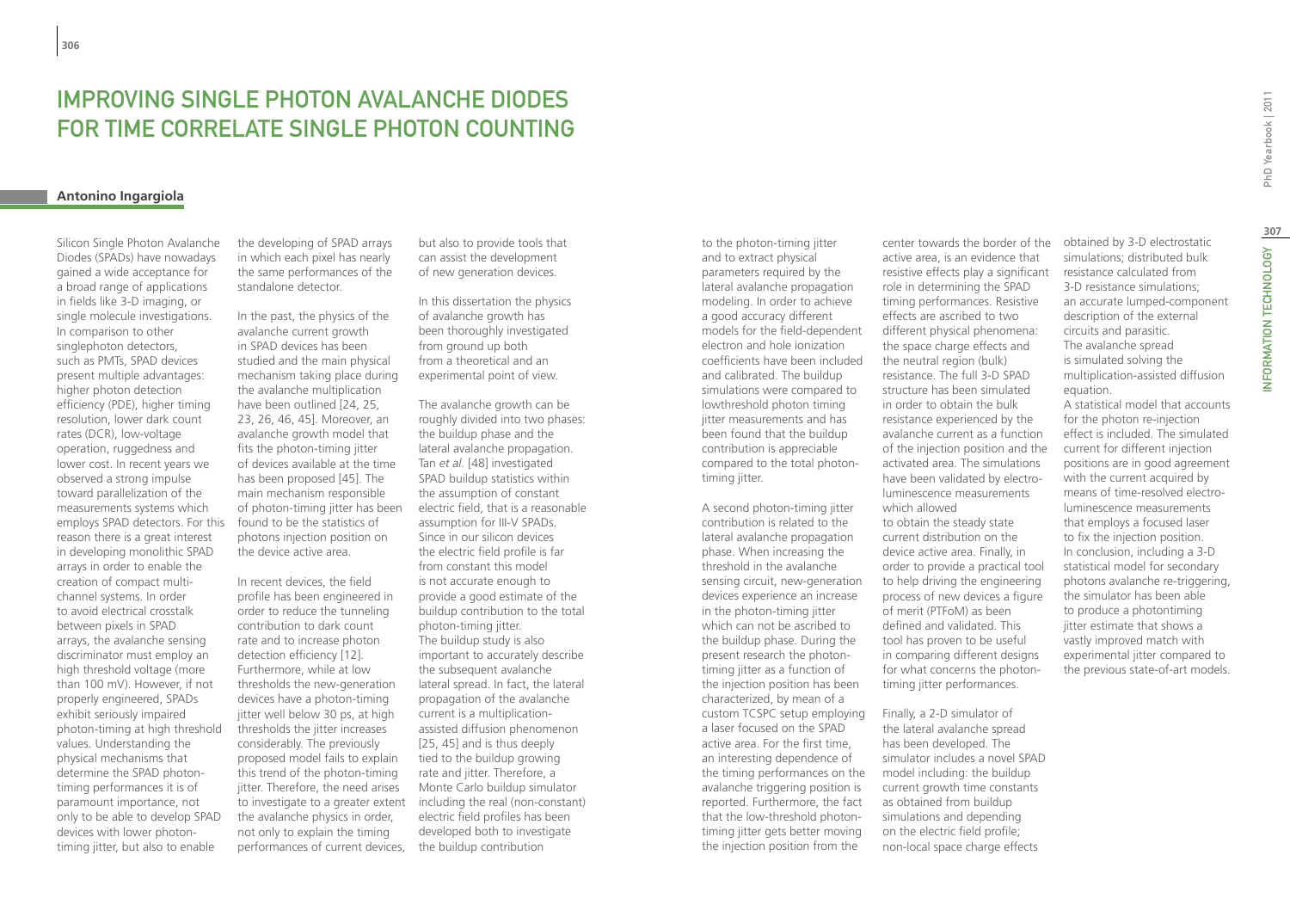# IMPROVING SINGLE PHOTON AVALANCHE DIODES FOR TIME CORRELATE SINGLE PHOTON COUNTING

# **Antonino Ingargiola**

Silicon Single Photon Avalanche Diodes (SPADs) have nowadays gained a wide acceptance for a broad range of applications in fields like 3-D imaging, or single molecule investigations. In comparison to other singlephoton detectors, such as PMTs, SPAD devices present multiple advantages: higher photon detection efficiency (PDE), higher timing resolution, lower dark count rates (DCR), low-voltage operation, ruggedness and lower cost. In recent years we observed a strong impulse toward parallelization of the measurements systems which employs SPAD detectors. For this reason there is a great interest in developing monolithic SPAD arrays in order to enable the creation of compact multichannel systems. In order to avoid electrical crosstalk between pixels in SPAD arrays, the avalanche sensing discriminator must employ an high threshold voltage (more than 100 mV). However, if not properly engineered, SPADs exhibit seriously impaired photon-timing at high threshold values. Understanding the physical mechanisms that determine the SPAD photontiming performances it is of paramount importance, not only to be able to develop SPAD devices with lower photontiming jitter, but also to enable

the developing of SPAD arrays in which each pixel has nearly the same performances of the standalone detector.

In the past, the physics of the avalanche current growth in SPAD devices has been studied and the main physical mechanism taking place during the avalanche multiplication have been outlined [24, 25, 23, 26, 46, 45]. Moreover, an avalanche growth model that fits the photon-timing jitter of devices available at the time has been proposed [45]. The main mechanism responsible of photon-timing jitter has been found to be the statistics of photons injection position on the device active area.

In recent devices, the field profile has been engineered in order to reduce the tunneling contribution to dark count rate and to increase photon detection efficiency [12]. Furthermore, while at low thresholds the new-generation devices have a photon-timing jitter well below 30 ps, at high thresholds the jitter increases considerably. The previously proposed model fails to explain this trend of the photon-timing jitter. Therefore, the need arises to investigate to a greater extent the avalanche physics in order, not only to explain the timing performances of current devices, but also to provide tools that can assist the development of new generation devices.

In this dissertation the physics of avalanche growth has been thoroughly investigated from ground up both from a theoretical and an experimental point of view.

The avalanche growth can be roughly divided into two phases: the buildup phase and the lateral avalanche propagation. Tan *et al.* [48] investigated SPAD buildup statistics within the assumption of constant electric field, that is a reasonable assumption for III-V SPADs. Since in our silicon devices the electric field profile is far from constant this model is not accurate enough to provide a good estimate of the buildup contribution to the total photon-timing jitter. The buildup study is also important to accurately describe the subsequent avalanche lateral spread. In fact, the lateral propagation of the avalanche current is a multiplicationassisted diffusion phenomenon [25, 45] and is thus deeply tied to the buildup growing rate and jitter. Therefore, a Monte Carlo buildup simulator including the real (non-constant) electric field profiles has been developed both to investigate the buildup contribution

to the photon-timing jitter and to extract physical parameters required by the lateral avalanche propagation modeling. In order to achieve a good accuracy different models for the field-dependent electron and hole ionization coefficients have been included and calibrated. The buildup simulations were compared to lowthreshold photon timing jitter measurements and has been found that the buildup contribution is appreciable compared to the total photontiming jitter.

A second photon-timing jitter contribution is related to the lateral avalanche propagation phase. When increasing the threshold in the avalanche sensing circuit, new-generation devices experience an increase in the photon-timing jitter which can not be ascribed to the buildup phase. During the present research the photontiming jitter as a function of the injection position has been characterized, by mean of a custom TCSPC setup employing a laser focused on the SPAD active area. For the first time, an interesting dependence of the timing performances on the avalanche triggering position is reported. Furthermore, the fact that the low-threshold photontiming jitter gets better moving the injection position from the

center towards the border of the active area, is an evidence that resistive effects play a significant role in determining the SPAD timing performances. Resistive effects are ascribed to two different physical phenomena: the space charge effects and the neutral region (bulk) resistance. The full 3-D SPAD structure has been simulated in order to obtain the bulk resistance experienced by the avalanche current as a function of the injection position and the activated area. The simulations have been validated by electroluminescence measurements which allowed to obtain the steady state current distribution on the device active area. Finally, in order to provide a practical tool to help driving the engineering process of new devices a figure of merit (PTFoM) as been defined and validated. This tool has proven to be useful in comparing different designs for what concerns the photon-

Finally, a 2-D simulator of the lateral avalanche spread has been developed. The simulator includes a novel SPAD model including: the buildup current growth time constants as obtained from buildup simulations and depending on the electric field profile; non-local space charge effects

timing jitter performances.

obtained by 3-D electrostatic simulations; distributed bulk resistance calculated from 3-D resistance simulations; an accurate lumped-component description of the external circuits and parasitic. The avalanche spread is simulated solving the multiplication-assisted diffusion equation.

A statistical model that accounts for the photon re-injection effect is included. The simulated current for different injection positions are in good agreement with the current acquired by means of time-resolved electroluminescence measurements that employs a focused laser to fix the injection position. In conclusion, including a 3-D statistical model for secondary photons avalanche re-triggering, the simulator has been able to produce a photontiming jitter estimate that shows a vastly improved match with experimental jitter compared to the previous state-of-art models.

**307**

NFORMATION TECHNOLOGY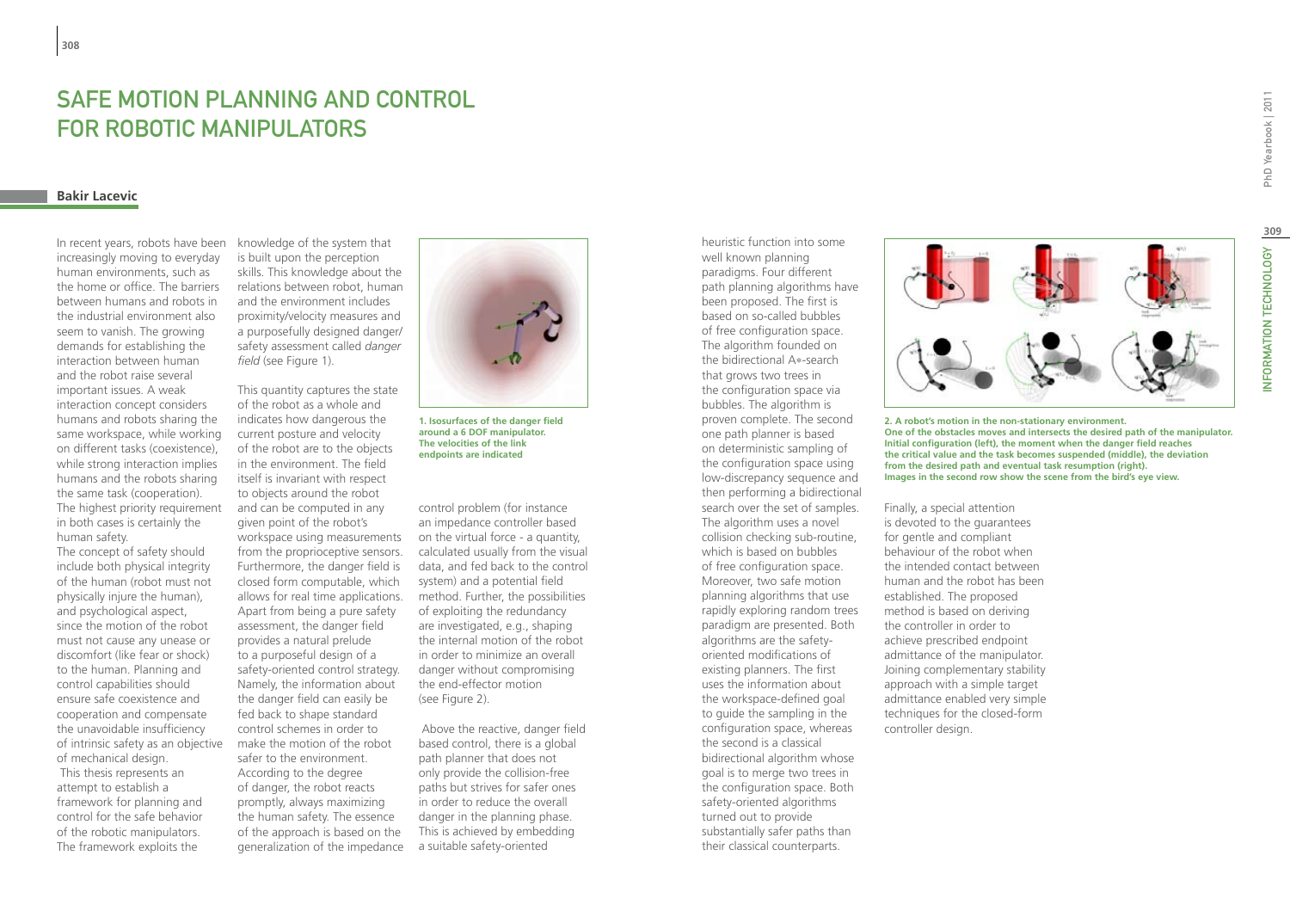# Safe Motion Planning and Control for Robotic Manipulators

# **Bakir Lacevic**

In recent years, robots have been increasingly moving to everyday human environments, such as the home or office. The barriers between humans and robots in the industrial environment also seem to vanish. The growing demands for establishing the interaction between human and the robot raise several important issues. A weak interaction concept considers humans and robots sharing the same workspace, while working on different tasks (coexistence), while strong interaction implies humans and the robots sharing the same task (cooperation). The highest priority requirement in both cases is certainly the human safety.

The concept of safety should include both physical integrity of the human (robot must not physically injure the human), and psychological aspect, since the motion of the robot must not cause any unease or discomfort (like fear or shock) to the human. Planning and control capabilities should ensure safe coexistence and cooperation and compensate the unavoidable insufficiency of intrinsic safety as an objective of mechanical design. This thesis represents an attempt to establish a framework for planning and control for the safe behavior of the robotic manipulators. The framework exploits the

knowledge of the system that is built upon the perception skills. This knowledge about the relations between robot, human and the environment includes proximity/velocity measures and a purposefully designed danger/ safety assessment called *danger field* (see Figure 1).

This quantity captures the state of the robot as a whole and indicates how dangerous the current posture and velocity of the robot are to the objects in the environment. The field itself is invariant with respect to objects around the robot and can be computed in any given point of the robot's workspace using measurements from the proprioceptive sensors. Furthermore, the danger field is closed form computable, which allows for real time applications. Apart from being a pure safety assessment, the danger field provides a natural prelude to a purposeful design of a safety-oriented control strategy. Namely, the information about the danger field can easily be fed back to shape standard control schemes in order to make the motion of the robot safer to the environment. According to the degree of danger, the robot reacts promptly, always maximizing the human safety. The essence of the approach is based on the generalization of the impedance



**1. Isosurfaces of the danger field around a 6 DOF manipulator. The velocities of the link endpoints are indicated**

control problem (for instance an impedance controller based on the virtual force - a quantity, calculated usually from the visual data, and fed back to the control system) and a potential field method. Further, the possibilities of exploiting the redundancy are investigated, e.g., shaping the internal motion of the robot in order to minimize an overall danger without compromising the end-effector motion (see Figure 2).

 Above the reactive, danger field based control, there is a global path planner that does not only provide the collision-free paths but strives for safer ones in order to reduce the overall danger in the planning phase. This is achieved by embedding a suitable safety-oriented

heuristic function into some well known planning paradigms. Four different path planning algorithms have been proposed. The first is based on so-called bubbles of free configuration space. The algorithm founded on the bidirectional A∗-search that grows two trees in the configuration space via bubbles. The algorithm is proven complete. The second one path planner is based on deterministic sampling of the configuration space using low-discrepancy sequence and then performing a bidirectional search over the set of samples. The algorithm uses a novel collision checking sub-routine, which is based on bubbles of free configuration space. Moreover, two safe motion planning algorithms that use rapidly exploring random trees paradigm are presented. Both algorithms are the safetyoriented modifications of existing planners. The first uses the information about the workspace-defined goal to guide the sampling in the configuration space, whereas the second is a classical bidirectional algorithm whose goal is to merge two trees in the configuration space. Both safety-oriented algorithms turned out to provide substantially safer paths than their classical counterparts.



**2. A robot's motion in the non-stationary environment. One of the obstacles moves and intersects the desired path of the manipulator. Initial configuration (left), the moment when the danger field reaches the critical value and the task becomes suspended (middle), the deviation from the desired path and eventual task resumption (right). Images in the second row show the scene from the bird's eye view.**

Finally, a special attention is devoted to the guarantees for gentle and compliant behaviour of the robot when the intended contact between human and the robot has been established. The proposed method is based on deriving the controller in order to achieve prescribed endpoint admittance of the manipulator. Joining complementary stability approach with a simple target admittance enabled very simple techniques for the closed-form controller design.

**309**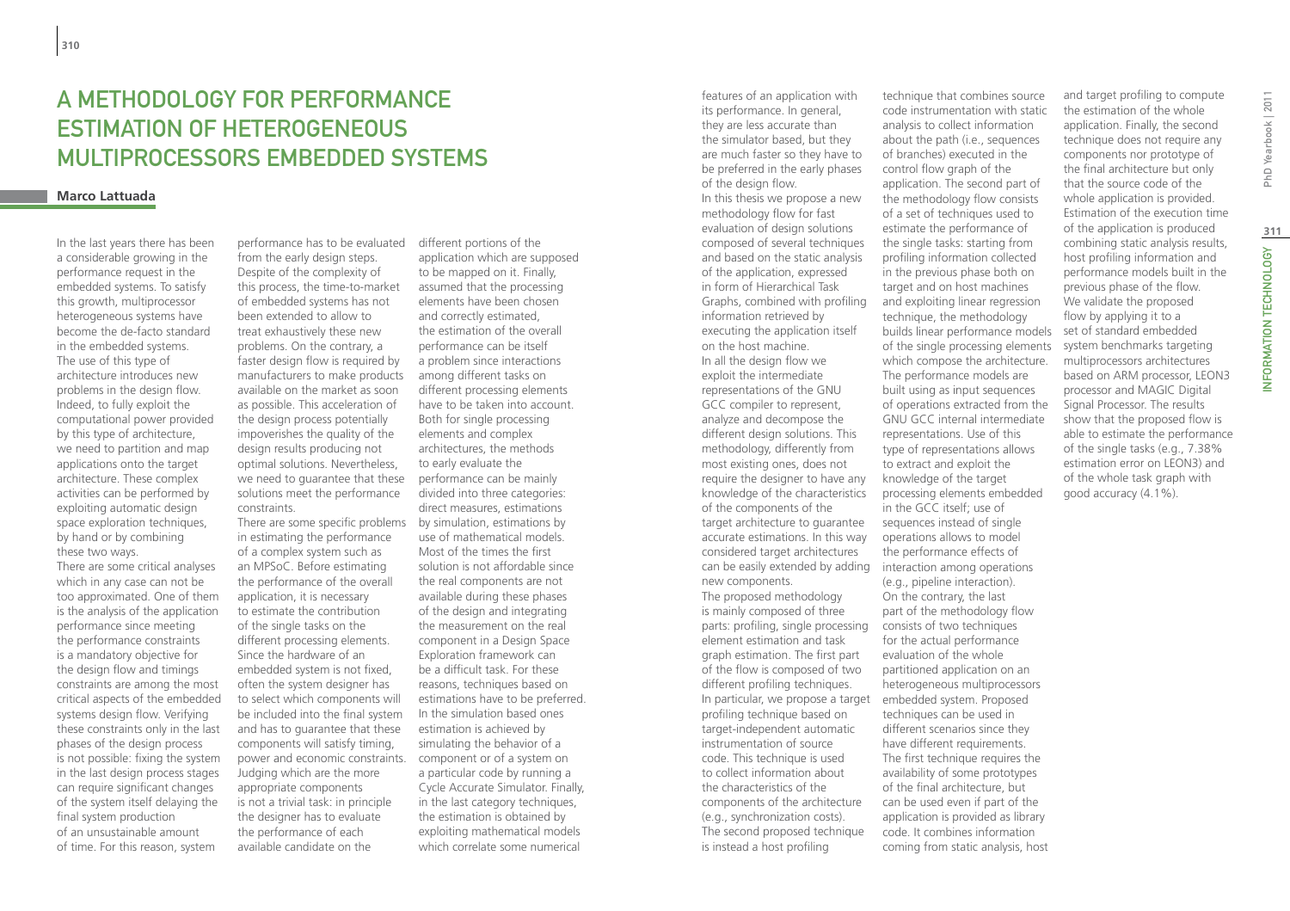# A Methodology for Performance Estimation of Heterogeneous Multiprocessors Embedded Systems

### **Marco Lattuada**

In the last years there has been a considerable growing in the performance request in the embedded systems. To satisfy this growth, multiprocessor heterogeneous systems have become the de-facto standard in the embedded systems. The use of this type of architecture introduces new problems in the design flow. Indeed, to fully exploit the computational power provided by this type of architecture, we need to partition and map applications onto the target architecture. These complex activities can be performed by exploiting automatic design space exploration techniques, by hand or by combining these two ways.

There are some critical analyses which in any case can not be too approximated. One of them is the analysis of the application performance since meeting the performance constraints is a mandatory objective for the design flow and timings constraints are among the most critical aspects of the embedded systems design flow. Verifying these constraints only in the last phases of the design process is not possible: fixing the system in the last design process stages can require significant changes of the system itself delaying the final system production of an unsustainable amount of time. For this reason, system

performance has to be evaluated from the early design steps. Despite of the complexity of this process, the time-to-market of embedded systems has not been extended to allow to treat exhaustively these new problems. On the contrary, a faster design flow is required by manufacturers to make products available on the market as soon as possible. This acceleration of the design process potentially impoverishes the quality of the design results producing not optimal solutions. Nevertheless, we need to guarantee that these solutions meet the performance constraints.

There are some specific problems in estimating the performance of a complex system such as an MPSoC. Before estimating the performance of the overall application, it is necessary to estimate the contribution of the single tasks on the different processing elements. Since the hardware of an embedded system is not fixed, often the system designer has to select which components will be included into the final system and has to guarantee that these components will satisfy timing, power and economic constraints. component or of a system on Judging which are the more appropriate components is not a trivial task: in principle the designer has to evaluate the performance of each available candidate on the

different portions of the application which are supposed to be mapped on it. Finally, assumed that the processing elements have been chosen and correctly estimated, the estimation of the overall performance can be itself a problem since interactions among different tasks on different processing elements have to be taken into account. Both for single processing elements and complex architectures, the methods to early evaluate the performance can be mainly divided into three categories: direct measures, estimations by simulation, estimations by use of mathematical models. Most of the times the first solution is not affordable since the real components are not available during these phases of the design and integrating the measurement on the real component in a Design Space Exploration framework can be a difficult task. For these reasons, techniques based on estimations have to be preferred. In the simulation based ones estimation is achieved by simulating the behavior of a a particular code by running a Cycle Accurate Simulator. Finally, in the last category techniques, the estimation is obtained by exploiting mathematical models which correlate some numerical

can be easily extended by adding interaction among operations parts: profiling, single processing consists of two techniques features of an application with its performance. In general, they are less accurate than the simulator based, but they are much faster so they have to be preferred in the early phases of the design flow. In this thesis we propose a new methodology flow for fast evaluation of design solutions composed of several techniques and based on the static analysis of the application, expressed in form of Hierarchical Task Graphs, combined with profiling information retrieved by executing the application itself on the host machine. In all the design flow we exploit the intermediate representations of the GNU GCC compiler to represent, analyze and decompose the different design solutions. This methodology, differently from most existing ones, does not require the designer to have any knowledge of the characteristics of the components of the target architecture to guarantee accurate estimations. In this way considered target architectures new components. The proposed methodology is mainly composed of three element estimation and task graph estimation. The first part of the flow is composed of two different profiling techniques. In particular, we propose a target profiling technique based on target-independent automatic instrumentation of source code. This technique is used to collect information about the characteristics of the components of the architecture (e.g., synchronization costs). The second proposed technique is instead a host profiling

technique that combines source code instrumentation with static analysis to collect information about the path (i.e., sequences of branches) executed in the control flow graph of the application. The second part of the methodology flow consists of a set of techniques used to estimate the performance of the single tasks: starting from profiling information collected in the previous phase both on target and on host machines and exploiting linear regression technique, the methodology builds linear performance models of the single processing elements which compose the architecture. The performance models are built using as input sequences of operations extracted from the GNU GCC internal intermediate representations. Use of this type of representations allows to extract and exploit the knowledge of the target processing elements embedded in the GCC itself; use of sequences instead of single operations allows to model the performance effects of (e.g., pipeline interaction). On the contrary, the last part of the methodology flow for the actual performance evaluation of the whole partitioned application on an heterogeneous multiprocessors embedded system. Proposed techniques can be used in different scenarios since they have different requirements. The first technique requires the availability of some prototypes of the final architecture, but can be used even if part of the application is provided as library code. It combines information coming from static analysis, host

and target profiling to compute the estimation of the whole application. Finally, the second technique does not require any components nor prototype of the final architecture but only that the source code of the whole application is provided. Estimation of the execution time of the application is produced combining static analysis results, host profiling information and performance models built in the previous phase of the flow. We validate the proposed flow by applying it to a set of standard embedded system benchmarks targeting multiprocessors architectures based on ARM processor, LEON3 processor and MAGIC Digital Signal Processor. The results show that the proposed flow is able to estimate the performance of the single tasks (e.g., 7.38% estimation error on LEON3) and of the whole task graph with good accuracy (4.1%).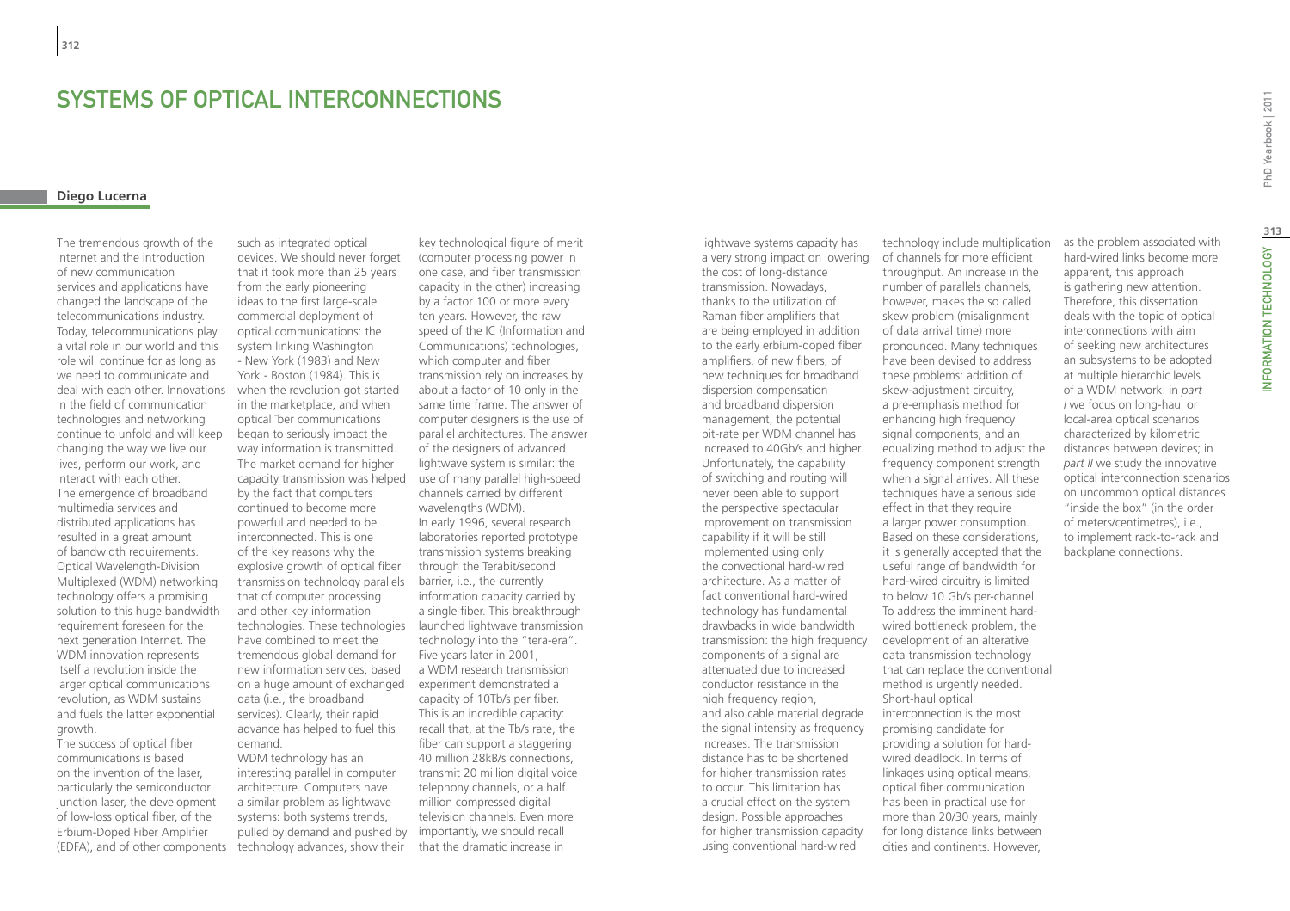# Systems of optical interconnections

# **Diego Lucerna**

The tremendous growth of the Internet and the introduction of new communication services and applications have changed the landscape of the telecommunications industry. Today, telecommunications play a vital role in our world and this role will continue for as long as we need to communicate and deal with each other. Innovations in the field of communication technologies and networking continue to unfold and will keep changing the way we live our lives, perform our work, and interact with each other. The emergence of broadband multimedia services and distributed applications has resulted in a great amount of bandwidth requirements. Optical Wavelength-Division Multiplexed (WDM) networking technology offers a promising solution to this huge bandwidth requirement foreseen for the next generation Internet. The WDM innovation represents itself a revolution inside the larger optical communications revolution, as WDM sustains and fuels the latter exponential growth.

The success of optical fiber communications is based on the invention of the laser, particularly the semiconductor junction laser, the development of low-loss optical fiber, of the Erbium-Doped Fiber Amplifier (EDFA), and of other components

such as integrated optical devices. We should never forget that it took more than 25 years from the early pioneering ideas to the first large-scale commercial deployment of optical communications: the system linking Washington - New York (1983) and New York - Boston (1984). This is when the revolution got started in the marketplace, and when optical ¯ber communications began to seriously impact the way information is transmitted. The market demand for higher capacity transmission was helped use of many parallel high-speed by the fact that computers continued to become more powerful and needed to be interconnected. This is one of the key reasons why the explosive growth of optical fiber transmission technology parallels that of computer processing and other key information have combined to meet the tremendous global demand for new information services, based on a huge amount of exchanged experiment demonstrated a data (i.e., the broadband services). Clearly, their rapid advance has helped to fuel this demand.

WDM technology has an interesting parallel in computer architecture. Computers have a similar problem as lightwave systems: both systems trends, pulled by demand and pushed by importantly, we should recall technology advances, show their

technologies. These technologies launched lightwave transmission key technological figure of merit (computer processing power in one case, and fiber transmission capacity in the other) increasing by a factor 100 or more every ten years. However, the raw speed of the IC (Information and Communications) technologies, which computer and fiber transmission rely on increases by about a factor of 10 only in the same time frame. The answer of computer designers is the use of parallel architectures. The answer of the designers of advanced lightwave system is similar: the channels carried by different wavelengths (WDM). In early 1996, several research laboratories reported prototype transmission systems breaking through the Terabit/second barrier, i.e., the currently information capacity carried by a single fiber. This breakthrough technology into the "tera-era". Five years later in 2001, a WDM research transmission capacity of 10Tb/s per fiber. This is an incredible capacity: recall that, at the Tb/s rate, the fiber can support a staggering 40 million 28kB/s connections, transmit 20 million digital voice telephony channels, or a half million compressed digital television channels. Even more that the dramatic increase in

lightwave systems capacity has a very strong impact on lowering the cost of long-distance transmission. Nowadays, thanks to the utilization of Raman fiber amplifiers that are being employed in addition to the early erbium-doped fiber amplifiers, of new fibers, of new techniques for broadband dispersion compensation and broadband dispersion management, the potential bit-rate per WDM channel has increased to 40Gb/s and higher. Unfortunately, the capability of switching and routing will never been able to support the perspective spectacular improvement on transmission capability if it will be still implemented using only the convectional hard-wired architecture. As a matter of fact conventional hard-wired technology has fundamental drawbacks in wide bandwidth transmission: the high frequency components of a signal are attenuated due to increased conductor resistance in the high frequency region, and also cable material degrade the signal intensity as frequency increases. The transmission distance has to be shortened for higher transmission rates to occur. This limitation has a crucial effect on the system design. Possible approaches for higher transmission capacity using conventional hard-wired

technology include multiplication of channels for more efficient throughput. An increase in the number of parallels channels, however, makes the so called skew problem (misalignment of data arrival time) more pronounced. Many techniques have been devised to address these problems: addition of skew-adjustment circuitry, a pre-emphasis method for enhancing high frequency signal components, and an equalizing method to adjust the frequency component strength when a signal arrives. All these techniques have a serious side effect in that they require a larger power consumption. Based on these considerations, it is generally accepted that the useful range of bandwidth for hard-wired circuitry is limited to below 10 Gb/s per-channel. To address the imminent hardwired bottleneck problem, the development of an alterative data transmission technology that can replace the conventional method is urgently needed. Short-haul optical interconnection is the most promising candidate for providing a solution for hardwired deadlock. In terms of linkages using optical means, optical fiber communication has been in practical use for more than 20/30 years, mainly for long distance links between cities and continents. However,

as the problem associated with hard-wired links become more apparent, this approach is gathering new attention. Therefore, this dissertation deals with the topic of optical interconnections with aim of seeking new architectures an subsystems to be adopted at multiple hierarchic levels of a WDM network: in *part I* we focus on long-haul or local-area optical scenarios characterized by kilometric distances between devices; in *part II* we study the innovative optical interconnection scenarios on uncommon optical distances "inside the box" (in the order of meters/centimetres), i.e., to implement rack-to-rack and backplane connections.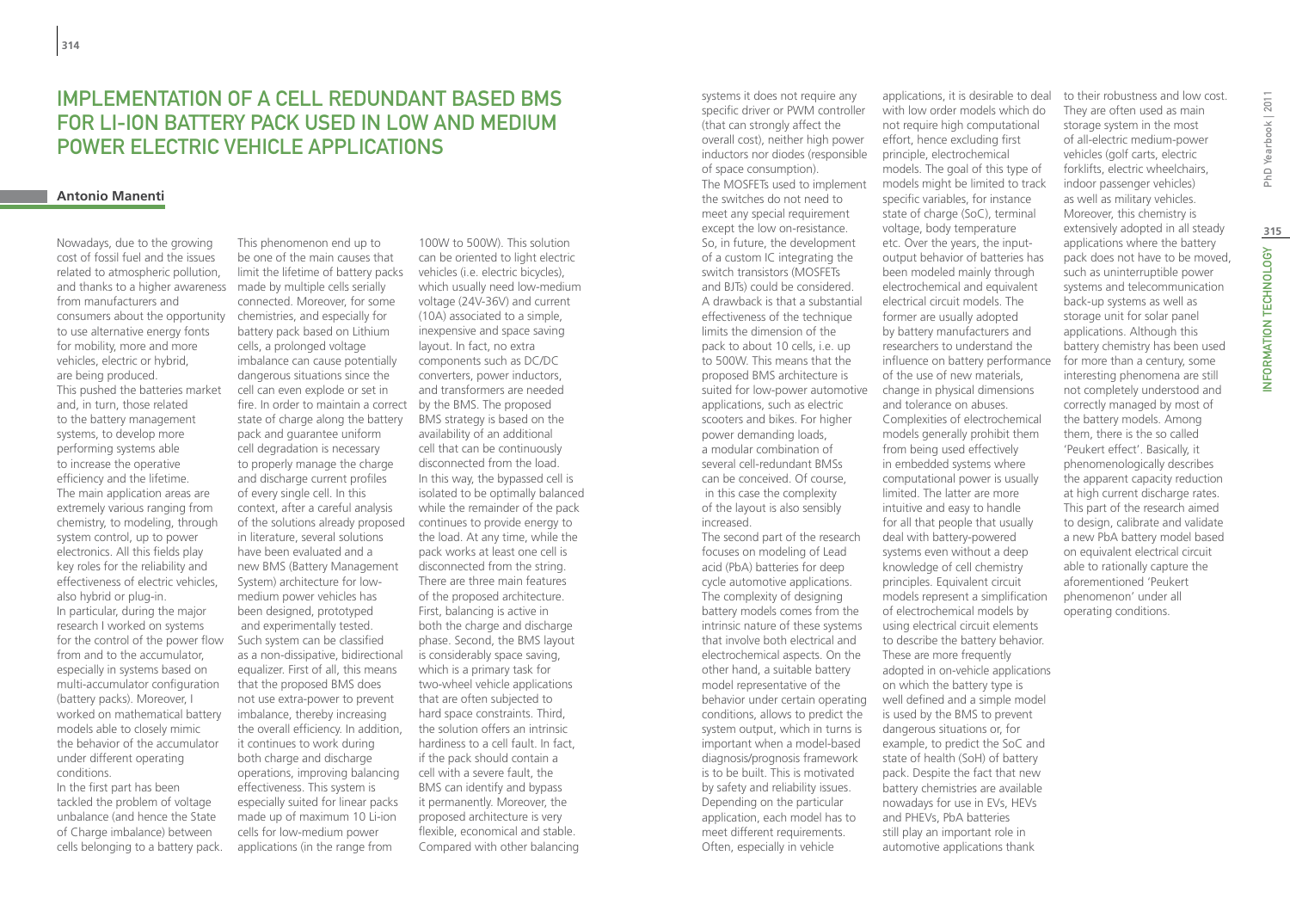# IMPI FMENTATION OF A CELL REDUNDANT BASED BMS for Li-ION battery pack used in low and medium power electric vehicle applications

# **Antonio Manenti**

and thanks to a higher awareness made by multiple cells serially Nowadays, due to the growing cost of fossil fuel and the issues related to atmospheric pollution, from manufacturers and consumers about the opportunity to use alternative energy fonts for mobility, more and more vehicles, electric or hybrid, are being produced. This pushed the batteries market and, in turn, those related to the battery management systems, to develop more performing systems able to increase the operative efficiency and the lifetime. The main application areas are extremely various ranging from chemistry, to modeling, through system control, up to power electronics. All this fields play key roles for the reliability and effectiveness of electric vehicles, also hybrid or plug-in. In particular, during the major research I worked on systems for the control of the power flow from and to the accumulator. especially in systems based on multi-accumulator configuration (battery packs). Moreover, I worked on mathematical battery models able to closely mimic the behavior of the accumulator under different operating conditions.

In the first part has been tackled the problem of voltage unbalance (and hence the State of Charge imbalance) between cells belonging to a battery pack.

This phenomenon end up to be one of the main causes that limit the lifetime of battery packs connected. Moreover, for some chemistries, and especially for battery pack based on Lithium cells, a prolonged voltage imbalance can cause potentially dangerous situations since the cell can even explode or set in fire. In order to maintain a correct by the BMS. The proposed state of charge along the battery pack and guarantee uniform cell degradation is necessary to properly manage the charge and discharge current profiles of every single cell. In this context, after a careful analysis of the solutions already proposed in literature, several solutions have been evaluated and a new BMS (Battery Management System) architecture for lowmedium power vehicles has been designed, prototyped and experimentally tested. Such system can be classified as a non-dissipative, bidirectional equalizer. First of all, this means that the proposed BMS does not use extra-power to prevent imbalance, thereby increasing the overall efficiency. In addition, it continues to work during both charge and discharge operations, improving balancing effectiveness. This system is especially suited for linear packs made up of maximum 10 Li-ion cells for low-medium power applications (in the range from

100W to 500W). This solution can be oriented to light electric vehicles (i.e. electric bicycles), which usually need low-medium voltage (24V-36V) and current (10A) associated to a simple, inexpensive and space saving layout. In fact, no extra components such as DC/DC converters, power inductors, and transformers are needed BMS strategy is based on the availability of an additional cell that can be continuously disconnected from the load. In this way, the bypassed cell is isolated to be optimally balanced while the remainder of the pack continues to provide energy to the load. At any time, while the pack works at least one cell is disconnected from the string. There are three main features of the proposed architecture. First, balancing is active in both the charge and discharge phase. Second, the BMS layout is considerably space saving, which is a primary task for two-wheel vehicle applications that are often subjected to hard space constraints. Third, the solution offers an intrinsic hardiness to a cell fault. In fact, if the pack should contain a cell with a severe fault, the BMS can identify and bypass it permanently. Moreover, the proposed architecture is very flexible, economical and stable. Compared with other balancing

systems it does not require any specific driver or PWM controller (that can strongly affect the overall cost), neither high power inductors nor diodes (responsible of space consumption). The MOSFETs used to implement the switches do not need to meet any special requirement except the low on-resistance. So, in future, the development of a custom IC integrating the switch transistors (MOSFETs and BJTs) could be considered. A drawback is that a substantial effectiveness of the technique limits the dimension of the pack to about 10 cells, i.e. up to 500W. This means that the proposed BMS architecture is suited for low-power automotive applications, such as electric scooters and bikes. For higher power demanding loads, a modular combination of several cell-redundant BMSs can be conceived. Of course, in this case the complexity of the layout is also sensibly increased. The second part of the research focuses on modeling of Lead acid (PbA) batteries for deep cycle automotive applications. The complexity of designing battery models comes from the intrinsic nature of these systems that involve both electrical and electrochemical aspects. On the other hand, a suitable battery

model representative of the

conditions, allows to predict the system output, which in turns is important when a model-based diagnosis/prognosis framework is to be built. This is motivated by safety and reliability issues. Depending on the particular application, each model has to meet different requirements. Often, especially in vehicle

with low order models which do not require high computational effort, hence excluding first principle, electrochemical models. The goal of this type of models might be limited to track specific variables, for instance state of charge (SoC), terminal voltage, body temperature etc. Over the years, the inputoutput behavior of batteries has been modeled mainly through electrochemical and equivalent electrical circuit models. The former are usually adopted by battery manufacturers and researchers to understand the influence on battery performance of the use of new materials, change in physical dimensions and tolerance on abuses. Complexities of electrochemical models generally prohibit them from being used effectively in embedded systems where computational power is usually limited. The latter are more intuitive and easy to handle for all that people that usually deal with battery-powered systems even without a deep knowledge of cell chemistry principles. Equivalent circuit models represent a simplification of electrochemical models by using electrical circuit elements to describe the battery behavior. These are more frequently adopted in on-vehicle applications on which the battery type is well defined and a simple model is used by the BMS to prevent dangerous situations or, for example, to predict the SoC and state of health (SoH) of battery pack. Despite the fact that new battery chemistries are available nowadays for use in EVs, HEVs and PHEVs, PbA batteries still play an important role in automotive applications thank behavior under certain operating

applications, it is desirable to deal

to their robustness and low cost. They are often used as main storage system in the most of all-electric medium-power vehicles (golf carts, electric forklifts, electric wheelchairs, indoor passenger vehicles) as well as military vehicles. Moreover, this chemistry is extensively adopted in all steady applications where the battery pack does not have to be moved, such as uninterruptible power systems and telecommunication back-up systems as well as storage unit for solar panel applications. Although this battery chemistry has been used for more than a century, some interesting phenomena are still not completely understood and correctly managed by most of the battery models. Among them, there is the so called 'Peukert effect'. Basically, it phenomenologically describes the apparent capacity reduction at high current discharge rates. This part of the research aimed to design, calibrate and validate a new PbA battery model based on equivalent electrical circuit able to rationally capture the aforementioned 'Peukert phenomenon' under all operating conditions.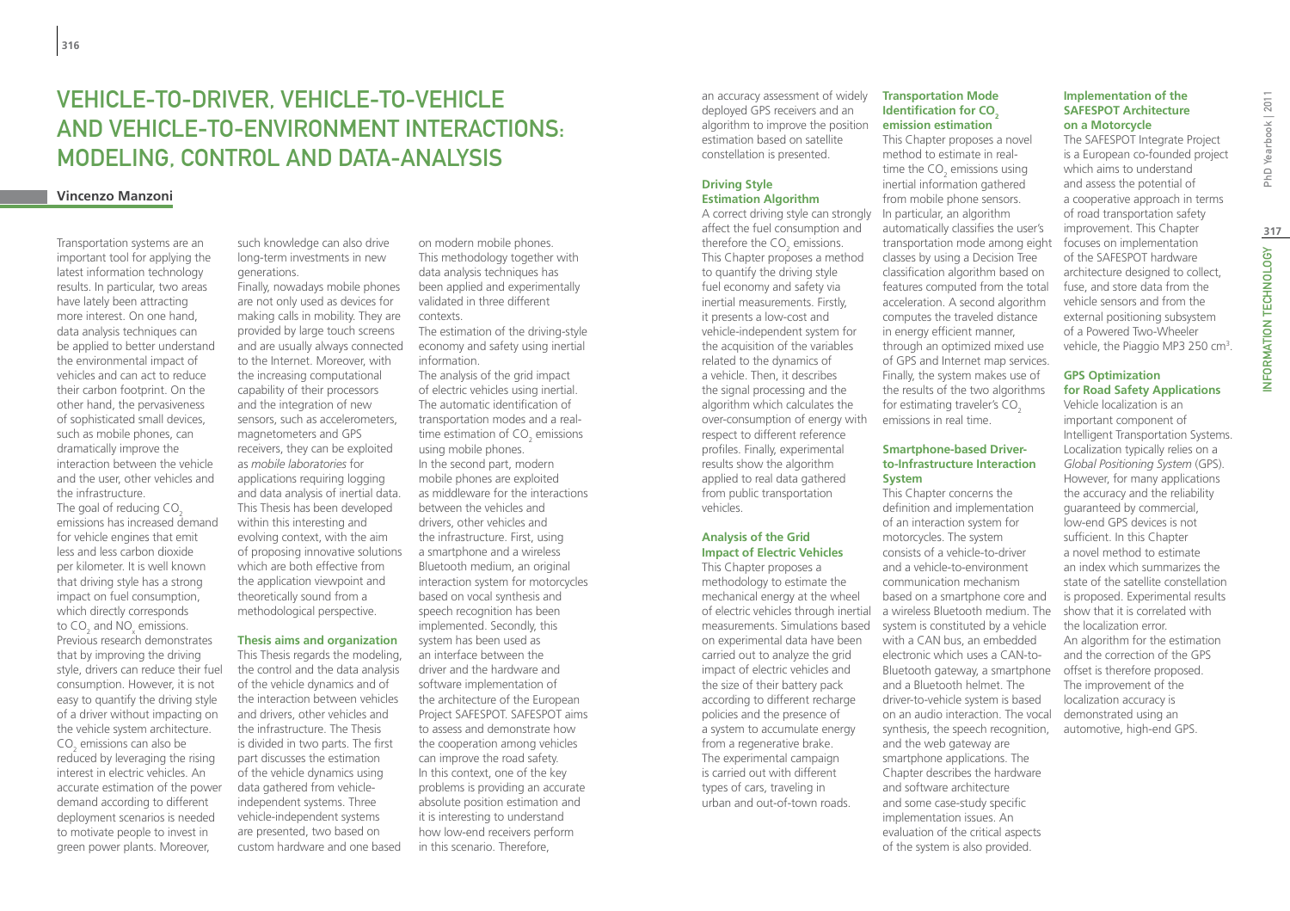# Vehicle-to-Driver, Vehicle-to-Vehicle and Vehicle-to-Environment interactions: modeling, control and data-analysis

# **Vincenzo Manzoni**

Transportation systems are an important tool for applying the latest information technology results. In particular, two areas have lately been attracting more interest. On one hand, data analysis techniques can be applied to better understand the environmental impact of vehicles and can act to reduce their carbon footprint. On the other hand, the pervasiveness of sophisticated small devices, such as mobile phones, can dramatically improve the interaction between the vehicle and the user, other vehicles and the infrastructure. The goal of reducing CO<sub>2</sub> emissions has increased demand for vehicle engines that emit less and less carbon dioxide per kilometer. It is well known that driving style has a strong impact on fuel consumption, which directly corresponds to  $CO<sub>2</sub>$  and  $NO<sub>x</sub>$  emissions. Previous research demonstrates that by improving the driving style, drivers can reduce their fuel consumption. However, it is not easy to quantify the driving style of a driver without impacting on the vehicle system architecture.  $\mathsf{CO}_2$  emissions can also be reduced by leveraging the rising interest in electric vehicles. An accurate estimation of the power demand according to different deployment scenarios is needed to motivate people to invest in green power plants. Moreover,

such knowledge can also drive long-term investments in new generations.

Finally, nowadays mobile phones are not only used as devices for making calls in mobility. They are provided by large touch screens and are usually always connected to the Internet. Moreover, with the increasing computational capability of their processors and the integration of new sensors, such as accelerometers magnetometers and GPS receivers, they can be exploited as *mobile laboratories* for applications requiring logging and data analysis of inertial data. This Thesis has been developed within this interesting and evolving context, with the aim of proposing innovative solutions which are both effective from the application viewpoint and theoretically sound from a methodological perspective.

### **Thesis aims and organization**

This Thesis regards the modeling, the control and the data analysis of the vehicle dynamics and of the interaction between vehicles and drivers, other vehicles and the infrastructure. The Thesis is divided in two parts. The first part discusses the estimation of the vehicle dynamics using data gathered from vehicleindependent systems. Three vehicle-independent systems are presented, two based on custom hardware and one based on modern mobile phones. This methodology together with data analysis techniques has been applied and experimentally validated in three different contexts.

The estimation of the driving-style economy and safety using inertial information.

The analysis of the grid impact of electric vehicles using inertial. The automatic identification of transportation modes and a realtime estimation of CO<sub>2</sub> emissions using mobile phones. In the second part, modern mobile phones are exploited as middleware for the interactions between the vehicles and drivers, other vehicles and the infrastructure. First, using a smartphone and a wireless Bluetooth medium, an original interaction system for motorcycles based on vocal synthesis and speech recognition has been implemented. Secondly, this system has been used as an interface between the driver and the hardware and software implementation of the architecture of the European Project SAFESPOT. SAFESPOT aims to assess and demonstrate how the cooperation among vehicles can improve the road safety. In this context, one of the key problems is providing an accurate absolute position estimation and it is interesting to understand how low-end receivers perform in this scenario. Therefore,

an accuracy assessment of widely deployed GPS receivers and an algorithm to improve the position estimation based on satellite constellation is presented.

### **Driving Style Estimation Algorithm**

affect the fuel consumption and therefore the  $CO<sub>2</sub>$  emissions. This Chapter proposes a method to quantify the driving style fuel economy and safety via inertial measurements. Firstly, it presents a low-cost and vehicle-independent system for the acquisition of the variables related to the dynamics of a vehicle. Then, it describes the signal processing and the algorithm which calculates the over-consumption of energy with respect to different reference profiles. Finally, experimental results show the algorithm applied to real data gathered from public transportation vehicles.

# **Analysis of the Grid Impact of Electric Vehicles**

This Chapter proposes a methodology to estimate the mechanical energy at the wheel of electric vehicles through inertial on experimental data have been carried out to analyze the grid impact of electric vehicles and the size of their battery pack according to different recharge policies and the presence of a system to accumulate energy from a regenerative brake. The experimental campaign is carried out with different types of cars, traveling in urban and out-of-town roads.

### **Transportation Mode Identification for CO<sub>2</sub> emission estimation**

This Chapter proposes a novel method to estimate in realtime the  $CO<sub>2</sub>$  emissions using inertial information gathered from mobile phone sensors. A correct driving style can strongly Lin particular, an algorithm automatically classifies the user's transportation mode among eight classes by using a Decision Tree classification algorithm based on features computed from the total acceleration. A second algorithm computes the traveled distance in energy efficient manner, through an optimized mixed use of GPS and Internet map services. Finally, the system makes use of the results of the two algorithms for estimating traveler's  $CO<sub>2</sub>$ emissions in real time.

### **Smartphone-based Driverto-Infrastructure Interaction System**

This Chapter concerns the definition and implementation of an interaction system for motorcycles. The system consists of a vehicle-to-driver and a vehicle-to-environment communication mechanism based on a smartphone core and a wireless Bluetooth medium. The measurements. Simulations based system is constituted by a vehicle with a CAN bus, an embedded electronic which uses a CAN-to-Bluetooth gateway, a smartphone and a Bluetooth helmet. The driver-to-vehicle system is based on an audio interaction. The vocal synthesis, the speech recognition, and the web gateway are smartphone applications. The Chapter describes the hardware and software architecture and some case-study specific implementation issues. An evaluation of the critical aspects of the system is also provided.

# **Implementation of the SAFESPOT Architecture on a Motorcycle**

The SAFESPOT Integrate Project is a European co-founded project which aims to understand and assess the potential of a cooperative approach in terms of road transportation safety improvement. This Chapter focuses on implementation of the SAFESPOT hardware architecture designed to collect, fuse, and store data from the vehicle sensors and from the external positioning subsystem of a Powered Two-Wheeler vehicle, the Piaggio MP3 250  $\text{cm}^3$ .

### **GPS Optimization for Road Safety Applications**

Vehicle localization is an important component of Intelligent Transportation Systems. Localization typically relies on a *Global Positioning System* (GPS). However, for many applications the accuracy and the reliability guaranteed by commercial, low-end GPS devices is not sufficient. In this Chapter a novel method to estimate an index which summarizes the state of the satellite constellation is proposed. Experimental results show that it is correlated with the localization error. An algorithm for the estimation and the correction of the GPS offset is therefore proposed. The improvement of the localization accuracy is demonstrated using an automotive, high-end GPS.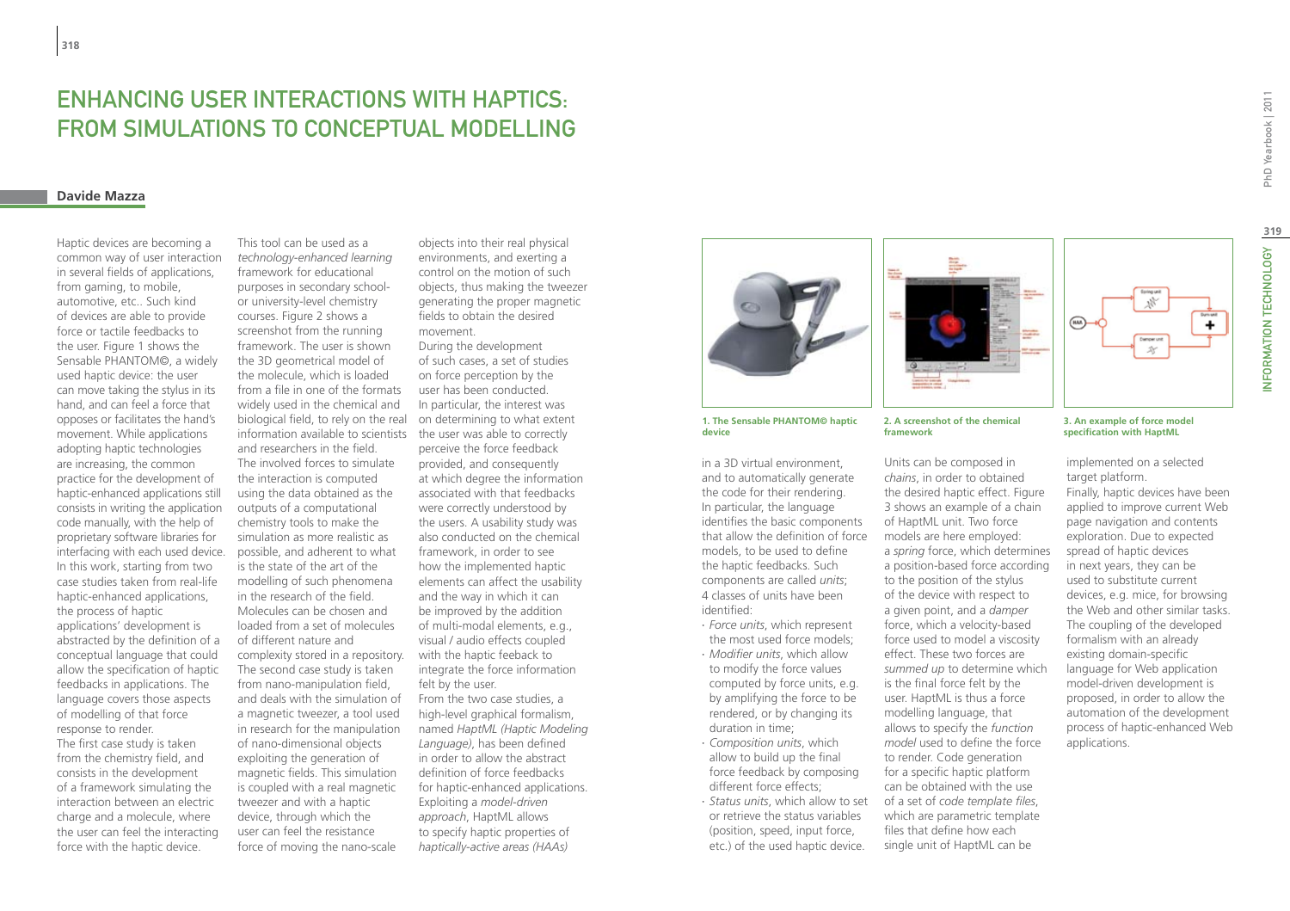# Enhancing User Interactions with Haptics: from Simulations to Conceptual Modelling

### **Davide Mazza**

Haptic devices are becoming a common way of user interaction in several fields of applications, from gaming, to mobile, automotive, etc.. Such kind of devices are able to provide force or tactile feedbacks to the user. Figure 1 shows the Sensable PHANTOM©, a widely used haptic device: the user can move taking the stylus in its hand, and can feel a force that opposes or facilitates the hand's movement. While applications adopting haptic technologies are increasing, the common practice for the development of haptic-enhanced applications still consists in writing the application code manually, with the help of proprietary software libraries for interfacing with each used device. In this work, starting from two case studies taken from real-life haptic-enhanced applications, the process of haptic applications' development is abstracted by the definition of a conceptual language that could allow the specification of haptic feedbacks in applications. The language covers those aspects of modelling of that force response to render. The first case study is taken from the chemistry field, and consists in the development of a framework simulating the interaction between an electric charge and a molecule, where the user can feel the interacting force with the haptic device.

information available to scientists the user was able to correctly This tool can be used as a *technology-enhanced learning*  framework for educational purposes in secondary schoolor university-level chemistry courses. Figure 2 shows a screenshot from the running framework. The user is shown the 3D geometrical model of the molecule, which is loaded from a file in one of the formats widely used in the chemical and biological field, to rely on the real and researchers in the field. The involved forces to simulate the interaction is computed using the data obtained as the outputs of a computational chemistry tools to make the simulation as more realistic as possible, and adherent to what is the state of the art of the modelling of such phenomena in the research of the field. Molecules can be chosen and loaded from a set of molecules of different nature and complexity stored in a repository. The second case study is taken from nano-manipulation field, and deals with the simulation of a magnetic tweezer, a tool used in research for the manipulation of nano-dimensional objects exploiting the generation of magnetic fields. This simulation is coupled with a real magnetic tweezer and with a haptic device, through which the user can feel the resistance force of moving the nano-scale

control on the motion of such objects, thus making the tweezer generating the proper magnetic fields to obtain the desired movement. During the development of such cases, a set of studies on force perception by the user has been conducted. In particular, the interest was on determining to what extent perceive the force feedback provided, and consequently at which degree the information associated with that feedbacks were correctly understood by the users. A usability study was also conducted on the chemical framework, in order to see how the implemented haptic elements can affect the usability and the way in which it can be improved by the addition of multi-modal elements, e.g., visual / audio effects coupled with the haptic feeback to integrate the force information felt by the user. From the two case studies, a high-level graphical formalism, named *HaptML (Haptic Modeling Language)*, has been defined in order to allow the abstract definition of force feedbacks for haptic-enhanced applications. Exploiting a *model-driven approach*, HaptML allows to specify haptic properties of *haptically-active areas (HAAs)* 

objects into their real physical environments, and exerting a



**1. The Sensable PHANTOM© haptic device**

in a 3D virtual environment, and to automatically generate the code for their rendering. In particular, the language identifies the basic components that allow the definition of force models, to be used to define the haptic feedbacks. Such components are called *units*; 4 classes of units have been identified:

- ∙ *Force units*, which represent the most used force models;
- ∙ *Modifier units*, which allow to modify the force values computed by force units, e.g. by amplifying the force to be rendered, or by changing its duration in time;
- ∙ *Composition units*, which allow to build up the final force feedback by composing different force effects;
- ∙ *Status units*, which allow to set or retrieve the status variables (position, speed, input force, etc.) of the used haptic device.



**2. A screenshot of the chemical framework**

Units can be composed in *chains*, in order to obtained the desired haptic effect. Figure 3 shows an example of a chain of HaptML unit. Two force models are here employed: a *spring* force, which determines a position-based force according to the position of the stylus of the device with respect to a given point, and a *damper*  force, which a velocity-based force used to model a viscosity effect. These two forces are *summed up* to determine which is the final force felt by the user. HaptML is thus a force modelling language, that allows to specify the *function model* used to define the force to render. Code generation for a specific haptic platform can be obtained with the use of a set of *code template files*, which are parametric template files that define how each single unit of HaptML can be

# $\ddot{}$

**3. An example of force model specification with HaptML**

implemented on a selected target platform. Finally, haptic devices have been applied to improve current Web page navigation and contents exploration. Due to expected spread of haptic devices in next years, they can be used to substitute current devices, e.g. mice, for browsing the Web and other similar tasks. The coupling of the developed formalism with an already existing domain-specific language for Web application model-driven development is proposed, in order to allow the automation of the development process of haptic-enhanced Web applications.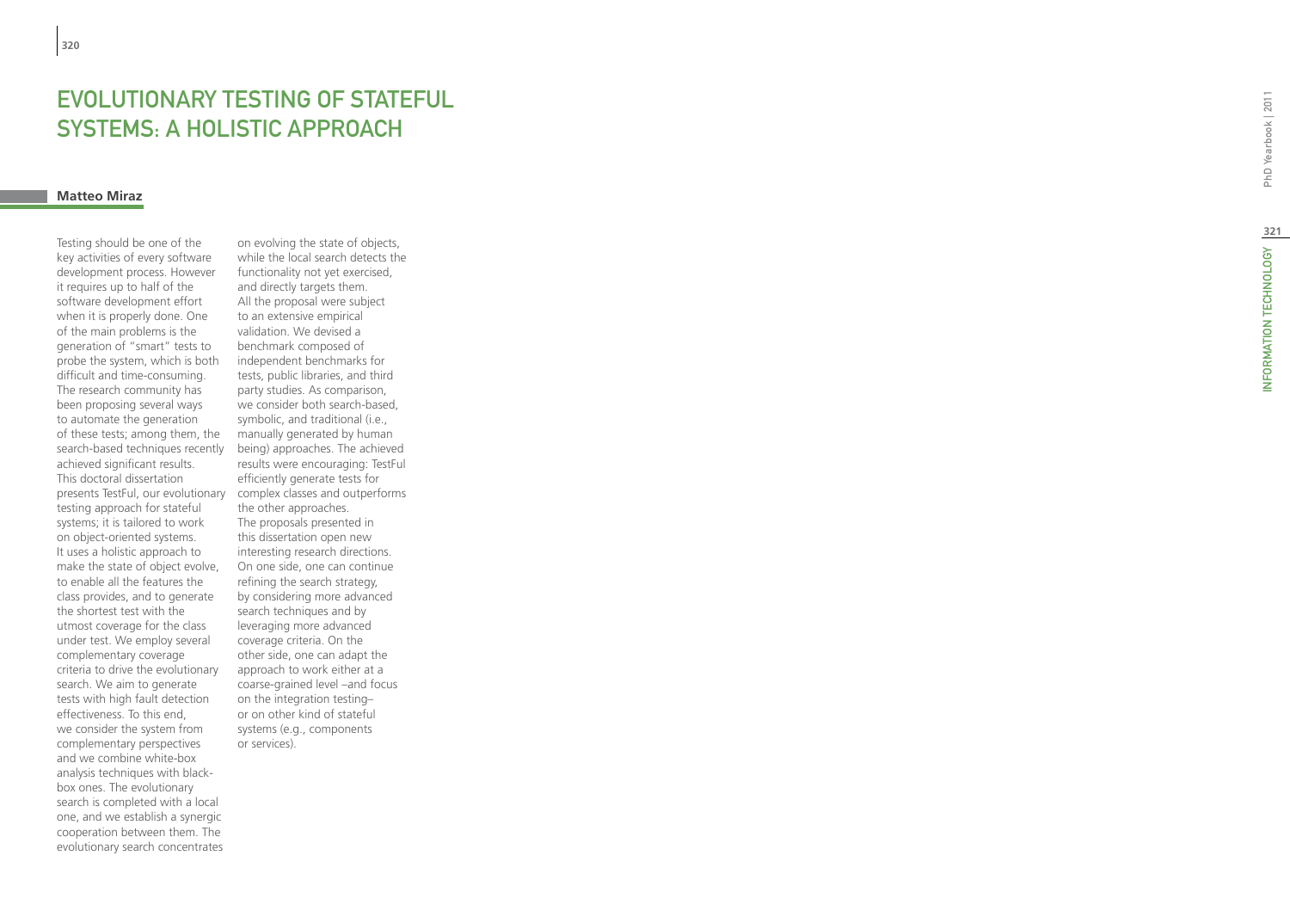# EVOLUTIONARY TESTING OF STATEFU SYSTEMS: A HOLISTIC AP

### **Matteo Miraz**

presents TestFul, our evolutionary complex classes and outperforms Testing should be one of the key activities of every software development process. However it requires up to half of the software development effort when it is properly done. One of the main problems is the generation of "smart" tests to probe the system, which is both difficult and time-consuming. The research community has been proposing several ways to automate the generation of these tests; among them, the search-based techniques recently achieved significant results. This doctoral dissertation testing approach for stateful systems; it is tailored to work on object-oriented systems. It uses a holistic approach to make the state of object evolve, to enable all the features the class provides, and to generate the shortest test with the utmost coverage for the class under test. We employ several complementary coverage criteria to drive the evolutionary search. We aim to generate tests with high fault detection effectiveness. To this end, we consider the system from complementary perspectives and we combine white-box analysis techniques with blackbox ones. The evolutionary search is completed with a local one, and we establish a synergic cooperation between them. The evolutionary search concentrates

on evolving the state of objects, while the local search detects the functionality not yet exercised, and directly targets them. All the proposal were subject to an extensive empirical validation. We devised a benchmark composed of independent benchmarks for tests, public libraries, and third party studies. As comparison, we consider both search-based, symbolic, and traditional (i.e., manually generated by human being) approaches. The achieved results were encouraging: TestFul efficiently generate tests for the other approaches. The proposals presented in this dissertation open new interesting research directions. On one side, one can continue refining the search strategy, by considering more advanced search techniques and by leveraging more advanced coverage criteria. On the other side, one can adapt the approach to work either at a coarse-grained level –and focus on the integration testing– or on other kind of stateful systems (e.g., components or services).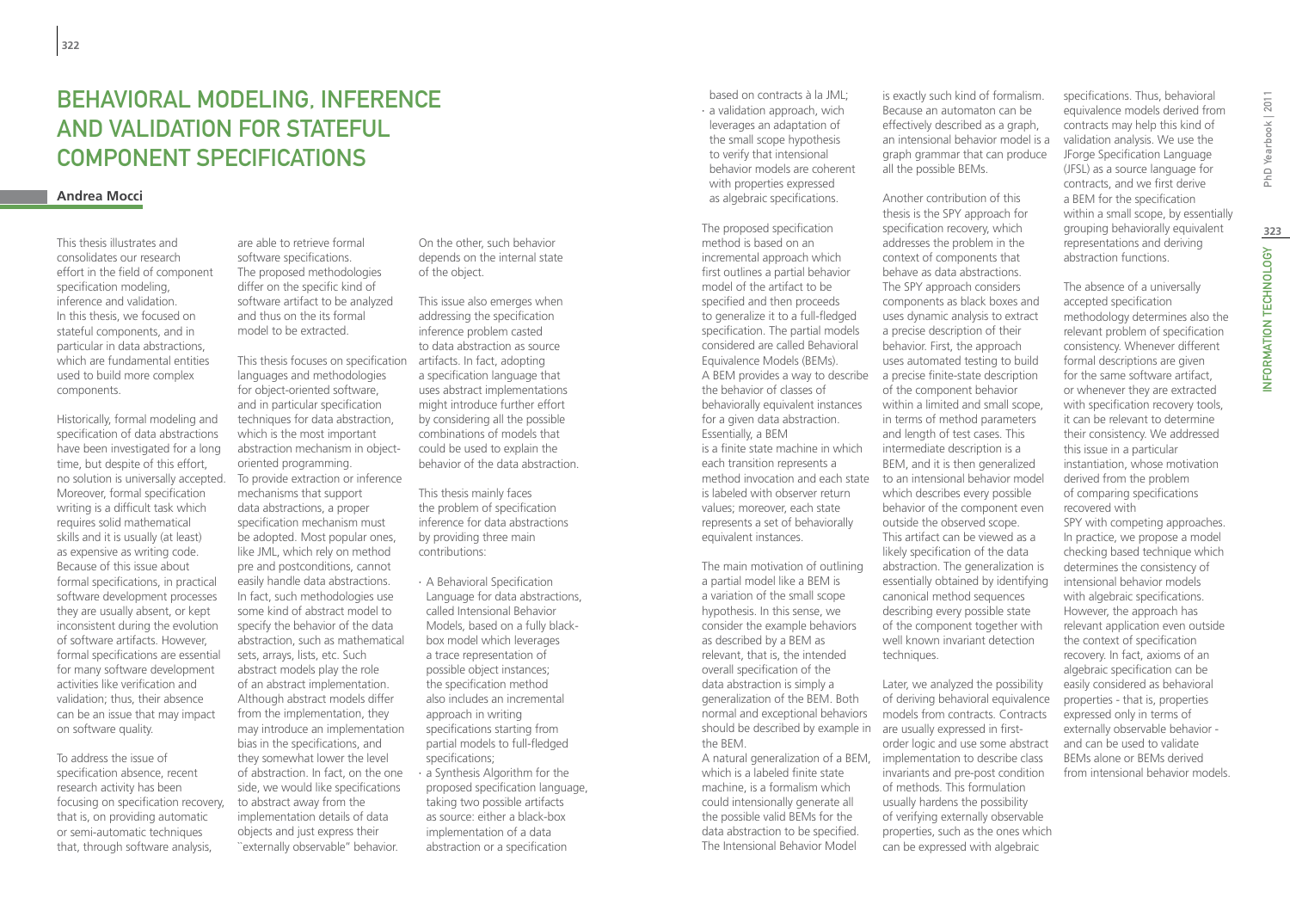# Behavioral Modeling, Inference and Validation for Stateful Component SpecIfications

### **Andrea Mocci**

This thesis illustrates and consolidates our research effort in the field of component specification modeling, inference and validation. In this thesis, we focused on stateful components, and in particular in data abstractions, which are fundamental entities used to build more complex components.

Historically, formal modeling and specification of data abstractions have been investigated for a long time, but despite of this effort, no solution is universally accepted. Moreover, formal specification writing is a difficult task which requires solid mathematical skills and it is usually (at least) as expensive as writing code. Because of this issue about formal specifications, in practical software development processes they are usually absent, or kept inconsistent during the evolution of software artifacts. However, formal specifications are essential for many software development activities like verification and validation; thus, their absence can be an issue that may impact on software quality.

To address the issue of specification absence, recent research activity has been focusing on specification recovery, that is, on providing automatic or semi-automatic techniques that, through software analysis,

are able to retrieve formal software specifications. The proposed methodologies differ on the specific kind of software artifact to be analyzed and thus on the its formal model to be extracted.

This thesis focuses on specification artifacts. In fact, adopting languages and methodologies for object-oriented software, and in particular specification techniques for data abstraction, which is the most important abstraction mechanism in objectoriented programming. To provide extraction or inference mechanisms that support data abstractions, a proper specification mechanism must be adopted. Most popular ones, like JML, which rely on method pre and postconditions, cannot easily handle data abstractions. In fact, such methodologies use some kind of abstract model to specify the behavior of the data abstraction, such as mathematical sets, arrays, lists, etc. Such abstract models play the role of an abstract implementation. Although abstract models differ from the implementation, they may introduce an implementation bias in the specifications, and they somewhat lower the level of abstraction. In fact, on the one side, we would like specifications to abstract away from the implementation details of data objects and just express their ``externally observable'' behavior.

On the other, such behavior depends on the internal state of the object.

This issue also emerges when addressing the specification inference problem casted to data abstraction as source a specification language that uses abstract implementations might introduce further effort by considering all the possible combinations of models that could be used to explain the behavior of the data abstraction.

This thesis mainly faces the problem of specification inference for data abstractions by providing three main contributions:

- ∙ A Behavioral Specification Language for data abstractions, called Intensional Behavior Models, based on a fully blackbox model which leverages a trace representation of possible object instances; the specification method also includes an incremental approach in writing specifications starting from partial models to full-fledged specifications; ∙ a Synthesis Algorithm for the
- proposed specification language, taking two possible artifacts as source: either a black-box implementation of a data abstraction or a specification

based on contracts à la JML; ∙ a validation approach, wich leverages an adaptation of the small scope hypothesis to verify that intensional behavior models are coherent with properties expressed as algebraic specifications.

The proposed specification method is based on an incremental approach which first outlines a partial behavior model of the artifact to be specified and then proceeds to generalize it to a full-fledged specification. The partial models considered are called Behavioral Equivalence Models (BEMs). A BEM provides a way to describe the behavior of classes of behaviorally equivalent instances for a given data abstraction. Essentially, a BEM is a finite state machine in which each transition represents a is labeled with observer return values; moreover, each state represents a set of behaviorally equivalent instances.

should be described by example in are usually expressed in first-The main motivation of outlining a partial model like a BEM is a variation of the small scope hypothesis. In this sense, we consider the example behaviors as described by a BEM as relevant, that is, the intended overall specification of the data abstraction is simply a generalization of the BEM. Both normal and exceptional behaviors the BEM.

which is a labeled finite state machine, is a formalism which could intensionally generate all the possible valid BEMs for the data abstraction to be specified. The Intensional Behavior Model

is exactly such kind of formalism. Because an automaton can be effectively described as a graph, an intensional behavior model is a graph grammar that can produce all the possible BEMs.

Another contribution of this thesis is the SPY approach for specification recovery, which addresses the problem in the context of components that behave as data abstractions. The SPY approach considers components as black boxes and uses dynamic analysis to extract a precise description of their behavior. First, the approach uses automated testing to build a precise finite-state description of the component behavior within a limited and small scope, in terms of method parameters and length of test cases. This intermediate description is a BEM, and it is then generalized method invocation and each state to an intensional behavior model which describes every possible behavior of the component even outside the observed scope. This artifact can be viewed as a likely specification of the data abstraction. The generalization is essentially obtained by identifying canonical method sequences describing every possible state of the component together with well known invariant detection techniques.

Later, we analyzed the possibility of deriving behavioral equivalence models from contracts. Contracts order logic and use some abstract A natural generalization of a BEM, implementation to describe class invariants and pre-post condition of methods. This formulation usually hardens the possibility of verifying externally observable properties, such as the ones which can be expressed with algebraic

specifications. Thus, behavioral equivalence models derived from contracts may help this kind of validation analysis. We use the JForge Specification Language (JFSL) as a source language for contracts, and we first derive a BEM for the specification within a small scope, by essentially grouping behaviorally equivalent representations and deriving abstraction functions.

The absence of a universally accepted specification methodology determines also the relevant problem of specification consistency. Whenever different formal descriptions are given for the same software artifact, or whenever they are extracted with specification recovery tools, it can be relevant to determine their consistency. We addressed this issue in a particular instantiation, whose motivation derived from the problem of comparing specifications recovered with

SPY with competing approaches. In practice, we propose a model checking based technique which determines the consistency of intensional behavior models with algebraic specifications. However, the approach has relevant application even outside the context of specification recovery. In fact, axioms of an algebraic specification can be easily considered as behavioral properties - that is, properties expressed only in terms of externally observable behavior and can be used to validate BEMs alone or BEMs derived from intensional behavior models.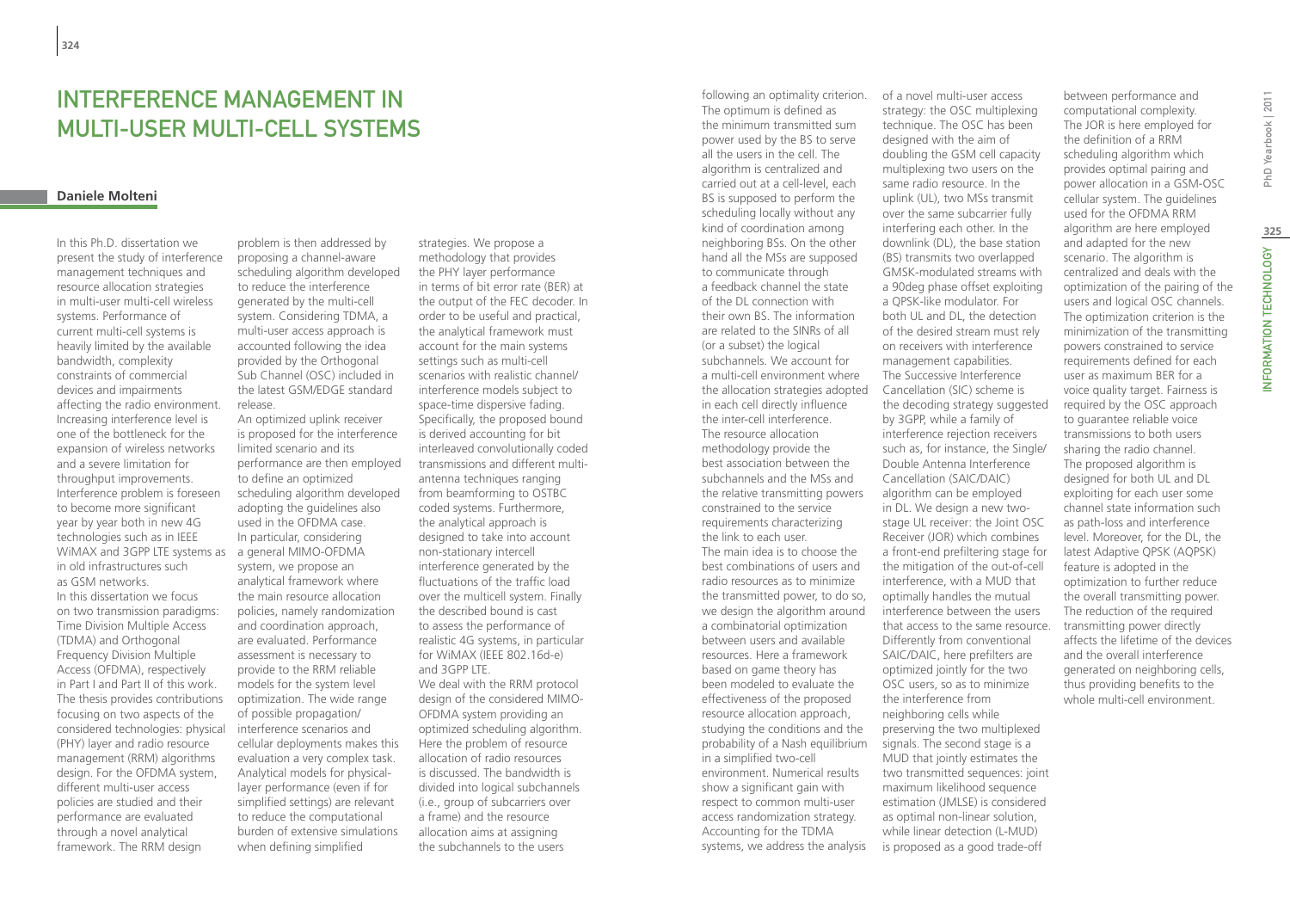# INTERFERENCE MANAGEMENT IN MULTI-USER MULTI-CELL SYSTEMS

### **Daniele Molteni**

WiMAX and 3GPP LTE systems as a general MIMO-OFDMA In this Ph.D. dissertation we present the study of interference management techniques and resource allocation strategies in multi-user multi-cell wireless systems. Performance of current multi-cell systems is heavily limited by the available bandwidth, complexity constraints of commercial devices and impairments affecting the radio environment. Increasing interference level is one of the bottleneck for the expansion of wireless networks and a severe limitation for throughput improvements. Interference problem is foreseen to become more significant year by year both in new 4G technologies such as in IEEE in old infrastructures such as GSM networks. In this dissertation we focus on two transmission paradigms: Time Division Multiple Access (TDMA) and Orthogonal Frequency Division Multiple Access (OFDMA), respectively in Part I and Part II of this work. The thesis provides contributions focusing on two aspects of the considered technologies: physical (PHY) layer and radio resource management (RRM) algorithms design. For the OFDMA system, different multi-user access policies are studied and their performance are evaluated through a novel analytical framework. The RRM design

problem is then addressed by proposing a channel-aware scheduling algorithm developed to reduce the interference generated by the multi-cell system. Considering TDMA, a multi-user access approach is accounted following the idea provided by the Orthogonal Sub Channel (OSC) included in the latest GSM/EDGE standard release.

An optimized uplink receiver is proposed for the interference limited scenario and its performance are then employed to define an optimized scheduling algorithm developed adopting the guidelines also used in the OFDMA case. In particular, considering system, we propose an analytical framework where the main resource allocation policies, namely randomization and coordination approach, are evaluated. Performance assessment is necessary to provide to the RRM reliable models for the system level optimization. The wide range of possible propagation/ interference scenarios and cellular deployments makes this evaluation a very complex task. Analytical models for physicallayer performance (even if for simplified settings) are relevant to reduce the computational burden of extensive simulations when defining simplified

strategies. We propose a methodology that provides the PHY layer performance in terms of bit error rate (BER) at the output of the FEC decoder. In order to be useful and practical, the analytical framework must account for the main systems settings such as multi-cell scenarios with realistic channel/ interference models subject to space-time dispersive fading. Specifically, the proposed bound is derived accounting for bit interleaved convolutionally coded transmissions and different multiantenna techniques ranging from beamforming to OSTBC coded systems. Furthermore, the analytical approach is designed to take into account non-stationary intercell interference generated by the fluctuations of the traffic load over the multicell system. Finally the described bound is cast to assess the performance of realistic 4G systems, in particular for WiMAX (IEEE 802.16d-e) and 3GPP LTE. We deal with the RRM protocol design of the considered MIMO-OFDMA system providing an optimized scheduling algorithm. Here the problem of resource allocation of radio resources is discussed. The bandwidth is divided into logical subchannels (i.e., group of subcarriers over a frame) and the resource allocation aims at assigning the subchannels to the users

following an optimality criterion. The optimum is defined as the minimum transmitted sum power used by the BS to serve all the users in the cell. The algorithm is centralized and carried out at a cell-level, each BS is supposed to perform the scheduling locally without any kind of coordination among neighboring BSs. On the other hand all the MSs are supposed to communicate through a feedback channel the state of the DL connection with their own BS. The information are related to the SINRs of all (or a subset) the logical subchannels. We account for a multi-cell environment where the allocation strategies adopted in each cell directly influence the inter-cell interference. The resource allocation methodology provide the best association between the subchannels and the MSs and the relative transmitting powers constrained to the service requirements characterizing the link to each user. The main idea is to choose the best combinations of users and radio resources as to minimize the transmitted power, to do so, we design the algorithm around a combinatorial optimization between users and available resources. Here a framework based on game theory has been modeled to evaluate the effectiveness of the proposed resource allocation approach, studying the conditions and the probability of a Nash equilibrium in a simplified two-cell environment. Numerical results show a significant gain with respect to common multi-user access randomization strategy. Accounting for the TDMA systems, we address the analysis

of a novel multi-user access strategy: the OSC multiplexing technique. The OSC has been designed with the aim of doubling the GSM cell capacity multiplexing two users on the same radio resource. In the uplink (UL), two MSs transmit over the same subcarrier fully interfering each other. In the downlink (DL), the base station (BS) transmits two overlapped GMSK-modulated streams with a 90deg phase offset exploiting a QPSK-like modulator. For both UL and DL, the detection of the desired stream must rely on receivers with interference management capabilities. The Successive Interference Cancellation (SIC) scheme is the decoding strategy suggested by 3GPP, while a family of interference rejection receivers such as, for instance, the Single/ Double Antenna Interference Cancellation (SAIC/DAIC) algorithm can be employed in DL. We design a new twostage UL receiver: the Joint OSC Receiver (JOR) which combines a front-end prefiltering stage for the mitigation of the out-of-cell interference, with a MUD that optimally handles the mutual interference between the users that access to the same resource. Differently from conventional SAIC/DAIC, here prefilters are optimized jointly for the two OSC users, so as to minimize the interference from neighboring cells while preserving the two multiplexed signals. The second stage is a MUD that jointly estimates the two transmitted sequences: joint maximum likelihood sequence estimation (JMLSE) is considered as optimal non-linear solution, while linear detection (L-MUD) is proposed as a good trade-off

between performance and computational complexity. The JOR is here employed for the definition of a RRM scheduling algorithm which provides optimal pairing and power allocation in a GSM-OSC cellular system. The guidelines used for the OFDMA RRM algorithm are here employed and adapted for the new scenario. The algorithm is centralized and deals with the optimization of the pairing of the users and logical OSC channels. The optimization criterion is the minimization of the transmitting powers constrained to service requirements defined for each user as maximum BER for a voice quality target. Fairness is required by the OSC approach to guarantee reliable voice transmissions to both users sharing the radio channel. The proposed algorithm is designed for both UL and DL exploiting for each user some channel state information such as path-loss and interference level. Moreover, for the DL, the latest Adaptive QPSK (AQPSK) feature is adopted in the optimization to further reduce the overall transmitting power. The reduction of the required transmitting power directly affects the lifetime of the devices and the overall interference generated on neighboring cells, thus providing benefits to the whole multi-cell environment.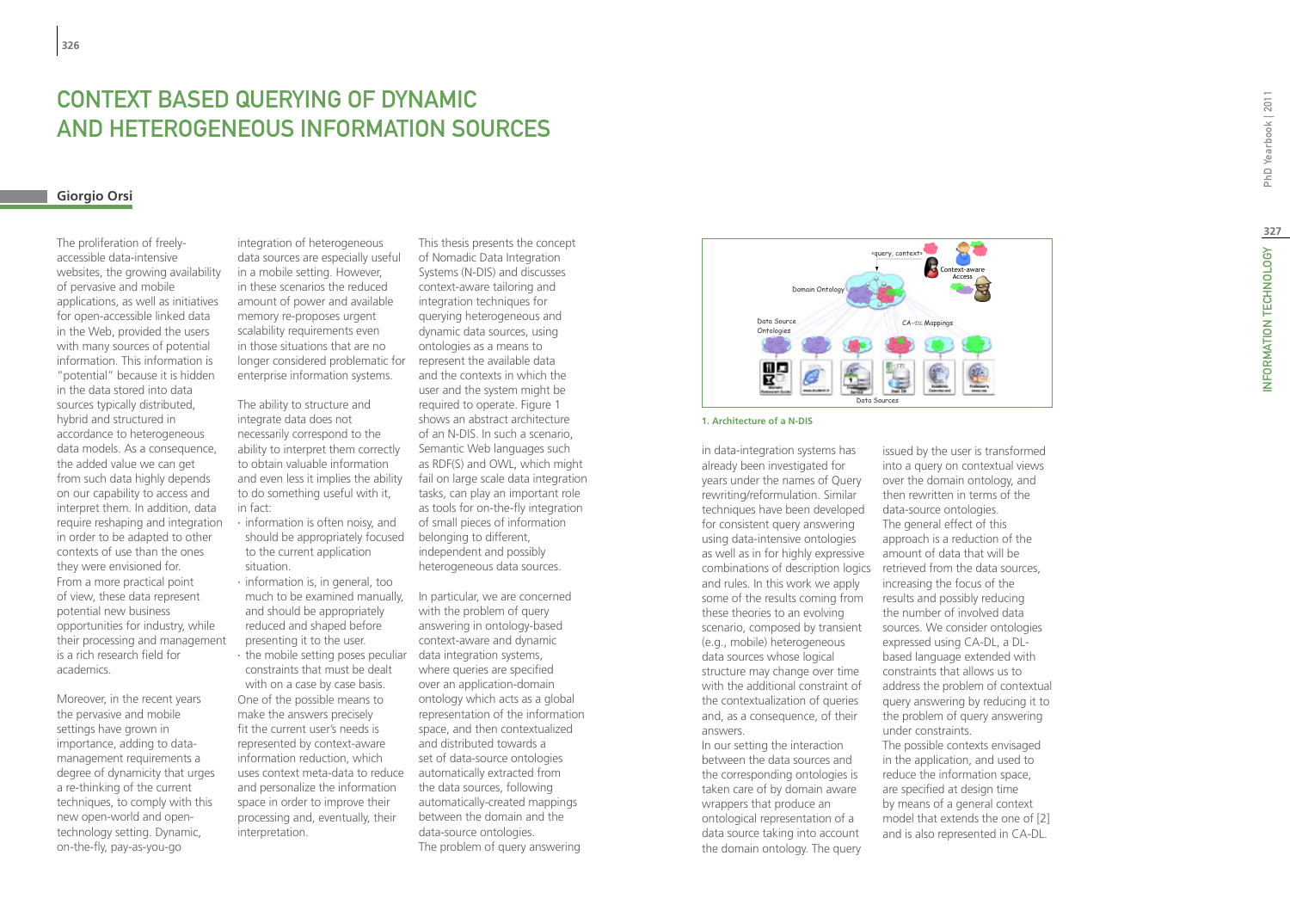# **CONTEXT B<br>AND HETEF<br><sup>Giorgio Orsi**</sup> ASED QUERYING OF DY and Heterogeneous Information So urce s

The proliferation of freelyaccessible data-intensive websites, the growing availability of pervasive and mobile applications, as well as initiatives for open-accessible linked data in the Web, provided the users with many sources of potential information. This information is "potential" because it is hidden in the data stored into data sources typically distributed, hybrid and structured in accordance to heterogeneous data models. As a consequence, the added value we can get from such data highly depends on our capability to access and interpret them. In addition, data require reshaping and integration in order to be adapted to other contexts of use than the ones they were envisioned for. From a more practical point of view, these data represent potential new business opportunities for industry, while their processing and management is a rich research field for academics.

Moreover, in the recent years the pervasive and mobile settings have grown in importance, adding to datamanagement requirements a degree of dynamicity that urges a re-thinking of the current techniques, to comply with this new open-world and opentechnology setting. Dynamic, on-the-fly, pay-as-you-go

longer considered problematic for epresent the available data integration of heterogeneous data sources are especially useful in a mobile setting. However, in these scenarios the reduced amount of power and available memory re-proposes urgent scalability requirements even in those situations that are no enterprise information systems.

The ability to structure and integrate data does not necessarily correspond to the ability to interpret them correctly to obtain valuable information and even less it implies the ability to do something useful with it, in fact:

- ∙ information is often noisy, and should be appropriately focused to the current application situation.
- ∙ information is, in general, too much to be examined manually, and should be appropriately reduced and shaped before presenting it to the user.

uses context meta-data to reduce automatically extracted from ∙ the mobile setting poses peculiar constraints that must be dealt with on a case by case basis. One of the possible means to make the answers precisely fit the current user's needs is represented by context-aware information reduction, which and personalize the information space in order to improve their processing and, eventually, their interpretation.

This thesis presents the concept of Nomadic Data Integration Systems (N-DIS) and discusses context-aware tailoring and integration techniques for querying heterogeneous and dynamic data sources, using ontologies as a means to and the contexts in which the user and the system might be required to operate. Figure 1 shows an abstract architecture of an N-DIS. In such a scenario, Semantic Web languages such as RDF(S) and OWL, which might fail on large scale data integration tasks, can play an important role as tools for on-the-fly integration of small pieces of information belonging to different, independent and possibly heterogeneous data sources.

In particular, we are concerned with the problem of query answering in ontology-based context-aware and dynamic data integration systems, where queries are specified over an application-domain ontology which acts as a global representation of the information space, and then contextualized and distributed towards a set of data-source ontologies the data sources, following automatically-created mappings between the domain and the data-source ontologies. The problem of query answering



### **1. Architecture of a N-DIS**

in data-integration systems has already been investigated for years under the names of Query rewriting/reformulation. Similar techniques have been developed for consistent query answering using data-intensive ontologies as well as in for highly expressive and rules. In this work we apply some of the results coming from these theories to an evolving scenario, composed by transient (e.g., mobile) heterogeneous data sources whose logical structure may change over time with the additional constraint of the contextualization of queries and, as a consequence, of their answers.

In our setting the interaction between the data sources and the corresponding ontologies is taken care of by domain aware wrappers that produce an ontological representation of a data source taking into account the domain ontology. The query

issued by the user is transformed into a query on contextual views over the domain ontology, and then rewritten in terms of the data-source ontologies. The general effect of this approach is a reduction of the amount of data that will be combinations of description logics retrieved from the data sources, increasing the focus of the results and possibly reducing the number of involved data sources. We consider ontologies expressed using CA-DL, a DLbased language extended with constraints that allows us to address the problem of contextual query answering by reducing it to the problem of query answering under constraints. The possible contexts envisaged in the application, and used to reduce the information space, are specified at design time by means of a general context model that extends the one of [2]

and is also represented in CA-DL.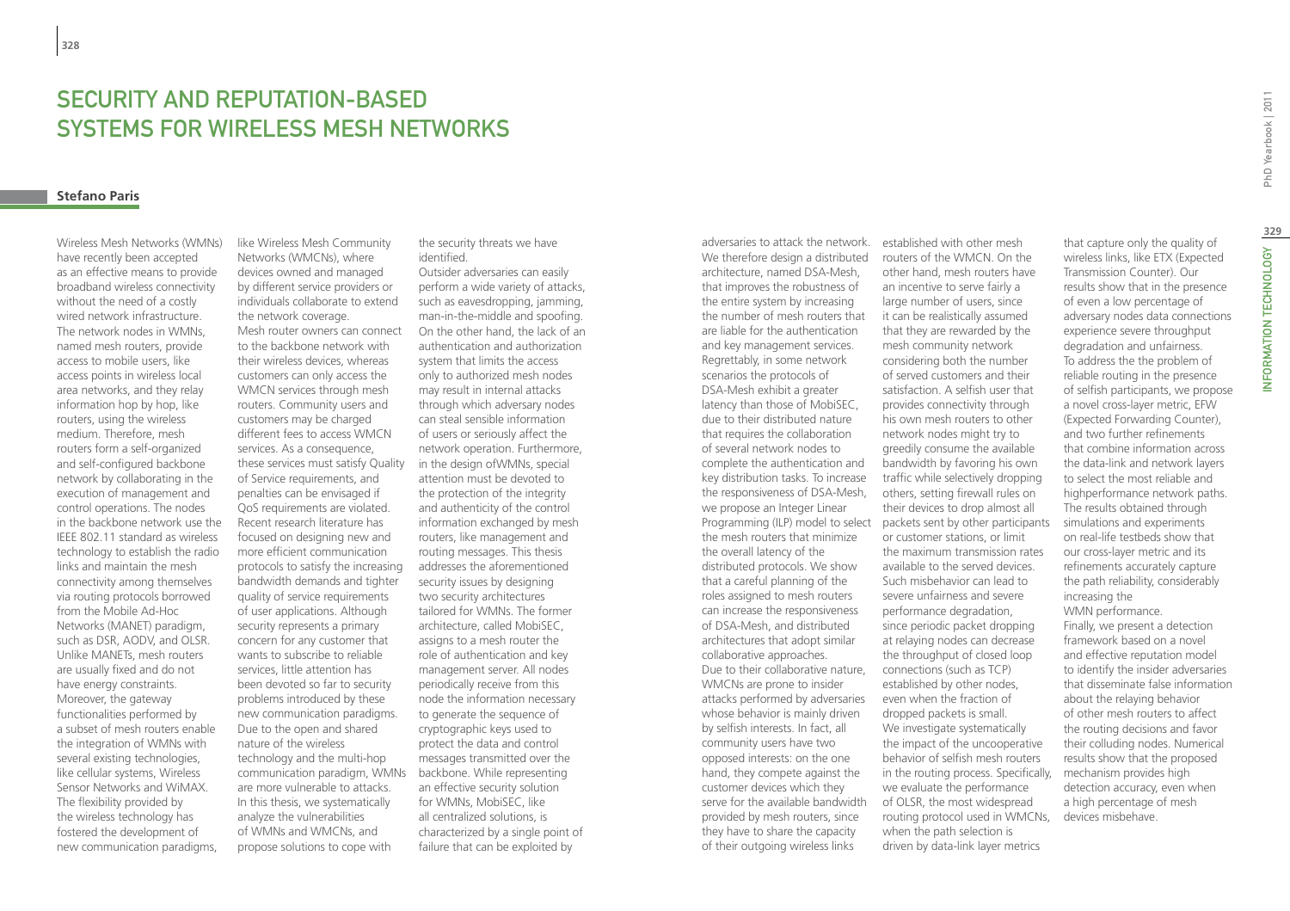# Security and Reputation-Based Systems for Wireless Mesh Networks

# **Stefano Paris**

Wireless Mesh Networks (WMNs) have recently been accepted as an effective means to provide broadband wireless connectivity without the need of a costly wired network infrastructure. The network nodes in WMNs, named mesh routers, provide access to mobile users, like access points in wireless local area networks, and they relay information hop by hop, like routers, using the wireless medium. Therefore, mesh routers form a self-organized and self-configured backbone network by collaborating in the execution of management and control operations. The nodes in the backbone network use the IEEE 802.11 standard as wireless technology to establish the radio links and maintain the mesh connectivity among themselves via routing protocols borrowed from the Mobile Ad-Hoc Networks (MANET) paradigm, such as DSR, AODV, and OLSR. Unlike MANETs, mesh routers are usually fixed and do not have energy constraints. Moreover, the gateway functionalities performed by a subset of mesh routers enable the integration of WMNs with several existing technologies, like cellular systems, Wireless Sensor Networks and WiMAX. The flexibility provided by the wireless technology has fostered the development of new communication paradigms,

like Wireless Mesh Community Networks (WMCNs), where devices owned and managed by different service providers or individuals collaborate to extend the network coverage. Mesh router owners can connect to the backbone network with their wireless devices, whereas customers can only access the WMCN services through mesh routers. Community users and customers may be charged different fees to access WMCN services. As a consequence, these services must satisfy Quality of Service requirements, and penalties can be envisaged if QoS requirements are violated. Recent research literature has focused on designing new and more efficient communication protocols to satisfy the increasing bandwidth demands and tighter quality of service requirements of user applications. Although security represents a primary concern for any customer that wants to subscribe to reliable services, little attention has been devoted so far to security problems introduced by these new communication paradigms. Due to the open and shared nature of the wireless technology and the multi-hop communication paradigm, WMNs are more vulnerable to attacks. In this thesis, we systematically analyze the vulnerabilities of WMNs and WMCNs, and propose solutions to cope with

the security threats we have identified.

Outsider adversaries can easily perform a wide variety of attacks, such as eavesdropping, jamming, man-in-the-middle and spoofing. On the other hand, the lack of an authentication and authorization system that limits the access only to authorized mesh nodes may result in internal attacks through which adversary nodes can steal sensible information of users or seriously affect the network operation. Furthermore, in the design ofWMNs, special attention must be devoted to the protection of the integrity and authenticity of the control information exchanged by mesh routers, like management and routing messages. This thesis addresses the aforementioned security issues by designing two security architectures tailored for WMNs. The former architecture, called MobiSEC, assigns to a mesh router the role of authentication and key management server. All nodes periodically receive from this node the information necessary to generate the sequence of cryptographic keys used to protect the data and control messages transmitted over the backbone. While representing an effective security solution for WMNs, MobiSEC, like all centralized solutions, is characterized by a single point of failure that can be exploited by

Programming (ILP) model to select packets sent by other participants adversaries to attack the network. We therefore design a distributed architecture, named DSA-Mesh, that improves the robustness of the entire system by increasing the number of mesh routers that are liable for the authentication and key management services. Regrettably, in some network scenarios the protocols of DSA-Mesh exhibit a greater latency than those of MobiSEC, due to their distributed nature that requires the collaboration of several network nodes to complete the authentication and key distribution tasks. To increase the responsiveness of DSA-Mesh, we propose an Integer Linear the mesh routers that minimize the overall latency of the distributed protocols. We show that a careful planning of the roles assigned to mesh routers can increase the responsiveness of DSA-Mesh, and distributed architectures that adopt similar collaborative approaches. Due to their collaborative nature, WMCNs are prone to insider attacks performed by adversaries whose behavior is mainly driven by selfish interests. In fact, all community users have two opposed interests: on the one hand, they compete against the customer devices which they serve for the available bandwidth provided by mesh routers, since they have to share the capacity of their outgoing wireless links

established with other mesh routers of the WMCN. On the other hand, mesh routers have an incentive to serve fairly a large number of users, since it can be realistically assumed that they are rewarded by the mesh community network considering both the number of served customers and their satisfaction. A selfish user that provides connectivity through his own mesh routers to other network nodes might try to greedily consume the available bandwidth by favoring his own traffic while selectively dropping others, setting firewall rules on their devices to drop almost all or customer stations, or limit the maximum transmission rates available to the served devices. Such misbehavior can lead to severe unfairness and severe performance degradation, since periodic packet dropping at relaying nodes can decrease the throughput of closed loop connections (such as TCP) established by other nodes, even when the fraction of dropped packets is small. We investigate systematically the impact of the uncooperative behavior of selfish mesh routers in the routing process. Specifically, we evaluate the performance of OLSR, the most widespread routing protocol used in WMCNs, when the path selection is driven by data-link layer metrics

that capture only the quality of wireless links, like ETX (Expected Transmission Counter). Our results show that in the presence of even a low percentage of adversary nodes data connections experience severe throughput degradation and unfairness. To address the the problem of reliable routing in the presence of selfish participants, we propose a novel cross-layer metric, EFW (Expected Forwarding Counter), and two further refinements that combine information across the data-link and network layers to select the most reliable and highperformance network paths. The results obtained through simulations and experiments on real-life testbeds show that our cross-layer metric and its refinements accurately capture the path reliability, considerably increasing the WMN performance. Finally, we present a detection framework based on a novel and effective reputation model to identify the insider adversaries that disseminate false information about the relaying behavior of other mesh routers to affect the routing decisions and favor their colluding nodes. Numerical results show that the proposed mechanism provides high detection accuracy, even when a high percentage of mesh devices misbehave.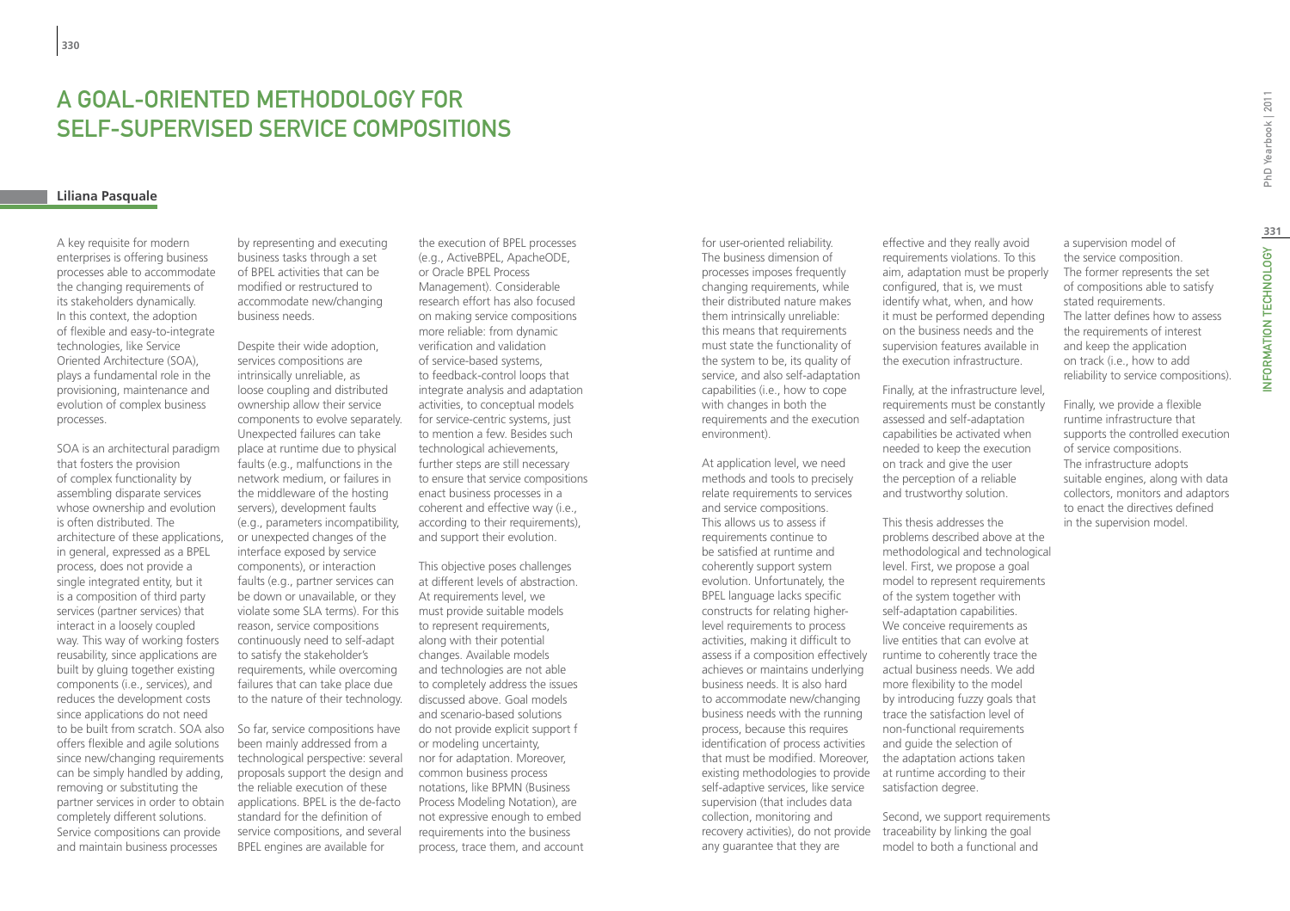# A Goal-Oriented Methodology for Self-Supervised Service Compositions

# **Liliana Pasquale**

A key requisite for modern enterprises is offering business processes able to accommodate the changing requirements of its stakeholders dynamically. In this context, the adoption of flexible and easy-to-integrate technologies, like Service Oriented Architecture (SOA), plays a fundamental role in the provisioning, maintenance and evolution of complex business processes.

SOA is an architectural paradigm that fosters the provision of complex functionality by assembling disparate services whose ownership and evolution is often distributed. The architecture of these applications, in general, expressed as a BPEL process, does not provide a single integrated entity, but it is a composition of third party services (partner services) that interact in a loosely coupled way. This way of working fosters reusability, since applications are built by gluing together existing components (i.e., services), and reduces the development costs since applications do not need to be built from scratch. SOA also offers flexible and agile solutions since new/changing requirements can be simply handled by adding, removing or substituting the partner services in order to obtain completely different solutions. Service compositions can provide and maintain business processes

by representing and executing business tasks through a set of BPEL activities that can be modified or restructured to accommodate new/changing business needs.

Despite their wide adoption, services compositions are intrinsically unreliable, as loose coupling and distributed ownership allow their service components to evolve separately. Unexpected failures can take place at runtime due to physical faults (e.g., malfunctions in the network medium, or failures in the middleware of the hosting servers), development faults (e.g., parameters incompatibility, or unexpected changes of the interface exposed by service components), or interaction faults (e.g., partner services can be down or unavailable, or they violate some SLA terms). For this reason, service compositions continuously need to self-adapt to satisfy the stakeholder's requirements, while overcoming failures that can take place due to the nature of their technology.

So far, service compositions have been mainly addressed from a technological perspective: several proposals support the design and the reliable execution of these applications. BPEL is the de-facto standard for the definition of service compositions, and several BPEL engines are available for

the execution of BPEL processes (e.g., ActiveBPEL, ApacheODE, or Oracle BPEL Process Management). Considerable research effort has also focused on making service compositions more reliable: from dynamic verification and validation of service-based systems, to feedback-control loops that integrate analysis and adaptation activities, to conceptual models for service-centric systems, just to mention a few. Besides such technological achievements, further steps are still necessary to ensure that service compositions enact business processes in a coherent and effective way (i.e., according to their requirements), and support their evolution.

This objective poses challenges at different levels of abstraction. At requirements level, we must provide suitable models to represent requirements, along with their potential changes. Available models and technologies are not able to completely address the issues discussed above. Goal models and scenario-based solutions do not provide explicit support f or modeling uncertainty, nor for adaptation. Moreover, common business process notations, like BPMN (Business Process Modeling Notation), are not expressive enough to embed requirements into the business process, trace them, and account for user-oriented reliability. The business dimension of processes imposes frequently changing requirements, while their distributed nature makes them intrinsically unreliable: this means that requirements must state the functionality of the system to be, its quality of service, and also self-adaptation capabilities (i.e., how to cope with changes in both the requirements and the execution environment).

existing methodologies to provide at runtime according to their recovery activities), do not provide traceability by linking the goal At application level, we need methods and tools to precisely relate requirements to services and service compositions. This allows us to assess if requirements continue to be satisfied at runtime and coherently support system evolution. Unfortunately, the BPEL language lacks specific constructs for relating higherlevel requirements to process activities, making it difficult to assess if a composition effectively achieves or maintains underlying business needs. It is also hard to accommodate new/changing business needs with the running process, because this requires identification of process activities that must be modified. Moreover, self-adaptive services, like service supervision (that includes data collection, monitoring and any guarantee that they are

effective and they really avoid requirements violations. To this aim, adaptation must be properly configured, that is, we must identify what, when, and how it must be performed depending on the business needs and the supervision features available in the execution infrastructure.

Finally, at the infrastructure level, requirements must be constantly assessed and self-adaptation capabilities be activated when needed to keep the execution on track and give the user the perception of a reliable and trustworthy solution.

This thesis addresses the problems described above at the methodological and technological level. First, we propose a goal model to represent requirements of the system together with self-adaptation capabilities. We conceive requirements as live entities that can evolve at runtime to coherently trace the actual business needs. We add more flexibility to the model by introducing fuzzy goals that trace the satisfaction level of non-functional requirements and guide the selection of the adaptation actions taken satisfaction degree.

Second, we support requirements model to both a functional and

a supervision model of the service composition. The former represents the set of compositions able to satisfy stated requirements. The latter defines how to assess the requirements of interest and keep the application on track (i.e., how to add reliability to service compositions).

Finally, we provide a flexible runtime infrastructure that supports the controlled execution of service compositions. The infrastructure adopts suitable engines, along with data collectors, monitors and adaptors to enact the directives defined in the supervision model.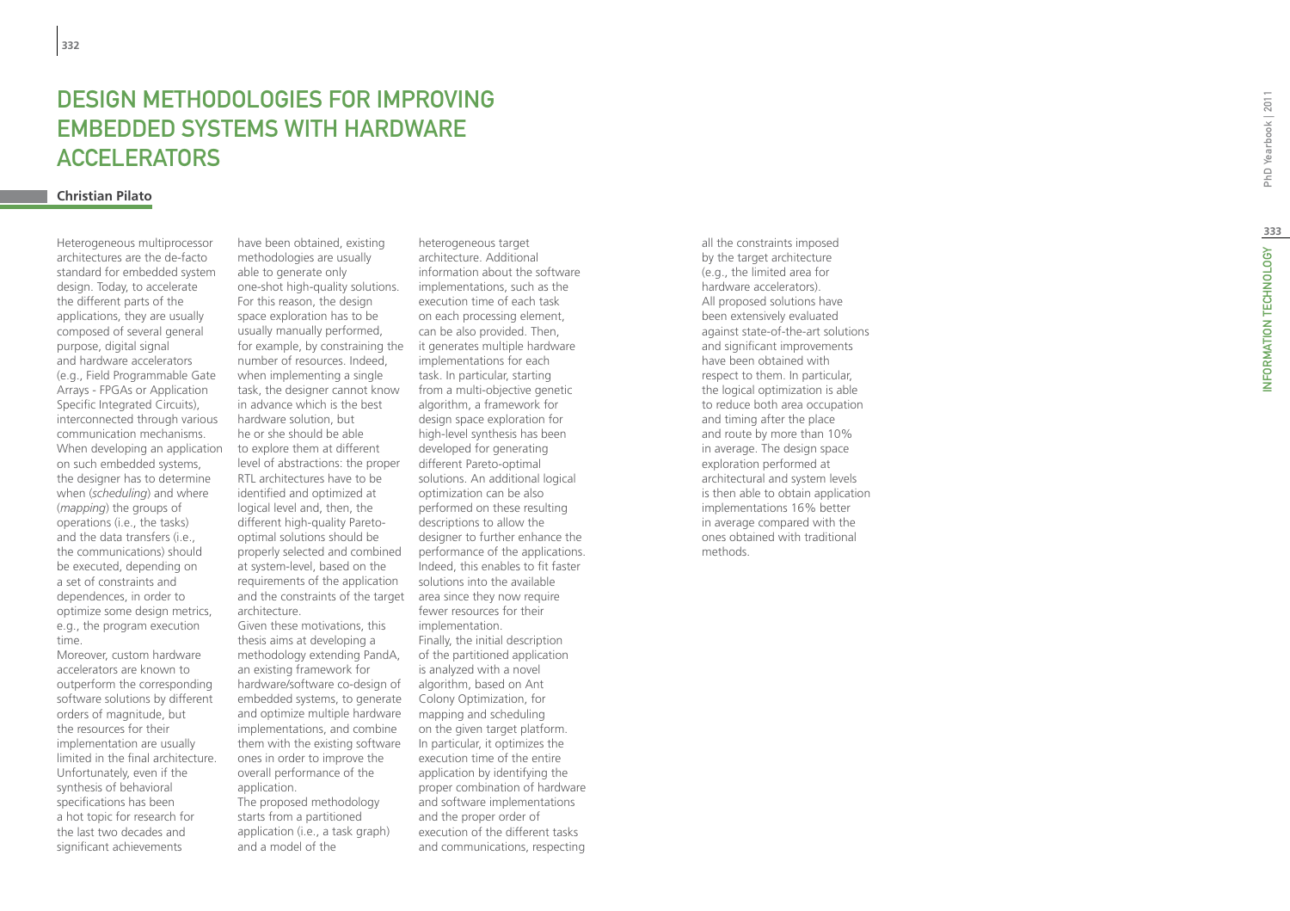# **DESIGN METHODOLOGIES FOR IM<br>EMBEDDED SYSTEMS WITH HARI<br>ACCELERATORS<br><sub>Christian Pilato**</sub> DESIGN METHODOLOGIES FOR IMPROVING EMBEDDED SYSTEMS WITH HARDWA Accelerator s

Heterogeneous multiprocessor architectures are the de-facto standard for embedded system design. Today, to accelerate the different parts of the applications, they are usually composed of several general purpose, digital signal and hardware accelerators (e.g., Field Programmable Gate Arrays - FPGAs or Application Specific Integrated Circuits), interconnected through various communication mechanisms. When developing an application on such embedded systems, the designer has to determine<br>when (scheduling) and where (*mapping*) the groups of operations (i.e., the tasks) and the data transfers (i.e., the communications) should be executed, depending on a set of constraints and dependences, in order to optimize some design metrics, e.g., the program execution time.

Moreover, custom hardware accelerators are known to outperform the corresponding software solutions by different orders of magnitude, but the resources for their implementation are usually limited in the final architecture. Unfortunately, even if the synthesis of behavioral specifications has been a hot topic for research for the last two decades and significant achievements

for example, by constraining the it generates multiple hardware and the constraints of the target area since they now require have been obtained, existing methodologies are usually able to generate only one-shot high-quality solutions. For this reason, the design space exploration has to be usually manually performed, number of resources. Indeed, when implementing a single task, the designer cannot know in advance which is the best hardware solution, but he or she should be able to explore them at different level of abstractions: the proper RTL architectures have to be identified and optimized at logical level and, then, the different high-quality Paretooptimal solutions should be properly selected and combined at system-level, based on the requirements of the application architecture.

Given these motivations, this thesis aims at developing a methodology extending PandA, an existing framework for hardware/software co-design of embedded systems, to generate and optimize multiple hardware implementations, and combine them with the existing software ones in order to improve the overall performance of the application.

The proposed methodology starts from a partitioned application (i.e., a task graph) and a model of the

heterogeneous target architecture. Additional information about the software implementations, such as the execution time of each task on each processing element, can be also provided. Then, implementations for each task. In particular, starting from a multi-objective genetic algorithm, a framework for design space exploration for high-level synthesis has been developed for generating different Pareto-optimal solutions. An additional logical optimization can be also performed on these resulting descriptions to allow the designer to further enhance the performance of the applications. Indeed, this enables to fit faster solutions into the available fewer resources for their implementation. Finally, the initial description of the partitioned application is analyzed with a novel algorithm, based on Ant Colony Optimization, for mapping and scheduling on the given target platform. In particular, it optimizes the execution time of the entire application by identifying the proper combination of hardware and software implementations and the proper order of execution of the different tasks and communications, respecting

all the constraints imposed by the target architecture (e.g., the limited area for hardware accelerators). All proposed solutions have been extensively evaluated against state-of-the-art solutions and significant improvements have been obtained with respect to them. In particular, the logical optimization is able to reduce both area occupation and timing after the place and route by more than 10% in average. The design space exploration performed at architectural and system levels is then able to obtain application implementations 16% better in average compared with the ones obtained with traditional methods.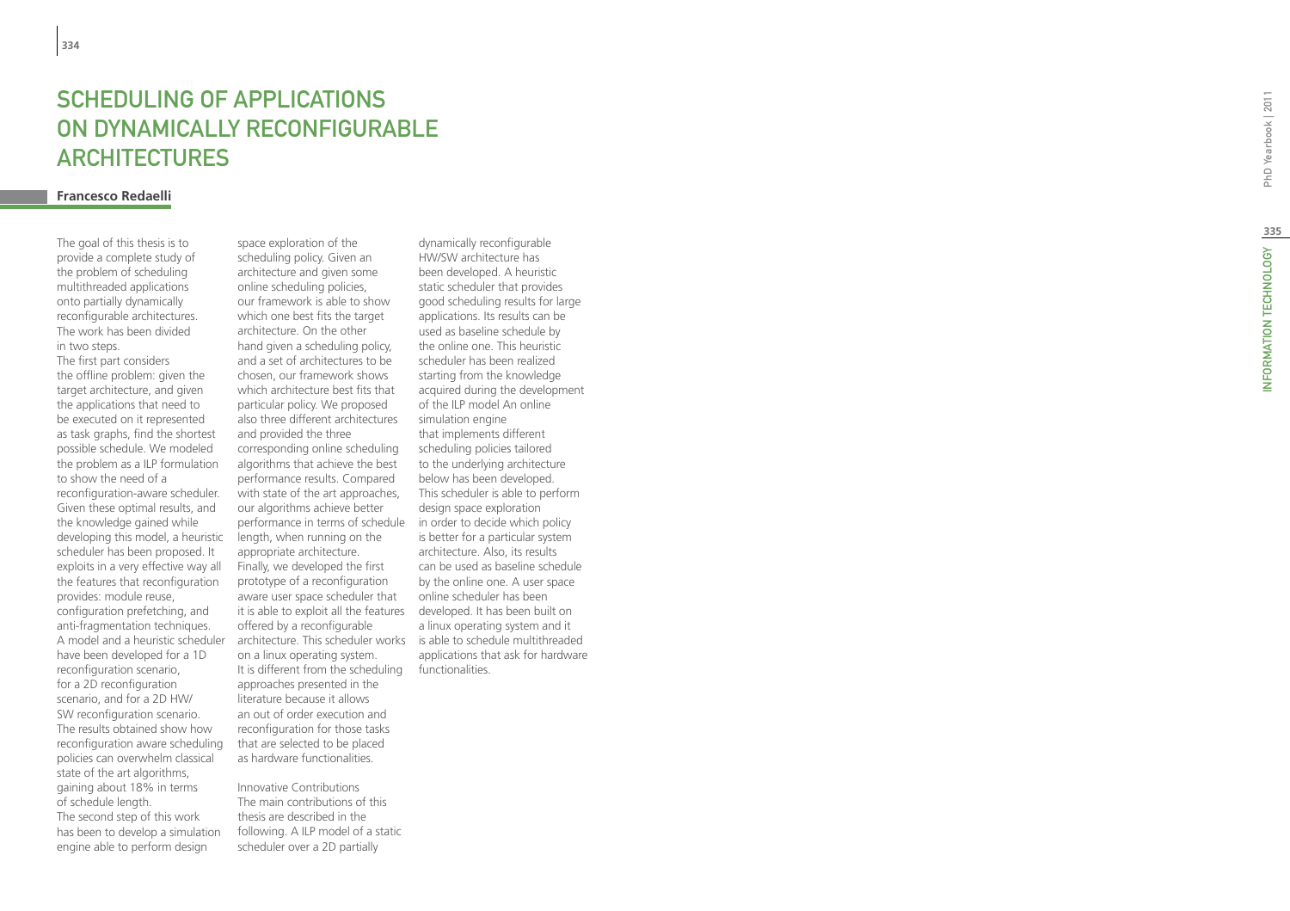# SCHEDULING OF APPLICATION<br>ON DYNAMICALLY RECONFIGUI<br>ARCHITECTURES<br><sub>Francesco Redaelli</sub> **SCHEDUI ING OF APPI ICATIONS** ON DYNAMICALLY RECONFIG URABLE **ARCHITECTURES**

The goal of this thesis is to provide a complete study of the problem of scheduling multithreaded applications onto partially dynamically reconfigurable architectures. The work has been divided in two steps.

The first part considers the offline problem: given the target architecture, and given the applications that need to be executed on it represented as task graphs, find the shortest possible schedule. We modeled the problem as a ILP formulation to show the need of a reconfiguration-aware scheduler. Given these optimal results, and the knowledge gained while developing this model, a heuristic scheduler has been proposed. It exploits in a very effective way all the features that reconfiguration provides: module reuse, configuration prefetching, and anti-fragmentation techniques. A model and a heuristic scheduler have been developed for a 1D reconfiguration scenario, for a 2D reconfiguration scenario, and for a 2D HW/ SW reconfiguration scenario. The results obtained show how reconfiguration aware scheduling policies can overwhelm classical state of the art algorithms, gaining about 18% in terms of schedule length. The second step of this work has been to develop a simulation engine able to perform design

architecture. This scheduler works is able to schedule multithreaded space exploration of the scheduling policy. Given an architecture and given some online scheduling policies, our framework is able to show which one best fits the target architecture. On the other hand given a scheduling policy, and a set of architectures to be chosen, our framework shows which architecture best fits that particular policy. We proposed also three different architectures and provided the three corresponding online scheduling algorithms that achieve the best performance results. Compared with state of the art approaches, our algorithms achieve better performance in terms of schedule length, when running on the appropriate architecture. Finally, we developed the first prototype of a reconfiguration aware user space scheduler that it is able to exploit all the features offered by a reconfigurable on a linux operating system. It is different from the scheduling approaches presented in the literature because it allows an out of order execution and reconfiguration for those tasks that are selected to be placed as hardware functionalities.

Innovative Contributions The main contributions of this thesis are described in the following. A ILP model of a static scheduler over a 2D partially

dynamically reconfigurable HW/SW architecture has been developed. A heuristic static scheduler that provides good scheduling results for large applications. Its results can be used as baseline schedule by the online one. This heuristic scheduler has been realized starting from the knowledge acquired during the development of the ILP model An online simulation engine that implements different scheduling policies tailored to the underlying architecture below has been developed. This scheduler is able to perform design space exploration in order to decide which policy is better for a particular system architecture. Also, its results can be used as baseline schedule by the online one. A user space online scheduler has been developed. It has been built on a linux operating system and it applications that ask for hardware functionalities.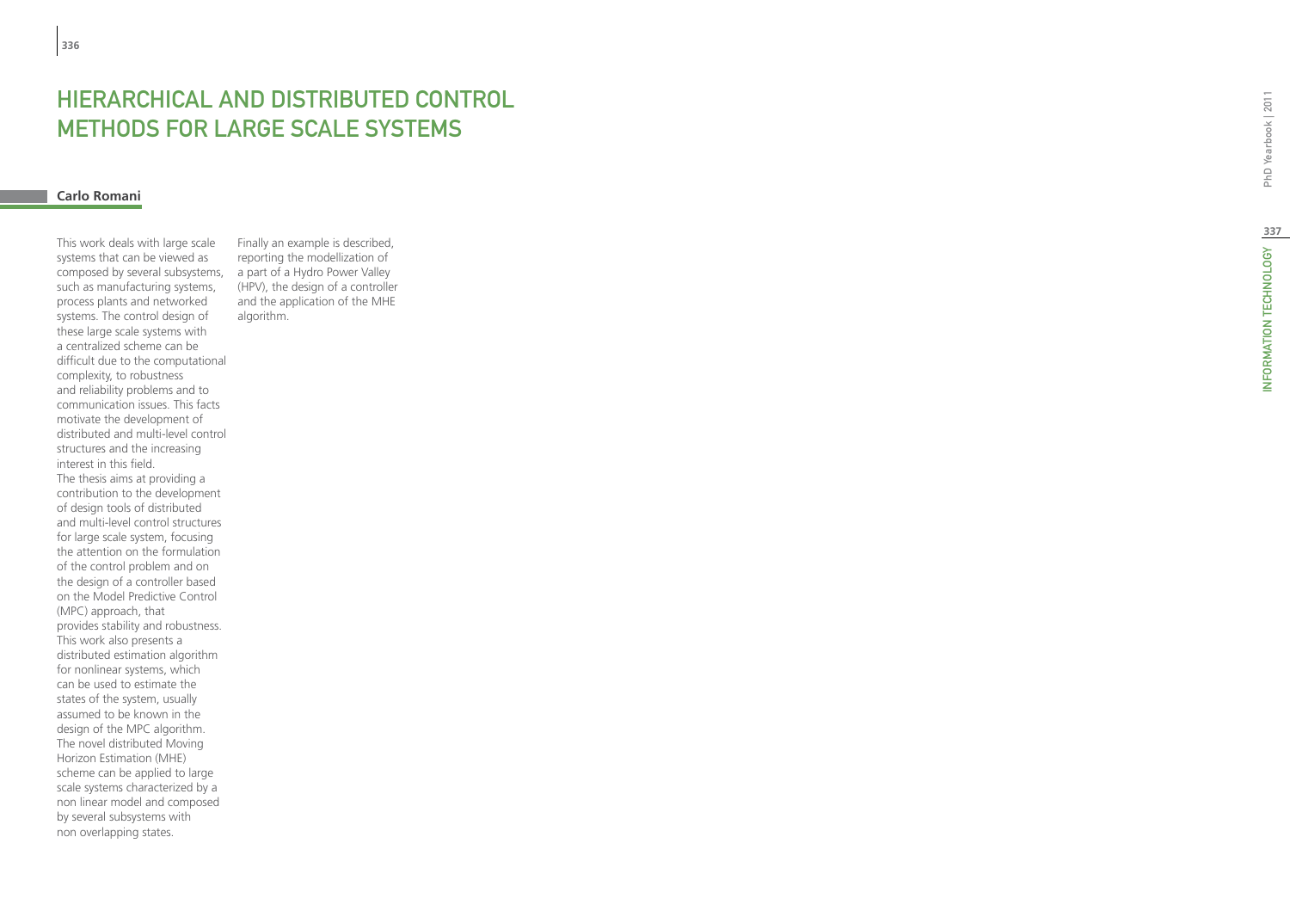# **HIERARCHICAL AND I<br>METHODS FOR LARGI<br><sub>Carlo Romani</sub>** STRIBUTED C methods for large scale s ystem s

This work deals with large scale systems that can be viewed as composed by several subsystems, such as manufacturing systems, process plants and networked systems. The control design of these large scale systems with a centralized scheme can be difficult due to the computational complexity, to robustness and reliability problems and to communication issues. This facts motivate the development of distributed and multi-level control structures and the increasing interest in this field. The thesis aims at providing a contribution to the development of design tools of distributed and multi-level control structures for large scale system, focusing the attention on the formulation of the control problem and on the design of a controller based on the Model Predictive Control (MPC) approach, that provides stability and robustness. This work also presents a distributed estimation algorithm for nonlinear systems, which can be used to estimate the states of the system, usually assumed to be known in the design of the MPC algorithm. The novel distributed Moving Horizon Estimation (MHE) scheme can be applied to large scale systems characterized by a non linear model and composed by several subsystems with non overlapping states.

Finally an example is described, reporting the modellization of a part of a Hydro Power Valley (HPV), the design of a controller and the application of the MHE algorithm.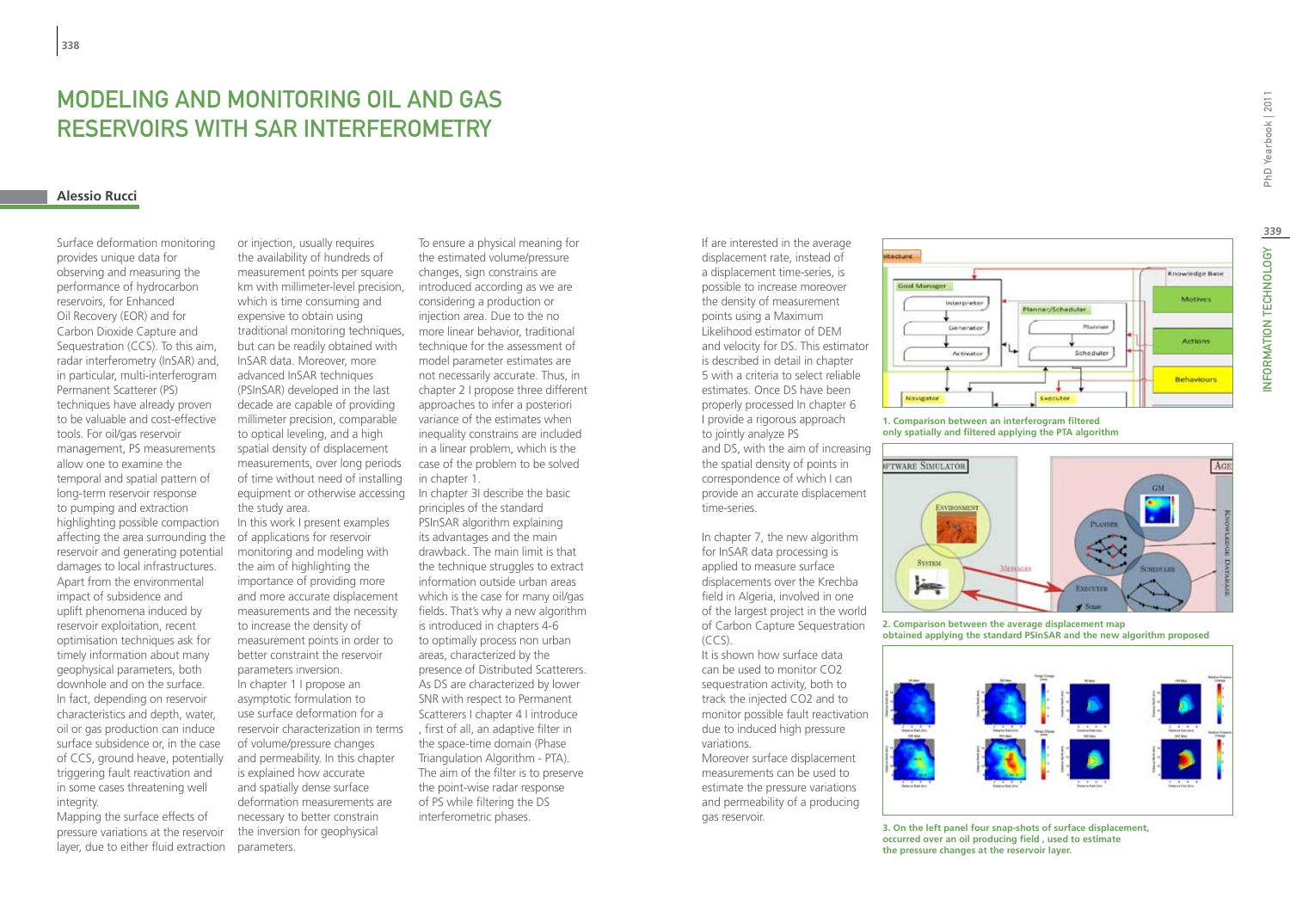# Modeling and monitoring oil and gas reservoirs with SAR interferometry

### **Alessio Rucci**

Surface deformation monitoring provides unique data for observing and measuring the performance of hydrocarbon reservoirs, for Enhanced Oil Recovery (EOR) and for Carbon Dioxide Capture and Sequestration (CCS). To this aim, radar interferometry (InSAR) and, in particular, multi-interferogram Permanent Scatterer (PS) techniques have already proven to be valuable and cost-effective tools. For oil/gas reservoir management, PS measurements allow one to examine the temporal and spatial pattern of long-term reservoir response to pumping and extraction highlighting possible compaction affecting the area surrounding the reservoir and generating potential damages to local infrastructures. Apart from the environmental impact of subsidence and uplift phenomena induced by reservoir exploitation, recent optimisation techniques ask for timely information about many geophysical parameters, both downhole and on the surface. In fact, depending on reservoir characteristics and depth, water, oil or gas production can induce surface subsidence or, in the case of CCS, ground heave, potentially triggering fault reactivation and in some cases threatening well integrity.

Mapping the surface effects of pressure variations at the reservoir layer, due to either fluid extraction

equipment or otherwise accessing In chapter 3I describe the basic or injection, usually requires the availability of hundreds of measurement points per square km with millimeter-level precision, which is time consuming and expensive to obtain using traditional monitoring techniques, but can be readily obtained with InSAR data. Moreover, more advanced InSAR techniques (PSInSAR) developed in the last decade are capable of providing millimeter precision, comparable to optical leveling, and a high spatial density of displacement measurements, over long periods of time without need of installing the study area. In this work I present examples of applications for reservoir monitoring and modeling with the aim of highlighting the importance of providing more and more accurate displacement measurements and the necessity to increase the density of measurement points in order to better constraint the reservoir parameters inversion. In chapter 1 I propose an asymptotic formulation to use surface deformation for a reservoir characterization in terms of volume/pressure changes and permeability. In this chapter is explained how accurate and spatially dense surface deformation measurements are necessary to better constrain the inversion for geophysical

parameters.

To ensure a physical meaning for the estimated volume/pressure changes, sign constrains are introduced according as we are considering a production or injection area. Due to the no more linear behavior, traditional technique for the assessment of model parameter estimates are not necessarily accurate. Thus, in chapter 2 I propose three different approaches to infer a posteriori variance of the estimates when inequality constrains are included in a linear problem, which is the case of the problem to be solved in chapter 1.

principles of the standard PSInSAR algorithm explaining its advantages and the main drawback. The main limit is that the technique struggles to extract information outside urban areas which is the case for many oil/gas fields. That's why a new algorithm is introduced in chapters 4-6 to optimally process non urban areas, characterized by the presence of Distributed Scatterers. As DS are characterized by lower SNR with respect to Permanent Scatterers I chapter 4 I introduce , first of all, an adaptive filter in the space-time domain (Phase Triangulation Algorithm - PTA). The aim of the filter is to preserve the point-wise radar response of PS while filtering the DS interferometric phases.

If are interested in the average displacement rate, instead of a displacement time-series, is possible to increase moreover the density of measurement points using a Maximum Likelihood estimator of DEM and velocity for DS. This estimator is described in detail in chapter 5 with a criteria to select reliable estimates. Once DS have been properly processed In chapter 6 I provide a rigorous approach to jointly analyze PS

and DS, with the aim of increasing the spatial density of points in correspondence of which I can provide an accurate displacement time-series.

In chapter 7, the new algorithm for InSAR data processing is applied to measure surface displacements over the Krechba field in Algeria, involved in one of the largest project in the world of Carbon Capture Sequestration (CCS).

It is shown how surface data can be used to monitor CO2 sequestration activity, both to track the injected CO2 and to monitor possible fault reactivation due to induced high pressure variations.

Moreover surface displacement measurements can be used to estimate the pressure variations and permeability of a producing gas reservoir.



**1. Comparison between an interferogram filtered only spatially and filtered applying the PTA algorithm**



**2. Comparison between the average displacement map obtained applying the standard PSInSAR and the new algorithm proposed**



**3. On the left panel four snap-shots of surface displacement, occurred over an oil producing field , used to estimate the pressure changes at the reservoir layer.**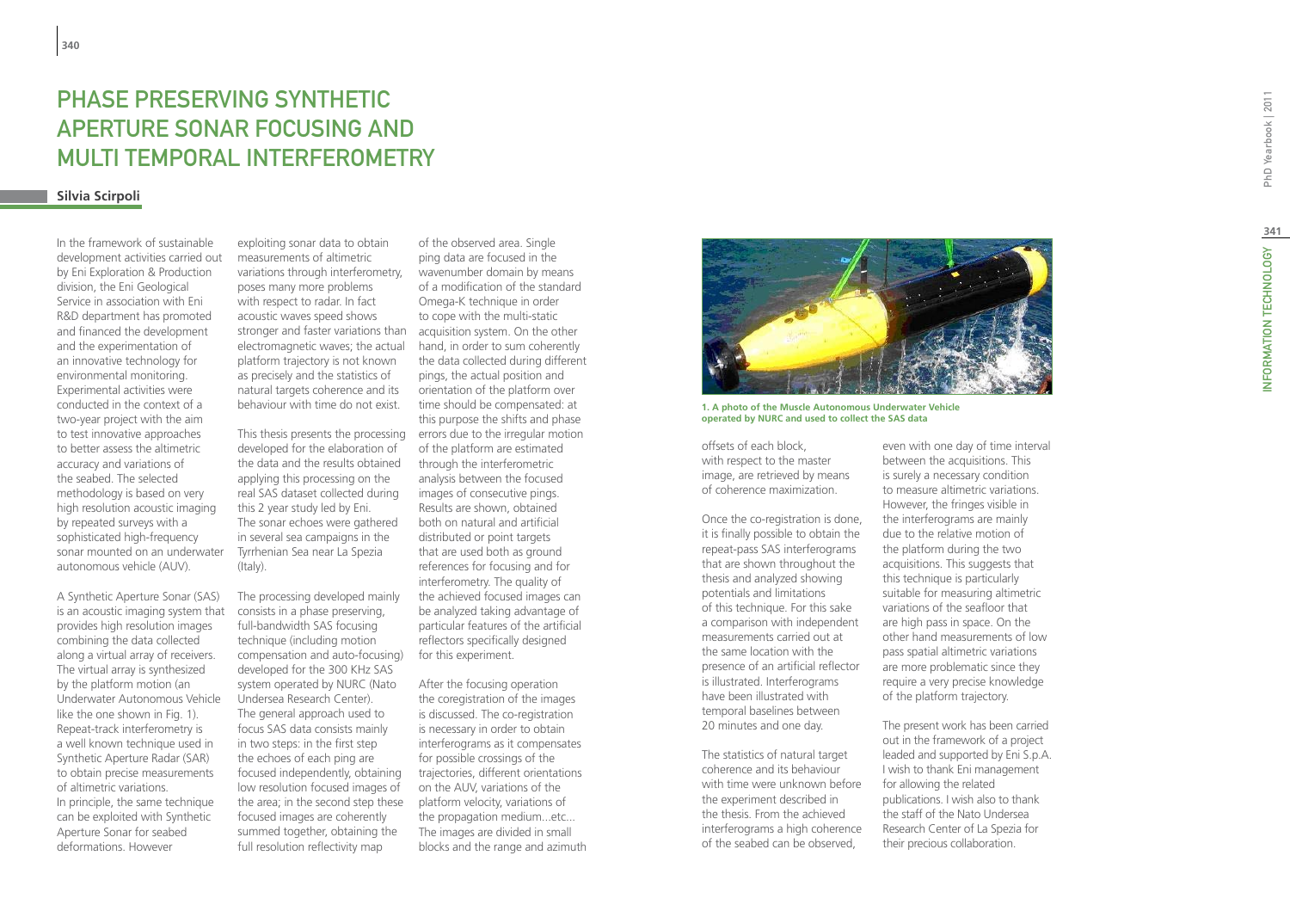# PHA SE PRE SERVING SYNTHETIC APERT URE SONAR FOCUSING AND M ULTI TEMPORAL INTERFEROMETRY

### **Silvia Scirpoli**

In the framework of sustainable development activities carried out by Eni Exploration & Production division, the Eni Geological Service in association with Eni R&D department has promoted and financed the development and the experimentation of an innovative technology for environmental monitoring. Experimental activities were conducted in the context of a two-year project with the aim to test innovative approaches to better assess the altimetric accuracy and variations of the seabed. The selected methodology is based on very high resolution acoustic imaging by repeated surveys with a sophisticated high-frequency sonar mounted on an underwater autonomous vehicle (AUV).

A Synthetic Aperture Sonar (SAS) is an acoustic imaging system that provides high resolution images combining the data collected along a virtual array of receivers. The virtual array is synthesized by the platform motion (an Underwater Autonomous Vehicle like the one shown in Fig. 1). Repeat-track interferometry is a well known technique used in Synthetic Aperture Radar (SAR) to obtain precise measurements of altimetric variations. In principle, the same technique can be exploited with Synthetic Aperture Sonar for seabed deformations. However

stronger and faster variations than acquisition system. On the other exploiting sonar data to obtain measurements of altimetric variations through interferometry, poses many more problems with respect to radar. In fact acoustic waves speed shows electromagnetic waves; the actual platform trajectory is not known as precisely and the statistics of natural targets coherence and its behaviour with time do not exist.

developed for the elaboration of the data and the results obtained applying this processing on the real SAS dataset collected during this 2 year study led by Eni. The sonar echoes were gathered in several sea campaigns in the Tyrrhenian Sea near La Spezia (Italy).

The processing developed mainly consists in a phase preserving, full-bandwidth SAS focusing technique (including motion compensation and auto-focusing) developed for the 300 KHz SAS system operated by NURC (Nato Undersea Research Center). The general approach used to focus SAS data consists mainly in two steps: in the first step the echoes of each ping are focused independently, obtaining low resolution focused images of the area; in the second step these focused images are coherently summed together, obtaining the full resolution reflectivity map

of the observed area. Single ping data are focused in the wavenumber domain by means of a modification of the standard Omega-K technique in order to cope with the multi-static hand, in order to sum coherently the data collected during different pings, the actual position and orientation of the platform over time should be compensated: at this purpose the shifts and phase This thesis presents the processing  $\Box$  errors due to the irregular motion of the platform are estimated through the interferometric analysis between the focused images of consecutive pings. Results are shown, obtained both on natural and artificial distributed or point targets that are used both as ground references for focusing and for interferometry. The quality of the achieved focused images can be analyzed taking advantage of particular features of the artificial reflectors specifically designed for this experiment.

> After the focusing operation the coregistration of the images is discussed. The co-registration is necessary in order to obtain interferograms as it compensates for possible crossings of the trajectories, different orientations on the AUV, variations of the platform velocity, variations of the propagation medium...etc... The images are divided in small blocks and the range and azimuth



**1. A photo of the Muscle Autonomous Underwater Vehicle operated by NURC and used to collect the SAS data**

offsets of each block, with respect to the master image, are retrieved by means of coherence maximization.

Once the co-registration is done, it is finally possible to obtain the repeat-pass SAS interferograms that are shown throughout the thesis and analyzed showing potentials and limitations of this technique. For this sake a comparison with independent measurements carried out at the same location with the presence of an artificial reflector is illustrated. Interferograms have been illustrated with temporal baselines between 20 minutes and one day.

The statistics of natural target coherence and its behaviour with time were unknown before the experiment described in the thesis. From the achieved interferograms a high coherence of the seabed can be observed,

even with one day of time interval between the acquisitions. This is surely a necessary condition to measure altimetric variations. However, the fringes visible in the interferograms are mainly due to the relative motion of the platform during the two acquisitions. This suggests that this technique is particularly suitable for measuring altimetric variations of the seafloor that are high pass in space. On the other hand measurements of low pass spatial altimetric variations are more problematic since they require a very precise knowledge of the platform trajectory.

The present work has been carried out in the framework of a project leaded and supported by Eni S.p.A. I wish to thank Eni management for allowing the related publications. I wish also to thank the staff of the Nato Undersea Research Center of La Spezia for their precious collaboration.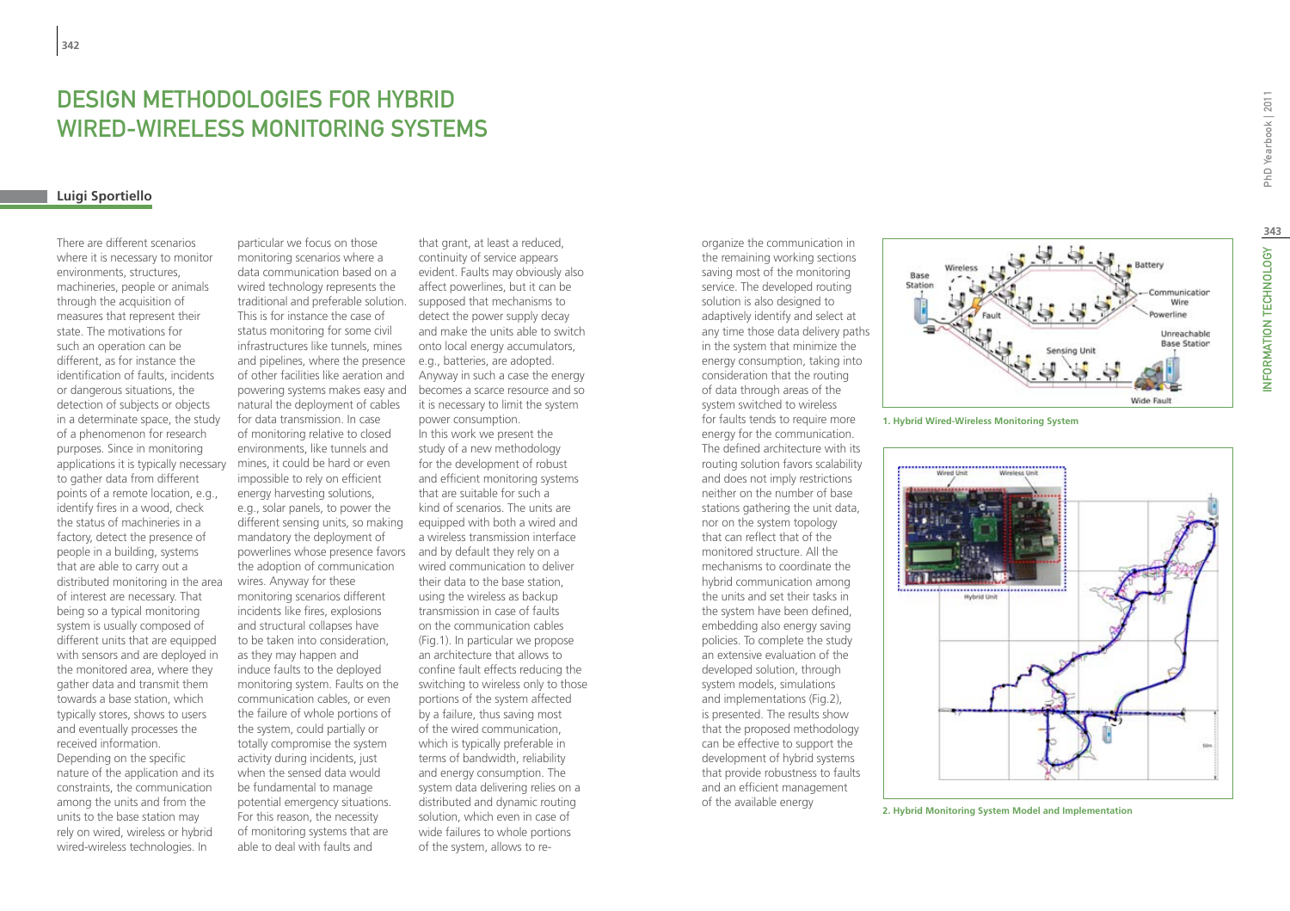# **DESIGN METHODOLOGIES FOR HY<br>WIRED-WIRELESS MONITORING S<br><sub>Luigi Sportiello**</sub> Wired -Wireless Monitoring System s

There are different scenarios where it is necessary to monitor environments, structures, machineries, people or animals through the acquisition of measures that represent their state. The motivations for such an operation can be different, as for instance the identification of faults, incidents or dangerous situations, the detection of subjects or objects in a determinate space, the study of a phenomenon for research purposes. Since in monitoring applications it is typically necessary to gather data from different points of a remote location, e.g., identify fires in a wood, check the status of machineries in a factory, detect the presence of people in a building, systems that are able to carry out a distributed monitoring in the area of interest are necessary. That being so a typical monitoring system is usually composed of different units that are equipped with sensors and are deployed in the monitored area, where they gather data and transmit them towards a base station, which typically stores, shows to users and eventually processes the received information. Depending on the specific nature of the application and its constraints, the communication among the units and from the units to the base station may rely on wired, wireless or hybrid wired-wireless technologies. In

and pipelines, where the presence e.g., batteries, are adopted. powerlines whose presence favors and by default they rely on a particular we focus on those monitoring scenarios where a data communication based on a wired technology represents the traditional and preferable solution. This is for instance the case of status monitoring for some civil infrastructures like tunnels, mines of other facilities like aeration and natural the deployment of cables for data transmission. In case of monitoring relative to closed environments, like tunnels and mines, it could be hard or even impossible to rely on efficient energy harvesting solutions, e.g., solar panels, to power the different sensing units, so making mandatory the deployment of the adoption of communication wires. Anyway for these monitoring scenarios different incidents like fires, explosions and structural collapses have to be taken into consideration, as they may happen and induce faults to the deployed monitoring system. Faults on the communication cables, or even the failure of whole portions of the system, could partially or totally compromise the system activity during incidents, just when the sensed data would be fundamental to manage potential emergency situations. For this reason, the necessity of monitoring systems that are able to deal with faults and

that grant, at least a reduced, continuity of service appears evident. Faults may obviously also affect powerlines, but it can be supposed that mechanisms to detect the power supply decay and make the units able to switch onto local energy accumulators, Anyway in such a case the energy powering systems makes easy and becomes a scarce resource and so it is necessary to limit the system power consumption. In this work we present the study of a new methodology for the development of robust and efficient monitoring systems that are suitable for such a kind of scenarios. The units are equipped with both a wired and a wireless transmission interface wired communication to deliver their data to the base station, using the wireless as backup transmission in case of faults on the communication cables (Fig.1). In particular we propose an architecture that allows to confine fault effects reducing the switching to wireless only to those portions of the system affected by a failure, thus saving most of the wired communication, which is typically preferable in terms of bandwidth, reliability and energy consumption. The system data delivering relies on a distributed and dynamic routing solution, which even in case of wide failures to whole portions of the system, allows to reorganize the communication in the remaining working sections saving most of the monitoring service. The developed routing solution is also designed to adaptively identify and select at any time those data delivery paths in the system that minimize the energy consumption, taking into consideration that the routing of data through areas of the system switched to wireless for faults tends to require more energy for the communication. The defined architecture with its routing solution favors scalability and does not imply restrictions neither on the number of base stations gathering the unit data, nor on the system topology that can reflect that of the monitored structure. All the mechanisms to coordinate the hybrid communication among the units and set their tasks in the system have been defined, embedding also energy saving policies. To complete the study an extensive evaluation of the developed solution, through system models, simulations and implementations (Fig.2), is presented. The results show that the proposed methodology can be effective to support the development of hybrid systems that provide robustness to faults and an efficient management of the available energy







**2. Hybrid Monitoring System Model and Implementation**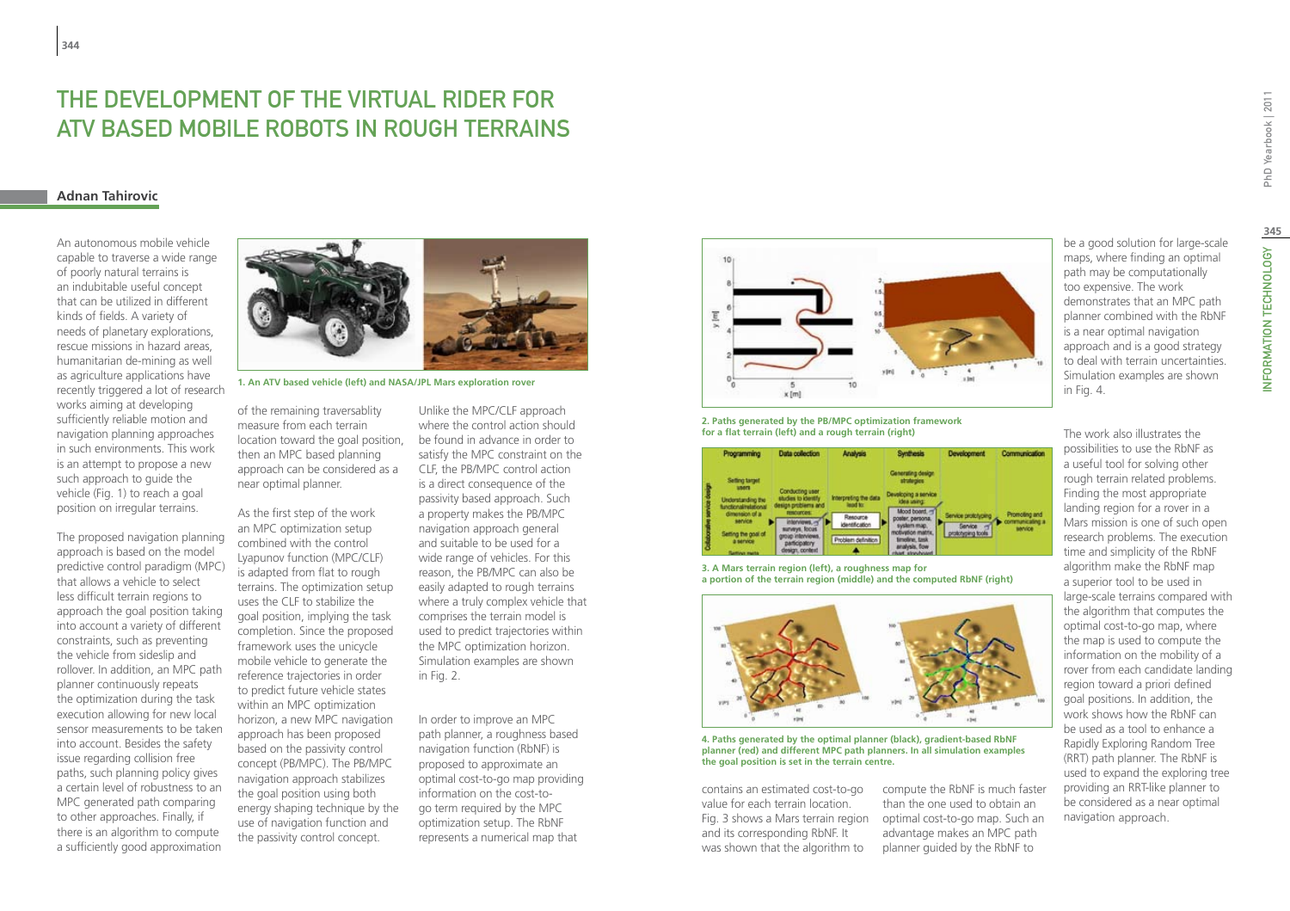# The Development of the Virtual Rider for ATV based Mobile Robots in Rough Terrains

### **Adnan Tahirovic**

An autonomous mobile vehicle capable to traverse a wide range of poorly natural terrains is an indubitable useful concept that can be utilized in different kinds of fields. A variety of needs of planetary explorations, rescue missions in hazard areas, humanitarian de-mining as well as agriculture applications have recently triggered a lot of research works aiming at developing sufficiently reliable motion and navigation planning approaches in such environments. This work is an attempt to propose a new such approach to guide the vehicle (Fig. 1) to reach a goal position on irregular terrains.

The proposed navigation planning approach is based on the model predictive control paradigm (MPC) that allows a vehicle to select less difficult terrain regions to approach the goal position taking into account a variety of different constraints, such as preventing the vehicle from sideslip and rollover. In addition, an MPC path planner continuously repeats the optimization during the task execution allowing for new local sensor measurements to be taken into account. Besides the safety issue regarding collision free paths, such planning policy gives a certain level of robustness to an MPC generated path comparing to other approaches. Finally, if there is an algorithm to compute a sufficiently good approximation



**1. An ATV based vehicle (left) and NASA/JPL Mars exploration rover**

of the remaining traversablity measure from each terrain location toward the goal position, then an MPC based planning approach can be considered as a near optimal planner.

As the first step of the work an MPC optimization setup combined with the control Lyapunov function (MPC/CLF) is adapted from flat to rough terrains. The optimization setup uses the CLF to stabilize the goal position, implying the task completion. Since the proposed framework uses the unicycle mobile vehicle to generate the reference trajectories in order to predict future vehicle states within an MPC optimization horizon, a new MPC navigation approach has been proposed based on the passivity control concept (PB/MPC). The PB/MPC navigation approach stabilizes the goal position using both energy shaping technique by the use of navigation function and the passivity control concept.

Unlike the MPC/CLF approach where the control action should be found in advance in order to satisfy the MPC constraint on the CLF, the PB/MPC control action is a direct consequence of the passivity based approach. Such a property makes the PB/MPC navigation approach general and suitable to be used for a wide range of vehicles. For this reason, the PB/MPC can also be easily adapted to rough terrains where a truly complex vehicle that comprises the terrain model is used to predict trajectories within the MPC optimization horizon. Simulation examples are shown in Fig. 2.

In order to improve an MPC path planner, a roughness based navigation function (RbNF) is proposed to approximate an optimal cost-to-go map providing information on the cost-togo term required by the MPC optimization setup. The RbNF represents a numerical map that



### **2. Paths generated by the PB/MPC optimization framework for a flat terrain (left) and a rough terrain (right)**

| Programming                                                                                                                                                                                                | <b>Data collection</b>                                                                                                                                                  | Analysis                                                                                     | <b>Synthesis</b>                                                                                                                                                                                              | <b>Development</b>                       | <b>Communication</b>                        |
|------------------------------------------------------------------------------------------------------------------------------------------------------------------------------------------------------------|-------------------------------------------------------------------------------------------------------------------------------------------------------------------------|----------------------------------------------------------------------------------------------|---------------------------------------------------------------------------------------------------------------------------------------------------------------------------------------------------------------|------------------------------------------|---------------------------------------------|
| <b>Setting target</b><br><b>TOOL</b><br>Understanding the<br>functional/relational<br>dimension of a<br>service<br>Setting the goal of<br>a service<br><b><i><u>Restricts</u></i></b> <i><b>Health</b></i> | Conducting user:<br>studies to identify<br>design problems and<br>restources.<br>interviews.<br>surveys, focus<br>troup interviews.<br>participatory<br>design, context | Interpreting the data<br>lead to:<br>Resource<br><b>identification</b><br>Problem definition | Generating design<br>strategies<br>Developing a service<br>idea using:<br>Mood board.<br>poster, personal<br>system man<br>motivation matrix.<br>timeline, task<br>analysis, flow<br><b>Instruments Basic</b> | ervice profish ping<br>prototyping tools | Promoting and<br>communicating a<br>service |

**3. A Mars terrain region (left), a roughness map for a portion of the terrain region (middle) and the computed RbNF (right)**



**4. Paths generated by the optimal planner (black), gradient-based RbNF planner (red) and different MPC path planners. In all simulation examples the goal position is set in the terrain centre.** 

contains an estimated cost-to-go value for each terrain location. and its corresponding RbNF. It was shown that the algorithm to

compute the RbNF is much faster than the one used to obtain an Fig. 3 shows a Mars terrain region optimal cost-to-go map. Such an advantage makes an MPC path planner guided by the RbNF to

be a good solution for large-scale maps, where finding an optimal path may be computationally too expensive. The work demonstrates that an MPC path planner combined with the RbNF is a near optimal navigation approach and is a good strategy to deal with terrain uncertainties. Simulation examples are shown in Fig. 4.

The work also illustrates the

possibilities to use the RbNF as a useful tool for solving other rough terrain related problems. Finding the most appropriate landing region for a rover in a Mars mission is one of such open research problems. The execution time and simplicity of the RbNF algorithm make the RbNF map a superior tool to be used in large-scale terrains compared with the algorithm that computes the optimal cost-to-go map, where the map is used to compute the information on the mobility of a rover from each candidate landing region toward a priori defined goal positions. In addition, the work shows how the RbNF can be used as a tool to enhance a Rapidly Exploring Random Tree (RRT) path planner. The RbNF is used to expand the exploring tree providing an RRT-like planner to be considered as a near optimal navigation approach.

**345**

NFORMATION TECHNOLOGY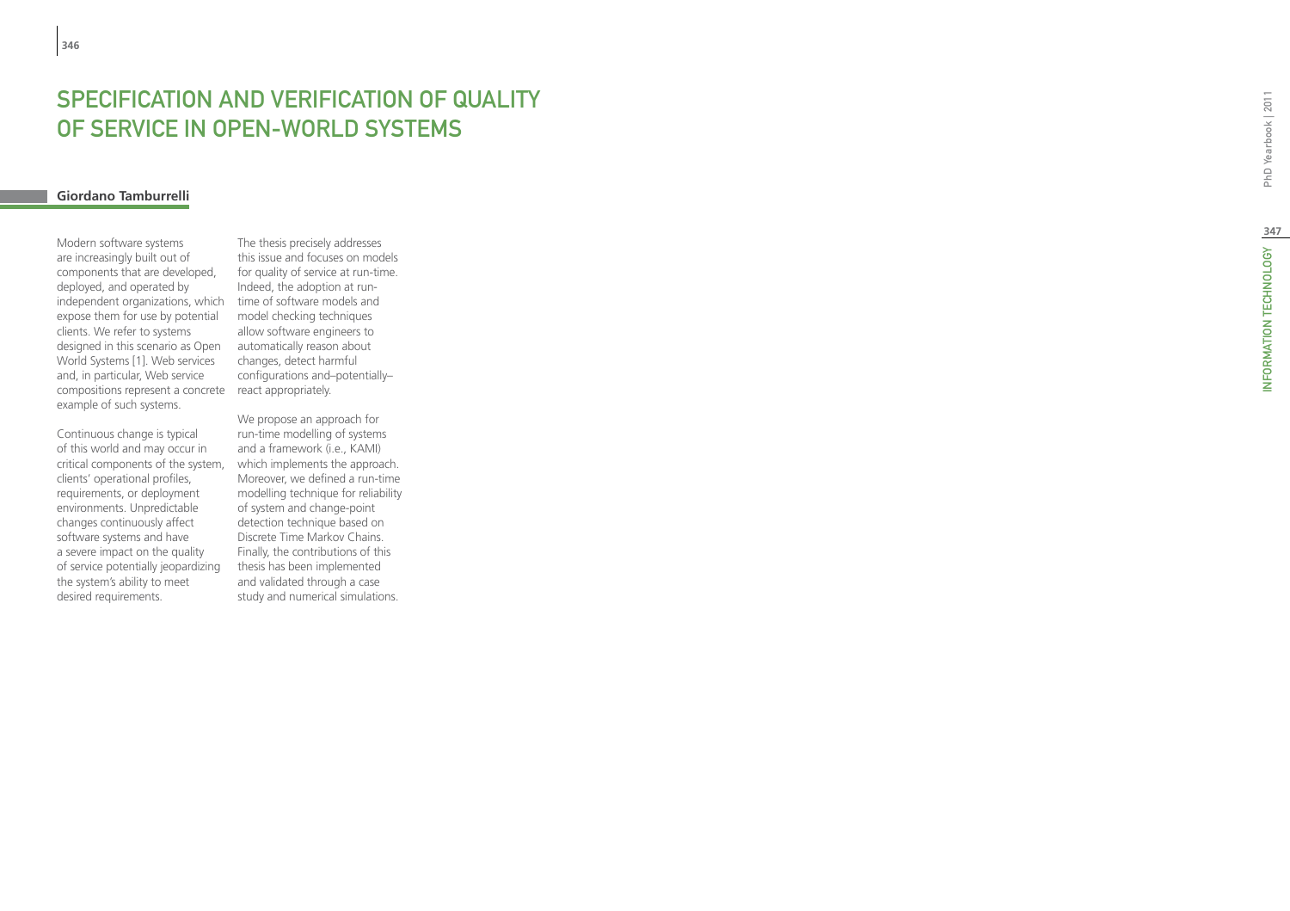# SPECIFICATION AND VERIFICATION OF QUA of Service in Open -World System s

# **Giordano Tamburrelli**

compositions represent a concrete react appropriately. Modern software systems are increasingly built out of components that are developed, deployed, and operated by independent organizations, which expose them for use by potential clients. We refer to systems designed in this scenario as Open World Systems [1]. Web services and, in particular, Web service example of such systems.

Continuous change is typical of this world and may occur in critical components of the system, clients' operational profiles, requirements, or deployment environments. Unpredictable changes continuously affect software systems and have a severe impact on the quality of service potentially jeopardizing the system's ability to meet desired requirements.

The thesis precisely addresses this issue and focuses on models for quality of service at run-time. Indeed, the adoption at runtime of software models and model checking techniques allow software engineers to automatically reason about changes, detect harmful configurations and–potentially–

We propose an approach for run-time modelling of systems and a framework (i.e., KAMI) which implements the approach. Moreover, we defined a run-time modelling technique for reliability of system and change-point detection technique based on Discrete Time Markov Chains. Finally, the contributions of this thesis has been implemented and validated through a case study and numerical simulations.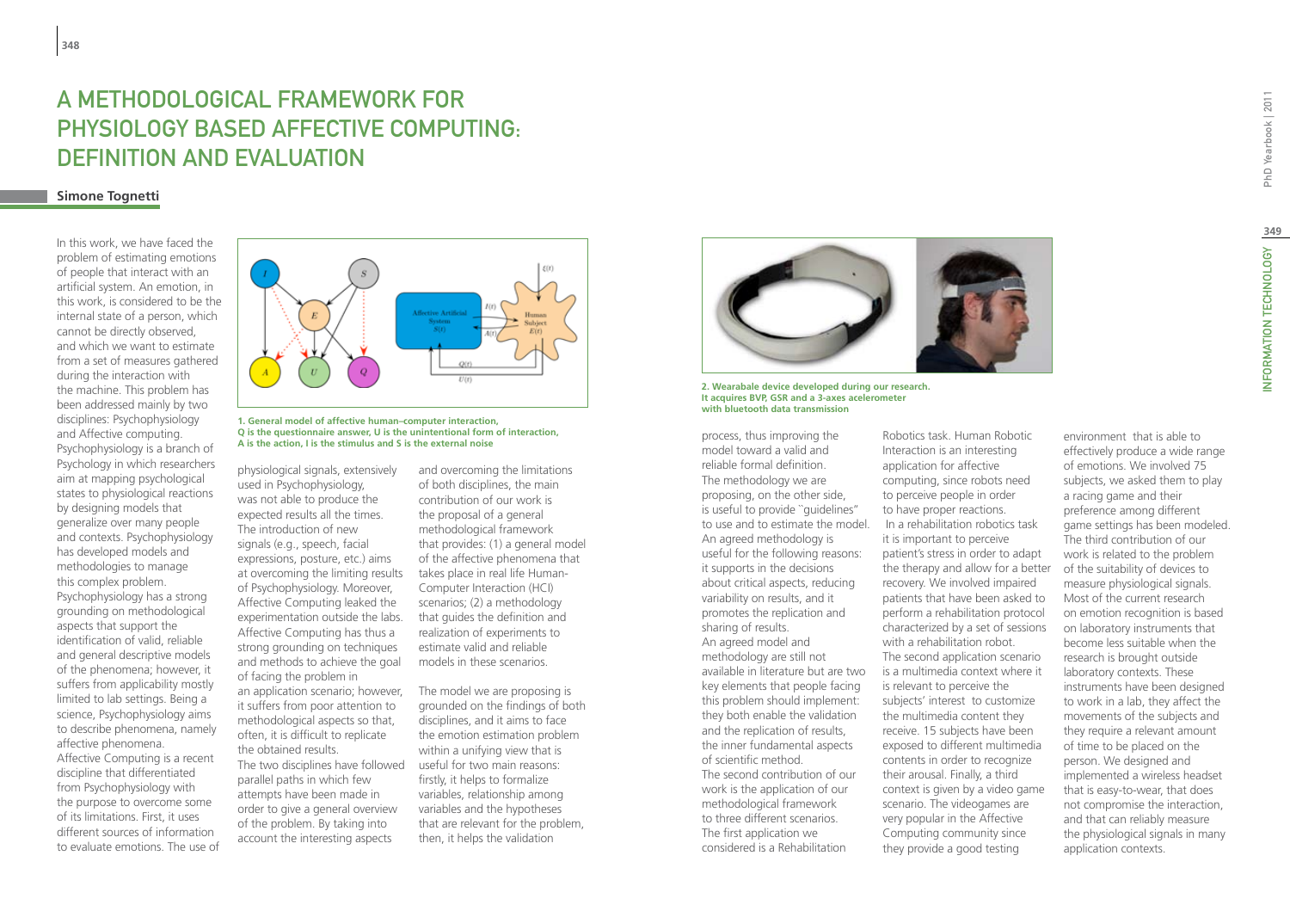# A methodological framework for physiology based affective computing: definition and evaluation

# **Simone Tognetti**

In this work, we have faced the problem of estimating emotions of people that interact with an artificial system. An emotion, in this work, is considered to be the internal state of a person, which cannot be directly observed, and which we want to estimate from a set of measures gathered during the interaction with the machine. This problem has been addressed mainly by two disciplines: Psychophysiology and Affective computing. Psychophysiology is a branch of Psychology in which researchers aim at mapping psychological states to physiological reactions by designing models that generalize over many people and contexts. Psychophysiology has developed models and methodologies to manage this complex problem. Psychophysiology has a strong grounding on methodological aspects that support the identification of valid, reliable and general descriptive models of the phenomena; however, it suffers from applicability mostly limited to lab settings. Being a science, Psychophysiology aims to describe phenomena, namely affective phenomena. Affective Computing is a recent discipline that differentiated

from Psychophysiology with the purpose to overcome some of its limitations. First, it uses different sources of information to evaluate emotions. The use of



### **1. General model of affective human–computer interaction, Q is the questionnaire answer, U is the unintentional form of interaction,**  Q is the questionnaire answer, U is the unintentional form of interaction,<br>A is the action Lis the stimulus and S is the external noise<br>

physiological signals, extensively used in Psychophysiology, was not able to produce the expected results all the times. The introduction of new signals (e.g., speech, facial expressions, posture, etc.) aims at overcoming the limiting results of Psychophysiology. Moreover, Affective Computing leaked the experimentation outside the labs. Affective Computing has thus a strong grounding on techniques and methods to achieve the goal of facing the problem in an application scenario; however, it suffers from poor attention to methodological aspects so that, often, it is difficult to replicate the obtained results. The two disciplines have followed parallel paths in which few attempts have been made in order to give a general overview of the problem. By taking into account the interesting aspects

and overcoming the limitations of both disciplines, the main contribution of our work is the proposal of a general methodological framework that provides: (1) a general model of the affective phenomena that takes place in real life Human-Computer Interaction (HCI) scenarios; (2) a methodology that guides the definition and realization of experiments to estimate valid and reliable models in these scenarios.

The model we are proposing is grounded on the findings of both disciplines, and it aims to face the emotion estimation problem within a unifying view that is useful for two main reasons: firstly, it helps to formalize variables, relationship among variables and the hypotheses that are relevant for the problem, then, it helps the validation



**2. Wearabale device developed during our research. It acquires BVP, GSR and a 3-axes acelerometer with bluetooth data transmission**

process, thus improving the model toward a valid and reliable formal definition. The methodology we are proposing, on the other side, is useful to provide ``guidelines'' to use and to estimate the model. An agreed methodology is useful for the following reasons: it supports in the decisions about critical aspects, reducing variability on results, and it promotes the replication and sharing of results. An agreed model and methodology are still not available in literature but are two key elements that people facing this problem should implement: they both enable the validation and the replication of results, the inner fundamental aspects of scientific method. The second contribution of our work is the application of our methodological framework to three different scenarios. The first application we considered is a Rehabilitation

Robotics task. Human Robotic Interaction is an interesting application for affective computing, since robots need to perceive people in order to have proper reactions. In a rehabilitation robotics task it is important to perceive patient's stress in order to adapt the therapy and allow for a better recovery. We involved impaired patients that have been asked to perform a rehabilitation protocol characterized by a set of sessions with a rehabilitation robot. The second application scenario is a multimedia context where it is relevant to perceive the subjects' interest to customize the multimedia content they receive. 15 subjects have been exposed to different multimedia contents in order to recognize their arousal. Finally, a third context is given by a video game scenario. The videogames are very popular in the Affective Computing community since they provide a good testing

effectively produce a wide range of emotions. We involved 75 subjects, we asked them to play a racing game and their preference among different game settings has been modeled. The third contribution of our work is related to the problem of the suitability of devices to measure physiological signals. Most of the current research on emotion recognition is based on laboratory instruments that become less suitable when the research is brought outside laboratory contexts. These instruments have been designed to work in a lab, they affect the movements of the subjects and they require a relevant amount of time to be placed on the person. We designed and implemented a wireless headset that is easy-to-wear, that does not compromise the interaction, and that can reliably measure the physiological signals in many application contexts.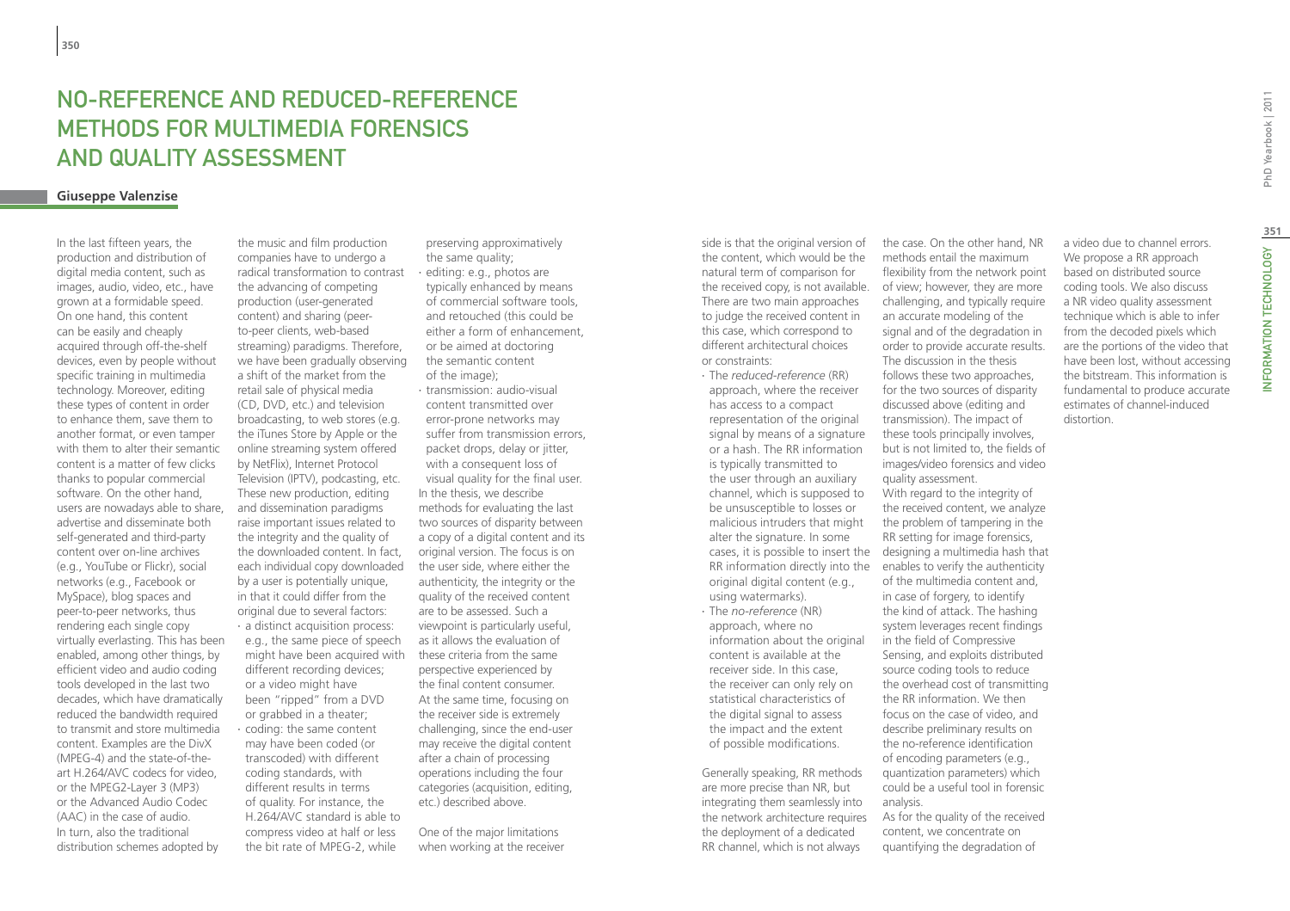# No-Reference and Reduced-Reference methods for multimedia forensics and quality assessment

# **Giuseppe Valenzise**

In the last fifteen years, the production and distribution of digital media content, such as images, audio, video, etc., have grown at a formidable speed. On one hand, this content can be easily and cheaply acquired through off-the-shelf devices, even by people without specific training in multimedia technology. Moreover, editing these types of content in order to enhance them, save them to another format, or even tamper with them to alter their semantic content is a matter of few clicks thanks to popular commercial software. On the other hand, users are nowadays able to share, advertise and disseminate both self-generated and third-party content over on-line archives (e.g., YouTube or Flickr), social networks (e.g., Facebook or MySpace), blog spaces and peer-to-peer networks, thus rendering each single copy virtually everlasting. This has been enabled, among other things, by efficient video and audio coding tools developed in the last two decades, which have dramatically reduced the bandwidth required to transmit and store multimedia content. Examples are the DivX (MPEG-4) and the state-of-theart H.264/AVC codecs for video, or the MPEG2-Layer 3 (MP3) or the Advanced Audio Codec (AAC) in the case of audio. In turn, also the traditional distribution schemes adopted by

the music and film production companies have to undergo a radical transformation to contrast the advancing of competing production (user-generated content) and sharing (peerto-peer clients, web-based streaming) paradigms. Therefore, we have been gradually observing a shift of the market from the retail sale of physical media (CD, DVD, etc.) and television broadcasting, to web stores (e.g. the iTunes Store by Apple or the online streaming system offered by NetFlix), Internet Protocol Television (IPTV), podcasting, etc. These new production, editing and dissemination paradigms raise important issues related to the integrity and the quality of the downloaded content. In fact, each individual copy downloaded by a user is potentially unique, in that it could differ from the original due to several factors: ∙ a distinct acquisition process: e.g., the same piece of speech might have been acquired with different recording devices; or a video might have been "ripped" from a DVD or grabbed in a theater; ∙ coding: the same content may have been coded (or transcoded) with different coding standards, with different results in terms of quality. For instance, the H.264/AVC standard is able to compress video at half or less

the bit rate of MPEG-2, while

preserving approximatively the same quality; ∙ editing: e.g., photos are typically enhanced by means of commercial software tools, and retouched (this could be either a form of enhancement, or be aimed at doctoring the semantic content

of the image); ∙ transmission: audio-visual content transmitted over error-prone networks may suffer from transmission errors, packet drops, delay or jitter, with a consequent loss of visual quality for the final user. In the thesis, we describe methods for evaluating the last two sources of disparity between a copy of a digital content and its original version. The focus is on the user side, where either the authenticity, the integrity or the quality of the received content are to be assessed. Such a viewpoint is particularly useful, as it allows the evaluation of these criteria from the same perspective experienced by the final content consumer. At the same time, focusing on the receiver side is extremely challenging, since the end-user may receive the digital content after a chain of processing operations including the four categories (acquisition, editing, etc.) described above.

One of the major limitations when working at the receiver

the received copy, is not available. of view; however, they are more side is that the original version of the content, which would be the natural term of comparison for There are two main approaches to judge the received content in this case, which correspond to different architectural choices or constraints:

∙ The *reduced-reference* (RR) approach, where the receiver has access to a compact representation of the original signal by means of a signature or a hash. The RR information is typically transmitted to the user through an auxiliary channel, which is supposed to be unsusceptible to losses or malicious intruders that might alter the signature. In some original digital content (e.g., using watermarks). ∙ The *no-reference* (NR) approach, where no

information about the original content is available at the receiver side. In this case, the receiver can only rely on statistical characteristics of the digital signal to assess the impact and the extent of possible modifications.

Generally speaking, RR methods are more precise than NR, but integrating them seamlessly into the network architecture requires the deployment of a dedicated RR channel, which is not always

distortion. the case. On the other hand, NR methods entail the maximum flexibility from the network point challenging, and typically require an accurate modeling of the signal and of the degradation in order to provide accurate results. The discussion in the thesis follows these two approaches, for the two sources of disparity discussed above (editing and transmission). The impact of these tools principally involves, but is not limited to, the fields of images/video forensics and video quality assessment. With regard to the integrity of

the received content, we analyze the problem of tampering in the RR setting for image forensics, cases, it is possible to insert the designing a multimedia hash that  $RR$  information directly into the enables to verify the authenticity of the multimedia content and, in case of forgery, to identify the kind of attack. The hashing system leverages recent findings in the field of Compressive Sensing, and exploits distributed source coding tools to reduce the overhead cost of transmitting the RR information. We then focus on the case of video, and describe preliminary results on the no-reference identification of encoding parameters (e.g., quantization parameters) which could be a useful tool in forensic analysis.

> As for the quality of the received content, we concentrate on quantifying the degradation of

a video due to channel errors. We propose a RR approach based on distributed source coding tools. We also discuss a NR video quality assessment technique which is able to infer from the decoded pixels which are the portions of the video that have been lost, without accessing the bitstream. This information is fundamental to produce accurate estimates of channel-induced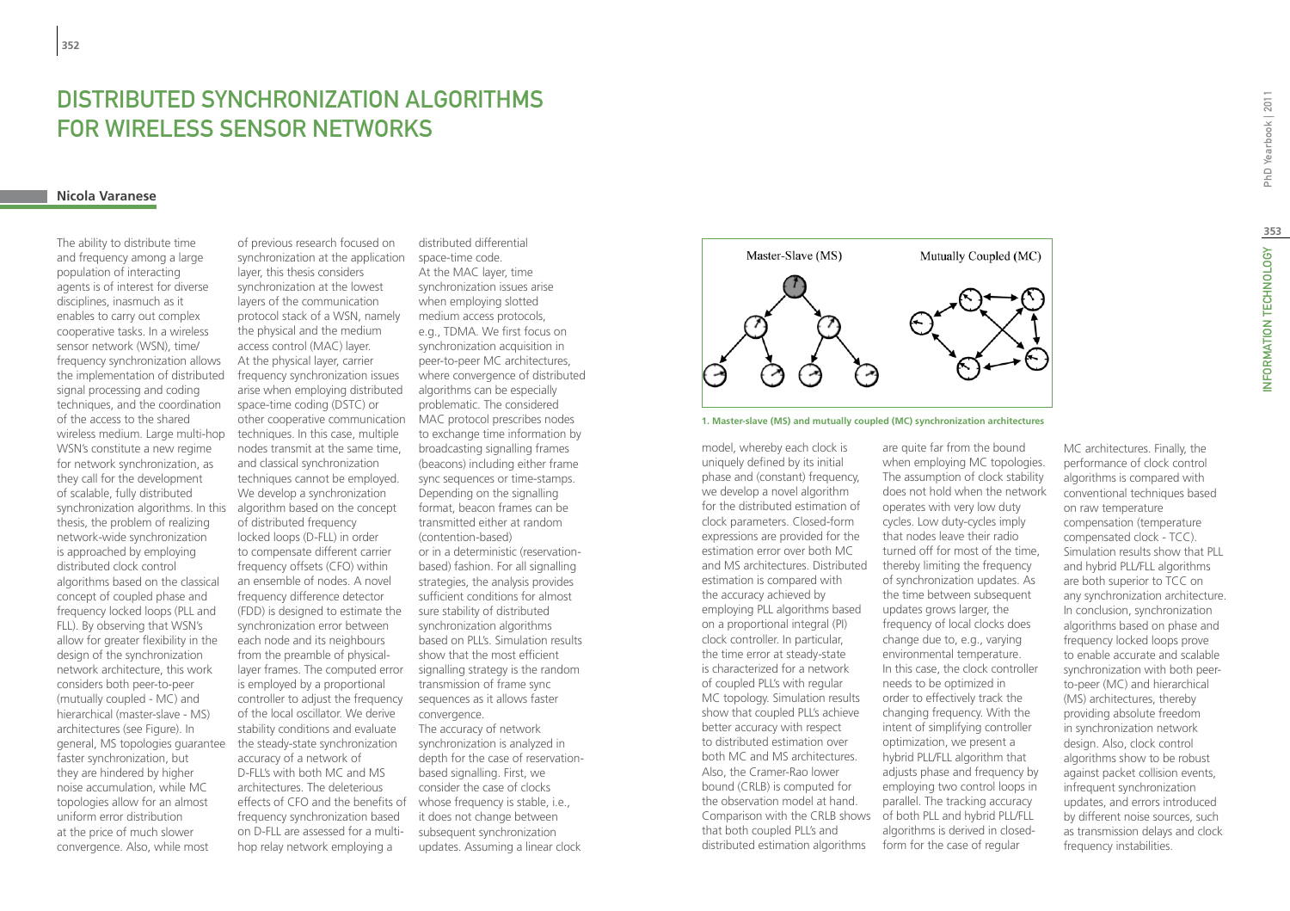# Distributed Synchronization Algorithms for Wireless Sensor Networks

### **Nicola Varanese**

synchronization algorithms. In this algorithm based on the concept The ability to distribute time and frequency among a large population of interacting agents is of interest for diverse disciplines, inasmuch as it enables to carry out complex cooperative tasks. In a wireless sensor network (WSN), time/ frequency synchronization allows the implementation of distributed signal processing and coding techniques, and the coordination of the access to the shared wireless medium. Large multi-hop WSN's constitute a new regime for network synchronization, as they call for the development of scalable, fully distributed thesis, the problem of realizing network-wide synchronization is approached by employing distributed clock control algorithms based on the classical concept of coupled phase and frequency locked loops (PLL and FLL). By observing that WSN's allow for greater flexibility in the design of the synchronization network architecture, this work considers both peer-to-peer (mutually coupled - MC) and hierarchical (master-slave - MS) architectures (see Figure). In general, MS topologies guarantee faster synchronization, but they are hindered by higher noise accumulation, while MC topologies allow for an almost uniform error distribution at the price of much slower convergence. Also, while most

other cooperative communication MAC protocol prescribes nodes of previous research focused on synchronization at the application layer, this thesis considers synchronization at the lowest layers of the communication protocol stack of a WSN, namely the physical and the medium access control (MAC) layer. At the physical layer, carrier frequency synchronization issues arise when employing distributed space-time coding (DSTC) or techniques. In this case, multiple nodes transmit at the same time, and classical synchronization techniques cannot be employed. We develop a synchronization of distributed frequency locked loops (D-FLL) in order to compensate different carrier frequency offsets (CFO) within an ensemble of nodes. A novel frequency difference detector (FDD) is designed to estimate the synchronization error between each node and its neighbours from the preamble of physicallayer frames. The computed error is employed by a proportional controller to adjust the frequency of the local oscillator. We derive stability conditions and evaluate the steady-state synchronization accuracy of a network of D-FLL's with both MC and MS architectures. The deleterious effects of CFO and the benefits of frequency synchronization based on D-FLL are assessed for a multihop relay network employing a

distributed differential space-time code. At the MAC layer, time synchronization issues arise when employing slotted medium access protocols, e.g., TDMA. We first focus on synchronization acquisition in peer-to-peer MC architectures, where convergence of distributed algorithms can be especially problematic. The considered to exchange time information by broadcasting signalling frames (beacons) including either frame sync sequences or time-stamps. Depending on the signalling format, beacon frames can be transmitted either at random (contention-based) or in a deterministic (reservationbased) fashion. For all signalling strategies, the analysis provides sufficient conditions for almost sure stability of distributed synchronization algorithms based on PLL's. Simulation results show that the most efficient signalling strategy is the random transmission of frame sync sequences as it allows faster convergence. The accuracy of network synchronization is analyzed in depth for the case of reservationbased signalling. First, we consider the case of clocks whose frequency is stable, i.e., it does not change between subsequent synchronization updates. Assuming a linear clock





Comparison with the CRLB shows of both PLL and hybrid PLL/FLL model, whereby each clock is uniquely defined by its initial phase and (constant) frequency, we develop a novel algorithm for the distributed estimation of clock parameters. Closed-form expressions are provided for the estimation error over both MC and MS architectures. Distributed estimation is compared with the accuracy achieved by employing PLL algorithms based on a proportional integral (PI) clock controller. In particular, the time error at steady-state is characterized for a network of coupled PLL's with regular MC topology. Simulation results show that coupled PLL's achieve better accuracy with respect to distributed estimation over both MC and MS architectures. Also, the Cramer-Rao lower bound (CRLB) is computed for the observation model at hand. that both coupled PLL's and distributed estimation algorithms

are quite far from the bound when employing MC topologies. The assumption of clock stability does not hold when the network operates with very low duty cycles. Low duty-cycles imply that nodes leave their radio turned off for most of the time, thereby limiting the frequency of synchronization updates. As the time between subsequent updates grows larger, the frequency of local clocks does change due to, e.g., varying environmental temperature. In this case, the clock controller needs to be optimized in order to effectively track the changing frequency. With the intent of simplifying controller optimization, we present a hybrid PLL/FLL algorithm that adjusts phase and frequency by employing two control loops in parallel. The tracking accuracy algorithms is derived in closedform for the case of regular

MC architectures. Finally, the performance of clock control algorithms is compared with conventional techniques based on raw temperature compensation (temperature compensated clock - TCC). Simulation results show that PLL and hybrid PLL/FLL algorithms are both superior to TCC on any synchronization architecture. In conclusion, synchronization algorithms based on phase and frequency locked loops prove to enable accurate and scalable synchronization with both peerto-peer (MC) and hierarchical (MS) architectures, thereby providing absolute freedom in synchronization network design. Also, clock control algorithms show to be robust against packet collision events, infrequent synchronization updates, and errors introduced by different noise sources, such as transmission delays and clock frequency instabilities.